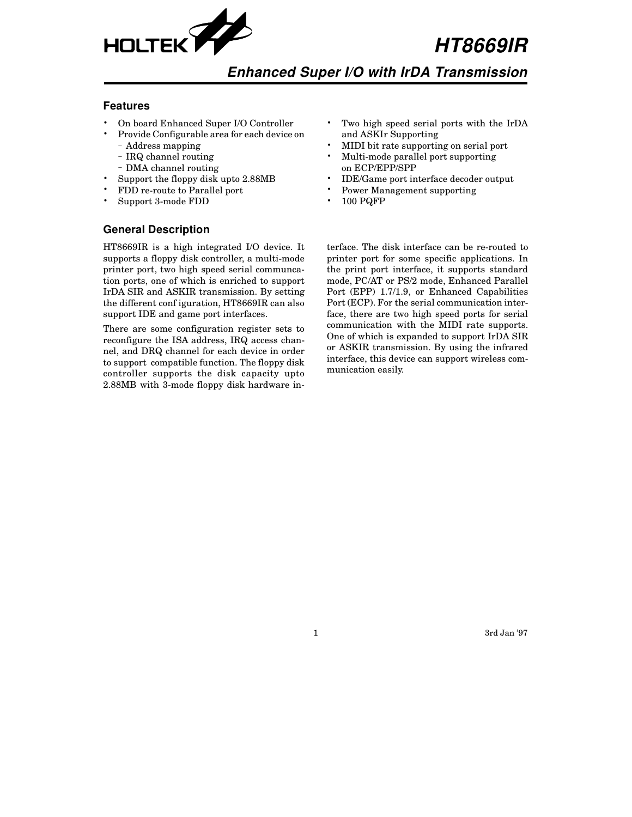

**HT8669IR**

# **Enhanced Super I/O with IrDA Transmission**

#### **Features**

- On board Enhanced Super I/O Controller
- Provide Configurable area for each device on – Address mapping
	- IRQ channel routing
	- DMA channel routing
- Support the floppy disk upto 2.88MB
- FDD re-route to Parallel port
- Support 3-mode FDD

#### Two high speed serial ports with the IrDA and ASKIr Supporting • MIDI bit rate supporting on serial port

- Multi-mode parallel port supporting on ECP/EPP/SPP
- IDE/Game port interface decoder output
- Power Management supporting
- 100 PQFP

# **General Description**

HT8669IR is a high integrated I/O device. It supports a floppy disk controller, a multi-mode printer port, two high speed serial communcation ports, one of which is enriched to support IrDA SIR and ASKIR transmission. By setting the different conf iguration, HT8669IR can also support IDE and game port interfaces.

There are some configuration register sets to reconfigure the ISA address, IRQ access channel, and DRQ channel for each device in order to support compatible function. The floppy disk controller supports the disk capacity upto 2.88MB with 3-mode floppy disk hardware interface. The disk interface can be re-routed to printer port for some specific applications. In the print port interface, it supports standard mode, PC/AT or PS/2 mode, Enhanced Parallel Port (EPP) 1.7/1.9, or Enhanced Capabilities Port (ECP). For the serial communication interface, there are two high speed ports for serial communication with the MIDI rate supports. One of which is expanded to support IrDA SIR or ASKIR transmission. By using the infrared interface, this device can support wireless communication easily.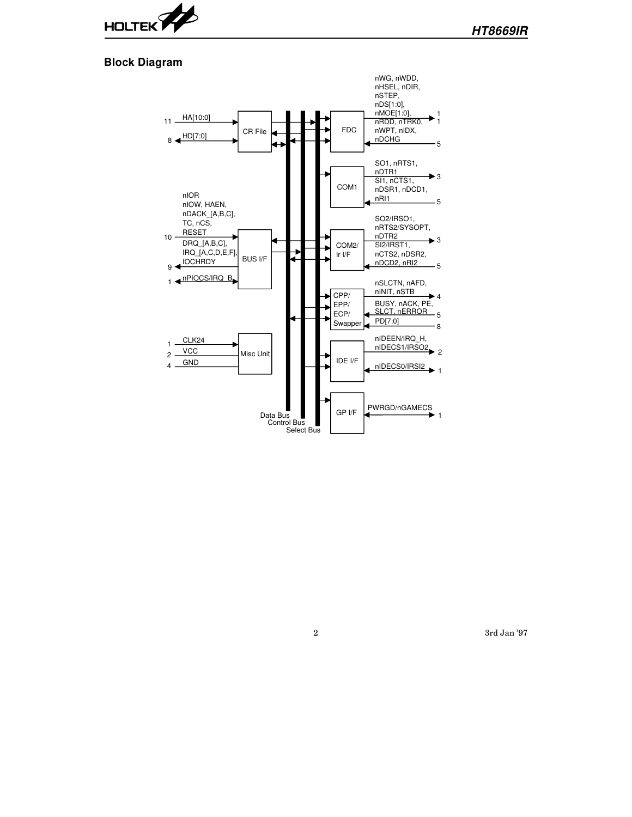

#### **Block Diagram**

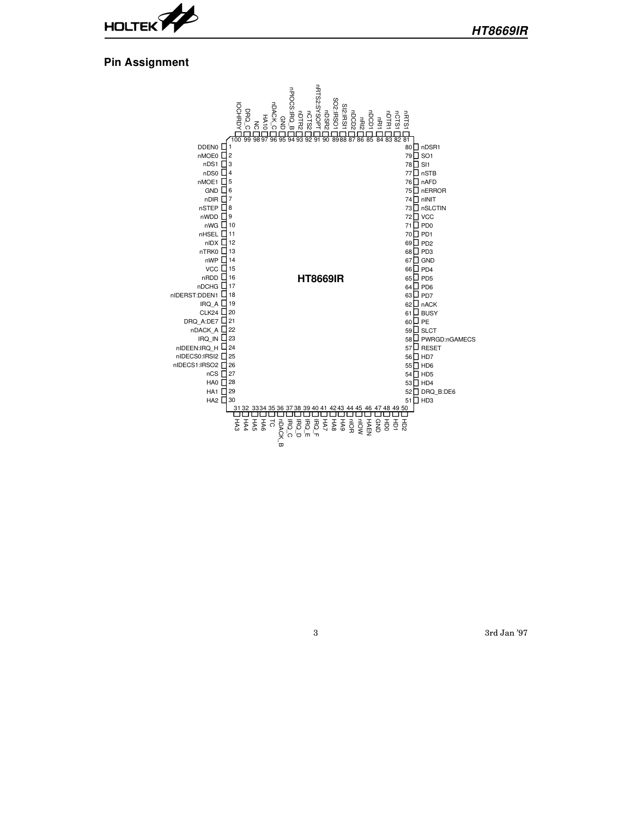

### **Pin Assignment**

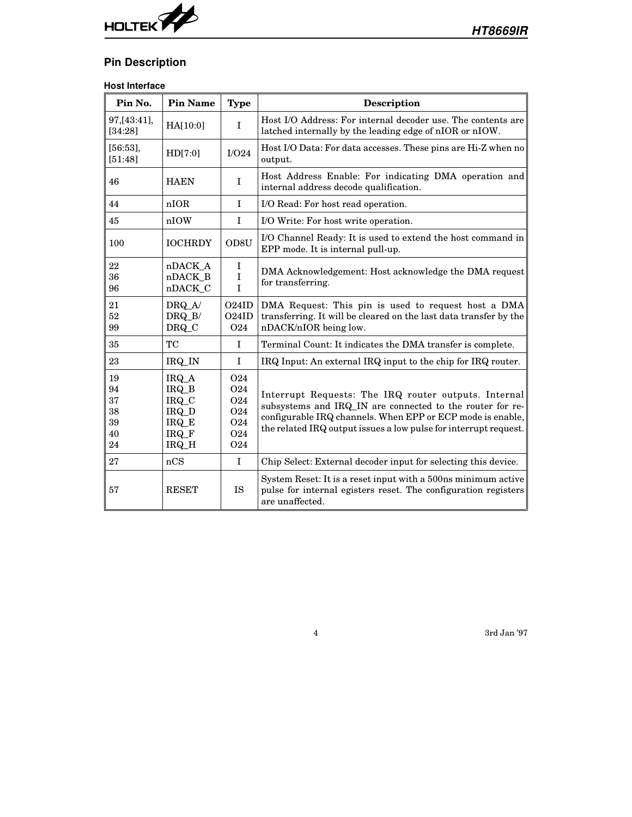

# **Pin Description**

# **Host Interface**

| Pin No.                                | <b>Pin Name</b>                                               | <b>Type</b>                                               | <b>Description</b>                                                                                                                                                                                                                                  |  |  |  |  |
|----------------------------------------|---------------------------------------------------------------|-----------------------------------------------------------|-----------------------------------------------------------------------------------------------------------------------------------------------------------------------------------------------------------------------------------------------------|--|--|--|--|
| 97, [43:41],<br>[34:28]                | HA[10:0]                                                      | $\bf{I}$                                                  | Host I/O Address: For internal decoder use. The contents are<br>latched internally by the leading edge of nIOR or nIOW.                                                                                                                             |  |  |  |  |
| [56:53],<br>[51:48]                    | HD[7:0]                                                       | I/O24                                                     | Host I/O Data: For data accesses. These pins are Hi-Z when no<br>output.                                                                                                                                                                            |  |  |  |  |
| 46                                     | <b>HAEN</b>                                                   | I                                                         | Host Address Enable: For indicating DMA operation and<br>internal address decode qualification.                                                                                                                                                     |  |  |  |  |
| 44                                     | nIOR                                                          | $\mathbf{I}$                                              | I/O Read: For host read operation.                                                                                                                                                                                                                  |  |  |  |  |
| 45                                     | nIOW                                                          | $\mathbf I$                                               | I/O Write: For host write operation.                                                                                                                                                                                                                |  |  |  |  |
| 100                                    | <b>IOCHRDY</b>                                                | OD <sub>8</sub> U                                         | I/O Channel Ready: It is used to extend the host command in<br>EPP mode. It is internal pull-up.                                                                                                                                                    |  |  |  |  |
| 22<br>36<br>96                         | nDACK_A<br>nDACK B<br>nDACK_C                                 | I<br>$\mathbf I$<br>$\overline{I}$                        | DMA Acknowledgement: Host acknowledge the DMA request<br>for transferring.                                                                                                                                                                          |  |  |  |  |
| 21<br>52<br>99                         | DRQ_A/<br>DRQ_B/<br>DRQ_C                                     | O24ID<br>O24ID<br>O <sub>24</sub>                         | DMA Request: This pin is used to request host a DMA<br>transferring. It will be cleared on the last data transfer by the<br>nDACK/nIOR being low.                                                                                                   |  |  |  |  |
| 35                                     | TС                                                            | $\mathbf I$                                               | Terminal Count: It indicates the DMA transfer is complete.                                                                                                                                                                                          |  |  |  |  |
| 23                                     | IRQ_IN                                                        | $\mathbf I$                                               | IRQ Input: An external IRQ input to the chip for IRQ router.                                                                                                                                                                                        |  |  |  |  |
| 19<br>94<br>37<br>38<br>39<br>40<br>24 | $IRQ_A$<br>IRQ_B<br>IRQ_C<br>IRQ_D<br>IRQ_E<br>IRQ_F<br>IRQ_H | O <sub>24</sub><br>024<br>024<br>024<br>024<br>024<br>024 | Interrupt Requests: The IRQ router outputs. Internal<br>subsystems and IRQ_IN are connected to the router for re-<br>configurable IRQ channels. When EPP or ECP mode is enable,<br>the related IRQ output issues a low pulse for interrupt request. |  |  |  |  |
| 27                                     | nCS                                                           | $\bf{I}$                                                  | Chip Select: External decoder input for selecting this device.                                                                                                                                                                                      |  |  |  |  |
| 57                                     | <b>RESET</b>                                                  | <b>IS</b>                                                 | System Reset: It is a reset input with a 500 ns minimum active<br>pulse for internal egisters reset. The configuration registers<br>are unaffected.                                                                                                 |  |  |  |  |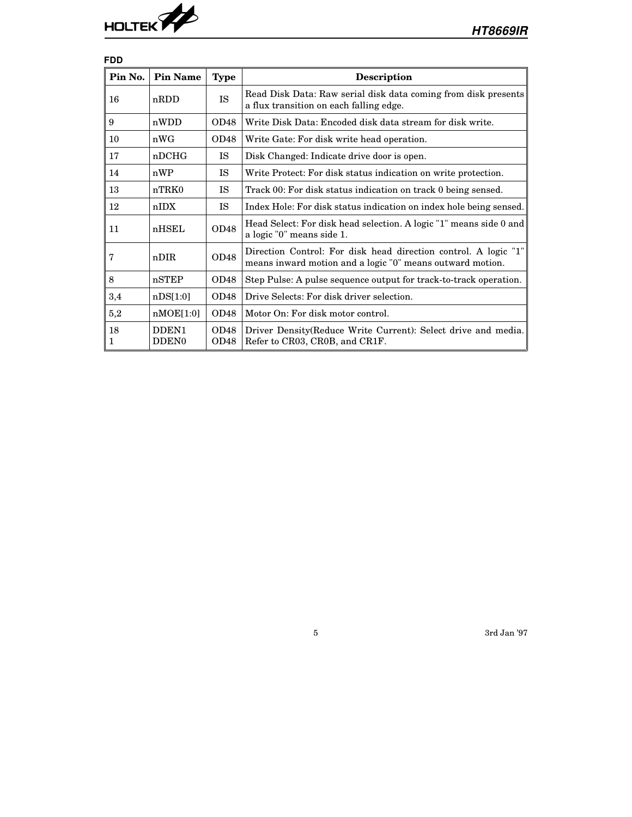

| <b>FDD</b> |                                        |                          |                                                                                                                              |
|------------|----------------------------------------|--------------------------|------------------------------------------------------------------------------------------------------------------------------|
| Pin No.    | <b>Pin Name</b>                        | <b>Type</b>              | <b>Description</b>                                                                                                           |
| 16         | nRDD                                   | <b>IS</b>                | Read Disk Data: Raw serial disk data coming from disk presents<br>a flux transition on each falling edge.                    |
| 9          | nWDD                                   | OD48                     | Write Disk Data: Encoded disk data stream for disk write.                                                                    |
| 10         | nWG                                    | OD48                     | Write Gate: For disk write head operation.                                                                                   |
| 17         | nDCHG                                  | <b>IS</b>                | Disk Changed: Indicate drive door is open.                                                                                   |
| 14         | nWP                                    | <b>IS</b>                | Write Protect: For disk status indication on write protection.                                                               |
| 13         | nTRK0                                  | <b>IS</b>                | Track 00: For disk status indication on track 0 being sensed.                                                                |
| 12         | nIDX                                   | <b>IS</b>                | Index Hole: For disk status indication on index hole being sensed.                                                           |
| 11         | nHSEL                                  | OD48                     | Head Select: For disk head selection. A logic "1" means side 0 and<br>a logic "0" means side 1.                              |
| 7          | nDIR                                   | OD48                     | Direction Control: For disk head direction control. A logic "1"<br>means inward motion and a logic "0" means outward motion. |
| 8          | nSTEP                                  | OD48                     | Step Pulse: A pulse sequence output for track-to-track operation.                                                            |
| 3,4        | nDS[1:0]                               | OD48                     | Drive Selects: For disk driver selection.                                                                                    |
| 5,2        | nMOE[1:0]                              | OD48                     | Motor On: For disk motor control.                                                                                            |
| 18<br>1    | DDEN <sub>1</sub><br>DDEN <sub>0</sub> | OD48<br>OD <sub>48</sub> | Driver Density (Reduce Write Current): Select drive and media.<br>Refer to CR03, CR0B, and CR1F.                             |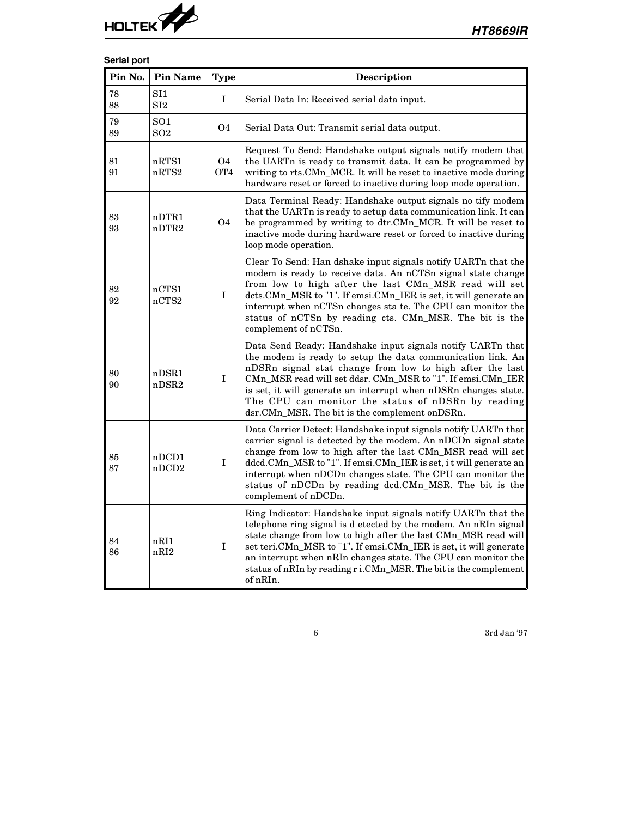

# **Serial port**

| Pin No.  | <b>Pin Name</b>                    | <b>Type</b>                  | <b>Description</b>                                                                                                                                                                                                                                                                                                                                                                                                               |  |  |
|----------|------------------------------------|------------------------------|----------------------------------------------------------------------------------------------------------------------------------------------------------------------------------------------------------------------------------------------------------------------------------------------------------------------------------------------------------------------------------------------------------------------------------|--|--|
| 78<br>88 | SI1<br>SI2                         | I                            | Serial Data In: Received serial data input.                                                                                                                                                                                                                                                                                                                                                                                      |  |  |
| 79<br>89 | SO <sub>1</sub><br>SO <sub>2</sub> | <b>O4</b>                    | Serial Data Out: Transmit serial data output.                                                                                                                                                                                                                                                                                                                                                                                    |  |  |
| 81<br>91 | nRTS1<br>nRTS2                     | <b>O4</b><br>OT <sub>4</sub> | Request To Send: Handshake output signals notify modem that<br>the UARTn is ready to transmit data. It can be programmed by<br>writing to rts.CMn_MCR. It will be reset to inactive mode during<br>hardware reset or forced to inactive during loop mode operation.                                                                                                                                                              |  |  |
| 83<br>93 | nDTR1<br>nDTR <sub>2</sub>         | <b>O4</b>                    | Data Terminal Ready: Handshake output signals no tify modem<br>that the UARTn is ready to setup data communication link. It can<br>be programmed by writing to dtr.CMn_MCR. It will be reset to<br>inactive mode during hardware reset or forced to inactive during<br>loop mode operation.                                                                                                                                      |  |  |
| 82<br>92 | nCTS1<br>nCTS2                     | $\bf I$                      | Clear To Send: Han dshake input signals notify UARTn that the<br>modem is ready to receive data. An nCTSn signal state change<br>from low to high after the last CMn_MSR read will set<br>dcts.CMn_MSR to "1". If emsi.CMn_IER is set, it will generate an<br>interrupt when nCTSn changes sta te. The CPU can monitor the<br>status of nCTSn by reading cts. CMn_MSR. The bit is the<br>complement of nCTSn.                    |  |  |
| 80<br>90 | nDSR1<br>nDSR2                     | I                            | Data Send Ready: Handshake input signals notify UARTn that<br>the modem is ready to setup the data communication link. An<br>nDSRn signal stat change from low to high after the last<br>CMn_MSR read will set ddsr. CMn_MSR to "1". If emsi.CMn_IER<br>is set, it will generate an interrupt when nDSRn changes state.<br>The CPU can monitor the status of nDSRn by reading<br>dsr.CMn_MSR. The bit is the complement on DSRn. |  |  |
| 85<br>87 | nDCD1<br>nDCD2                     | $\bf I$                      | Data Carrier Detect: Handshake input signals notify UARTn that<br>carrier signal is detected by the modem. An nDCDn signal state<br>change from low to high after the last CMn_MSR read will set<br>ddcd.CMn_MSR to "1". If emsi.CMn_IER is set, it will generate an<br>interrupt when nDCDn changes state. The CPU can monitor the<br>status of nDCDn by reading dcd.CMn_MSR. The bit is the<br>complement of nDCDn.            |  |  |
| 84<br>86 | nRI1<br>nRI <sub>2</sub>           | I                            | Ring Indicator: Handshake input signals notify UARTn that the<br>telephone ring signal is d etected by the modem. An nRIn signal<br>state change from low to high after the last CMn_MSR read will<br>set teri.CMn_MSR to "1". If emsi.CMn_IER is set, it will generate<br>an interrupt when nRIn changes state. The CPU can monitor the<br>status of nRIn by reading r i.CMn_MSR. The bit is the complement<br>of nRIn.         |  |  |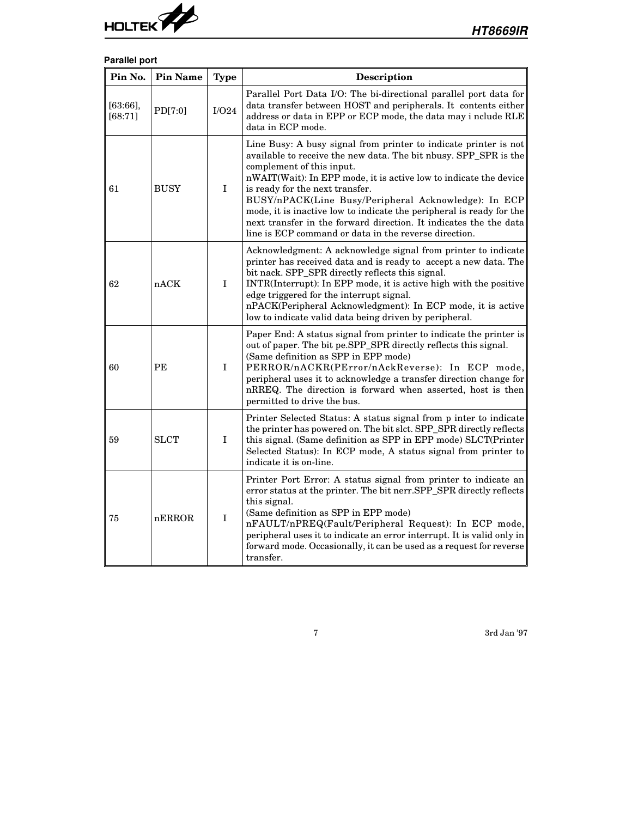

# **Parallel port**

| Pin No.            | <b>Pin Name</b> | <b>Type</b> | Description                                                                                                                                                                                                                                                                                                                                                                                                                                                                                                                             |  |  |  |  |
|--------------------|-----------------|-------------|-----------------------------------------------------------------------------------------------------------------------------------------------------------------------------------------------------------------------------------------------------------------------------------------------------------------------------------------------------------------------------------------------------------------------------------------------------------------------------------------------------------------------------------------|--|--|--|--|
| [63:66]<br>[68:71] | PD[7:0]         | I/O24       | Parallel Port Data I/O: The bi-directional parallel port data for<br>data transfer between HOST and peripherals. It contents either<br>address or data in EPP or ECP mode, the data may i nclude RLE<br>data in ECP mode.                                                                                                                                                                                                                                                                                                               |  |  |  |  |
| 61                 | <b>BUSY</b>     | $\mathbf I$ | Line Busy: A busy signal from printer to indicate printer is not<br>available to receive the new data. The bit nbusy. SPP_SPR is the<br>complement of this input.<br>nWAIT(Wait): In EPP mode, it is active low to indicate the device<br>is ready for the next transfer.<br>BUSY/nPACK(Line Busy/Peripheral Acknowledge): In ECP<br>mode, it is inactive low to indicate the peripheral is ready for the<br>next transfer in the forward direction. It indicates the the data<br>line is ECP command or data in the reverse direction. |  |  |  |  |
| 62                 | nACK            | $\mathbf I$ | Acknowledgment: A acknowledge signal from printer to indicate<br>printer has received data and is ready to accept a new data. The<br>bit nack. SPP_SPR directly reflects this signal.<br>INTR(Interrupt): In EPP mode, it is active high with the positive<br>edge triggered for the interrupt signal.<br>nPACK(Peripheral Acknowledgment): In ECP mode, it is active<br>low to indicate valid data being driven by peripheral.                                                                                                         |  |  |  |  |
| 60                 | PE              | $\mathbf I$ | Paper End: A status signal from printer to indicate the printer is<br>out of paper. The bit pe.SPP_SPR directly reflects this signal.<br>(Same definition as SPP in EPP mode)<br>PERROR/nACKR(PError/nAckReverse): In ECP mode,<br>peripheral uses it to acknowledge a transfer direction change for<br>nRREQ. The direction is forward when asserted, host is then<br>permitted to drive the bus.                                                                                                                                      |  |  |  |  |
| 59                 | <b>SLCT</b>     | $\mathbf I$ | Printer Selected Status: A status signal from p inter to indicate<br>the printer has powered on. The bit slct. SPP_SPR directly reflects<br>this signal. (Same definition as SPP in EPP mode) SLCT(Printer<br>Selected Status): In ECP mode, A status signal from printer to<br>indicate it is on-line.                                                                                                                                                                                                                                 |  |  |  |  |
| 75                 | nERROR          | $\mathbf I$ | Printer Port Error: A status signal from printer to indicate an<br>error status at the printer. The bit nerr.SPP_SPR directly reflects<br>this signal.<br>(Same definition as SPP in EPP mode)<br>nFAULT/nPREQ(Fault/Peripheral Request): In ECP mode,<br>peripheral uses it to indicate an error interrupt. It is valid only in<br>forward mode. Occasionally, it can be used as a request for reverse<br>transfer.                                                                                                                    |  |  |  |  |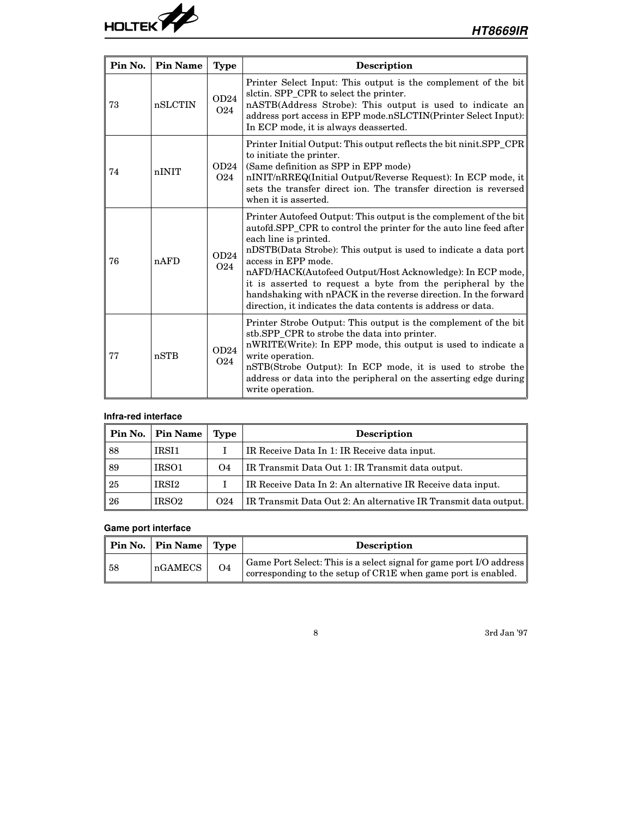

| Pin No. | <b>Pin Name</b> | <b>Type</b>             | <b>Description</b>                                                                                                                                                                                                                                                                                                                                                                                                                                                                                                         |  |  |  |  |
|---------|-----------------|-------------------------|----------------------------------------------------------------------------------------------------------------------------------------------------------------------------------------------------------------------------------------------------------------------------------------------------------------------------------------------------------------------------------------------------------------------------------------------------------------------------------------------------------------------------|--|--|--|--|
| 73      | nSLCTIN         | OD24<br>O <sub>24</sub> | Printer Select Input: This output is the complement of the bit<br>slctin. SPP_CPR to select the printer.<br>nASTB(Address Strobe): This output is used to indicate an<br>address port access in EPP mode.nSLCTIN(Printer Select Input):<br>In ECP mode, it is always deasserted.                                                                                                                                                                                                                                           |  |  |  |  |
| 74      | nINIT           | OD24<br><b>O24</b>      | Printer Initial Output: This output reflects the bit ninit.SPP_CPR<br>to initiate the printer.<br>(Same definition as SPP in EPP mode)<br>nINIT/nRREQ(Initial Output/Reverse Request): In ECP mode, it<br>sets the transfer direct ion. The transfer direction is reversed<br>when it is asserted.                                                                                                                                                                                                                         |  |  |  |  |
| 76      | nAFD            | OD24<br>O <sub>24</sub> | Printer Autofeed Output: This output is the complement of the bit<br>autofd.SPP_CPR to control the printer for the auto line feed after<br>each line is printed.<br>nDSTB(Data Strobe): This output is used to indicate a data port<br>access in EPP mode.<br>nAFD/HACK(Autofeed Output/Host Acknowledge): In ECP mode,<br>it is asserted to request a byte from the peripheral by the<br>handshaking with nPACK in the reverse direction. In the forward<br>direction, it indicates the data contents is address or data. |  |  |  |  |
| 77      | nSTB            | OD24<br>O <sub>24</sub> | Printer Strobe Output: This output is the complement of the bit<br>stb.SPP_CPR to strobe the data into printer.<br>nWRITE(Write): In EPP mode, this output is used to indicate a<br>write operation.<br>nSTB(Strobe Output): In ECP mode, it is used to strobe the<br>address or data into the peripheral on the asserting edge during<br>write operation.                                                                                                                                                                 |  |  |  |  |

# **Infra-red interface**

| Pin No. | <b>Pin Name</b>   | Type            | <b>Description</b>                                              |
|---------|-------------------|-----------------|-----------------------------------------------------------------|
| 88      | IRSI1             |                 | IR Receive Data In 1: IR Receive data input.                    |
| 89      | IRS <sub>01</sub> | O4              | IR Transmit Data Out 1: IR Transmit data output.                |
| 25      | IRSI <sub>2</sub> |                 | IR Receive Data In 2: An alternative IR Receive data input.     |
| 26      | IRSO <sub>2</sub> | O <sub>24</sub> | IR Transmit Data Out 2: An alternative IR Transmit data output. |

# **Game port interface**

|    | Pin No.   Pin Name   Type |    | <b>Description</b>                                                                                                                                           |
|----|---------------------------|----|--------------------------------------------------------------------------------------------------------------------------------------------------------------|
| 58 | nGAMECS                   | O4 | Game Port Select: This is a select signal for game port I/O address $\parallel$<br>corresponding to the setup of CR1E when game port is enabled. $\parallel$ |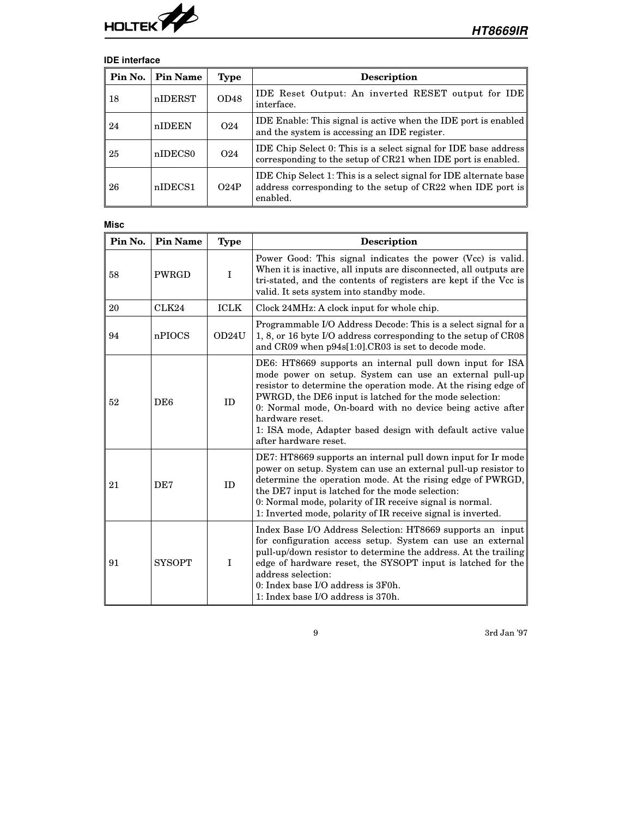

# **IDE interface**

| Pin No. | <b>Pin Name</b>     | Type            | Description                                                                                                                                  |
|---------|---------------------|-----------------|----------------------------------------------------------------------------------------------------------------------------------------------|
| 18      | nIDERST             | OD48            | IDE Reset Output: An inverted RESET output for IDE<br>interface.                                                                             |
| 24      | nIDEEN              | O <sub>24</sub> | <b>IDE</b> Enable: This signal is active when the <b>IDE</b> port is enabled<br>and the system is accessing an IDE register.                 |
| 25      | nIDECS <sub>0</sub> | O <sub>24</sub> | IDE Chip Select 0: This is a select signal for IDE base address<br>corresponding to the setup of CR21 when IDE port is enabled.              |
| 26      | nIDECS1             | O24P            | IDE Chip Select 1: This is a select signal for IDE alternate base<br>address corresponding to the setup of CR22 when IDE port is<br>enabled. |

| <b>Misc</b> |                 |             |                                                                                                                                                                                                                                                                                                                                                                                                                            |
|-------------|-----------------|-------------|----------------------------------------------------------------------------------------------------------------------------------------------------------------------------------------------------------------------------------------------------------------------------------------------------------------------------------------------------------------------------------------------------------------------------|
| Pin No.     | <b>Pin Name</b> | <b>Type</b> | Description                                                                                                                                                                                                                                                                                                                                                                                                                |
| 58          | PWRGD           | I           | Power Good: This signal indicates the power (Vcc) is valid.<br>When it is inactive, all inputs are disconnected, all outputs are<br>tri-stated, and the contents of registers are kept if the Vcc is<br>valid. It sets system into standby mode.                                                                                                                                                                           |
| 20          | CLK24           | <b>ICLK</b> | Clock 24MHz: A clock input for whole chip.                                                                                                                                                                                                                                                                                                                                                                                 |
| 94          | nPIOCS          | OD24U       | Programmable I/O Address Decode: This is a select signal for a<br>1, 8, or 16 byte I/O address corresponding to the setup of CR08<br>and CR09 when p94s[1:0].CR03 is set to decode mode.                                                                                                                                                                                                                                   |
| 52          | DE <sub>6</sub> | ID          | DE6: HT8669 supports an internal pull down input for ISA<br>mode power on setup. System can use an external pull-up<br>resistor to determine the operation mode. At the rising edge of<br>PWRGD, the DE6 input is latched for the mode selection:<br>0: Normal mode, On-board with no device being active after<br>hardware reset.<br>1: ISA mode, Adapter based design with default active value<br>after hardware reset. |
| 21          | DE7             | ID          | DE7: HT8669 supports an internal pull down input for Ir mode<br>power on setup. System can use an external pull-up resistor to<br>determine the operation mode. At the rising edge of PWRGD,<br>the DE7 input is latched for the mode selection:<br>0: Normal mode, polarity of IR receive signal is normal.<br>1: Inverted mode, polarity of IR receive signal is inverted.                                               |
| 91          | <b>SYSOPT</b>   | $\mathbf I$ | Index Base I/O Address Selection: HT8669 supports an input<br>for configuration access setup. System can use an external<br>pull-up/down resistor to determine the address. At the trailing<br>edge of hardware reset, the SYSOPT input is latched for the<br>address selection:<br>0: Index base I/O address is 3F0h.<br>1: Index base I/O address is 370h.                                                               |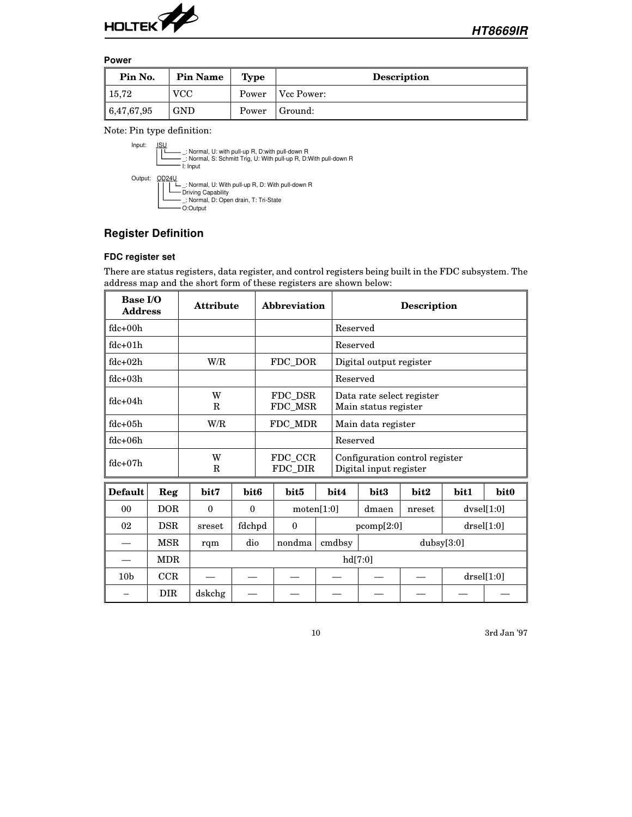

#### **Power**

| Pin No.    | <b>Pin Name</b> | <b>Type</b> | <b>Description</b> |
|------------|-----------------|-------------|--------------------|
| 15,72      | <b>VCC</b>      | Power       | Vcc Power:         |
| 6,47,67,95 | <b>GND</b>      | Power       | Ground:            |

Note: Pin type definition:



# **Register Definition**

#### **FDC register set**

There are status registers, data register, and control registers being built in the FDC subsystem. The address map and the short form of these registers are shown below:

| Base I/O<br><b>Address</b> |            | <b>Attribute</b> |                  |                    | Abbreviation |          | <b>Description</b>                                       |            |            |               |                  |
|----------------------------|------------|------------------|------------------|--------------------|--------------|----------|----------------------------------------------------------|------------|------------|---------------|------------------|
| $fdc+00h$                  |            |                  |                  |                    |              |          | Reserved                                                 |            |            |               |                  |
| $fdc + 01h$                |            |                  |                  |                    |              | Reserved |                                                          |            |            |               |                  |
| $fdc + 02h$                |            | W/R              |                  |                    | FDC_DOR      |          | Digital output register                                  |            |            |               |                  |
| $fdc + 0.3h$               |            |                  |                  |                    |              |          | Reserved                                                 |            |            |               |                  |
| $fdc+04h$                  |            | W<br>R           |                  | FDC DSR<br>FDC_MSR |              |          | Data rate select register<br>Main status register        |            |            |               |                  |
| $fdc + 0.5h$               |            | W/R              |                  | FDC MDR            |              |          | Main data register                                       |            |            |               |                  |
| $fdc + 06h$                |            |                  |                  |                    |              |          | Reserved                                                 |            |            |               |                  |
| $fdc + 07h$                |            | W<br>R           |                  | FDC CCR<br>FDC_DIR |              |          | Configuration control register<br>Digital input register |            |            |               |                  |
| <b>Default</b>             | Reg        | bit7             | bit <sub>6</sub> |                    | bit5         | bit4     |                                                          | bit3       | bit2       | bit1          | bit <sub>0</sub> |
| 0 <sub>0</sub>             | DOR        | $\Omega$         | $\mathbf{0}$     | motion[1:0]        |              |          | dmaen<br>nreset                                          |            |            | dvsel[1:0]    |                  |
| 02                         | <b>DSR</b> | sreset           | fdchpd           |                    | $\theta$     |          |                                                          | pcomp[2:0] |            | $drself1:0$ ] |                  |
|                            | <b>MSR</b> | rqm              | dio              |                    | nondma       | cmdbsy   |                                                          |            | dubsy[3:0] |               |                  |
|                            | <b>MDR</b> |                  | hd[7:0]          |                    |              |          |                                                          |            |            |               |                  |
| 10 <sub>b</sub>            | CCR        |                  |                  |                    |              |          |                                                          |            |            |               | drself1:0        |
|                            | <b>DIR</b> | dskchg           |                  |                    |              |          |                                                          |            |            |               |                  |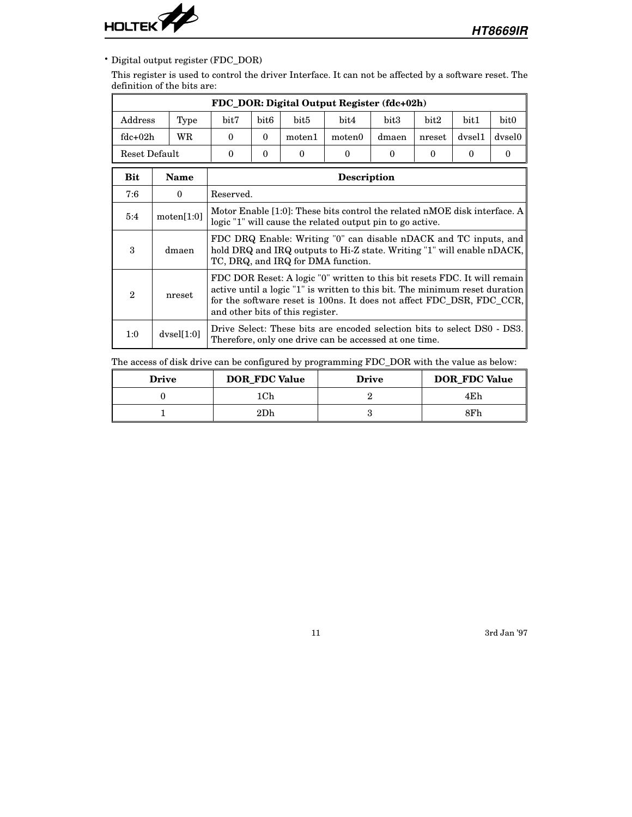

• Digital output register (FDC\_DOR)

This register is used to control the driver Interface. It can not be affected by a software reset. The definition of the bits are:

|               | FDC_DOR: Digital Output Register (fdc+02h) |                                                                  |                                                                                                                                                                                                                                                                       |          |                                                                                                                                    |          |          |          |          |
|---------------|--------------------------------------------|------------------------------------------------------------------|-----------------------------------------------------------------------------------------------------------------------------------------------------------------------------------------------------------------------------------------------------------------------|----------|------------------------------------------------------------------------------------------------------------------------------------|----------|----------|----------|----------|
| Address       | Type                                       | bit <sub>6</sub><br>bit7<br>bit5<br>bit4<br>bit3<br>bit2<br>bit1 |                                                                                                                                                                                                                                                                       |          |                                                                                                                                    |          |          |          | bit0     |
| $fdc+02h$     | WR                                         | $\Omega$                                                         | $\Omega$<br>dvsel1<br>moten1<br>moten0<br>dmaen<br>nreset                                                                                                                                                                                                             |          |                                                                                                                                    |          |          |          | dysel0   |
| Reset Default |                                            | $\theta$                                                         | $\theta$                                                                                                                                                                                                                                                              | $\Omega$ | $\theta$                                                                                                                           | $\theta$ | $\Omega$ | $\theta$ | $\Omega$ |
| Bit           | <b>Name</b>                                | <b>Description</b>                                               |                                                                                                                                                                                                                                                                       |          |                                                                                                                                    |          |          |          |          |
| 7:6           | $\Omega$                                   | Reserved.                                                        |                                                                                                                                                                                                                                                                       |          |                                                                                                                                    |          |          |          |          |
| 5:4           | motion[1:0]                                |                                                                  | Motor Enable [1:0]: These bits control the related nMOE disk interface. A<br>logic "1" will cause the related output pin to go active.                                                                                                                                |          |                                                                                                                                    |          |          |          |          |
| 3             | dmaen                                      |                                                                  | FDC DRQ Enable: Writing "0" can disable nDACK and TC inputs, and<br>hold DRQ and IRQ outputs to Hi-Z state. Writing "1" will enable nDACK,<br>TC, DRQ, and IRQ for DMA function.                                                                                      |          |                                                                                                                                    |          |          |          |          |
| 2             | nreset                                     |                                                                  | FDC DOR Reset: A logic "0" written to this bit resets FDC. It will remain<br>active until a logic "1" is written to this bit. The minimum reset duration<br>for the software reset is 100ns. It does not affect FDC_DSR, FDC_CCR,<br>and other bits of this register. |          |                                                                                                                                    |          |          |          |          |
| 1:0           | dvsel[1:0]                                 |                                                                  |                                                                                                                                                                                                                                                                       |          | Drive Select: These bits are encoded selection bits to select DS0 - DS3.<br>Therefore, only one drive can be accessed at one time. |          |          |          |          |

The access of disk drive can be configured by programming FDC\_DOR with the value as below:

| <b>Drive</b> | <b>DOR_FDC Value</b> | <b>Drive</b> | <b>DOR_FDC Value</b> |
|--------------|----------------------|--------------|----------------------|
|              | .Ch                  |              | 4Eh                  |
|              | 2Dh                  |              | 8Fh                  |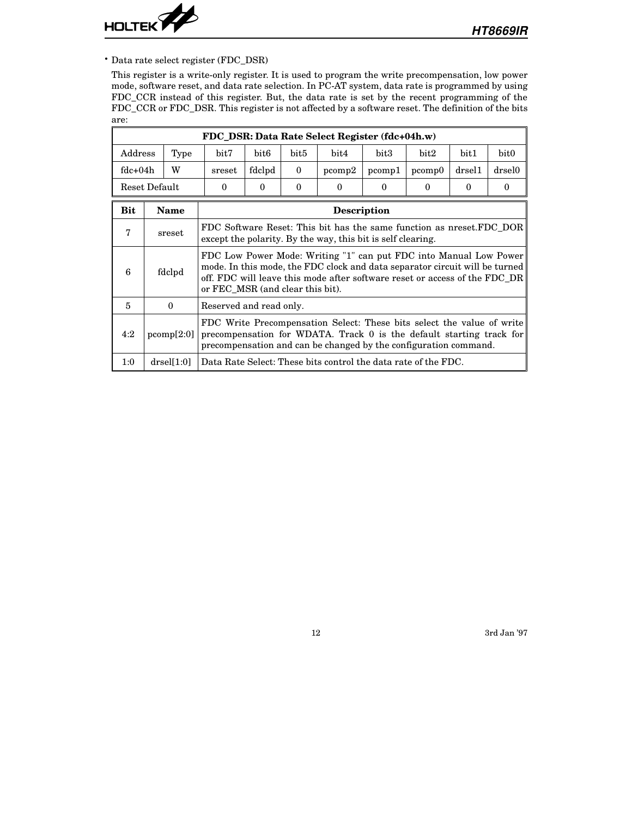

• Data rate select register (FDC\_DSR)

This register is a write-only register. It is used to program the write precompensation, low power mode, software reset, and data rate selection. In PC-AT system, data rate is programmed by using FDC\_CCR instead of this register. But, the data rate is set by the recent programming of the FDC\_CCR or FDC\_DSR. This register is not affected by a software reset. The definition of the bits are:

|                                                             | FDC_DSR: Data Rate Select Register (fdc+04h.w) |  |                                                                                                                                                                                                                    |                                  |          |                                                                                                                                                                                                                                |        |        |        |        |  |  |
|-------------------------------------------------------------|------------------------------------------------|--|--------------------------------------------------------------------------------------------------------------------------------------------------------------------------------------------------------------------|----------------------------------|----------|--------------------------------------------------------------------------------------------------------------------------------------------------------------------------------------------------------------------------------|--------|--------|--------|--------|--|--|
| Address                                                     | Type                                           |  | bit7                                                                                                                                                                                                               | bit <sub>6</sub>                 | bit5     | bit4                                                                                                                                                                                                                           | bit3   | bit2   | bit1   | bit0   |  |  |
| $fdc+04h$                                                   | W                                              |  | sreset                                                                                                                                                                                                             | fdclpd                           | $\theta$ | pcomp2                                                                                                                                                                                                                         | pcomp1 | pcomp0 | drse11 | drsel0 |  |  |
| Reset Default<br>$\Omega$<br>$\Omega$<br>$\theta$<br>0<br>0 |                                                |  |                                                                                                                                                                                                                    |                                  | $\Omega$ | $\Omega$                                                                                                                                                                                                                       | 0      |        |        |        |  |  |
| <b>Bit</b>                                                  | <b>Name</b><br><b>Description</b>              |  |                                                                                                                                                                                                                    |                                  |          |                                                                                                                                                                                                                                |        |        |        |        |  |  |
| 7                                                           | sreset                                         |  | FDC Software Reset: This bit has the same function as nreset.FDC DOR<br>except the polarity. By the way, this bit is self clearing.                                                                                |                                  |          |                                                                                                                                                                                                                                |        |        |        |        |  |  |
| 6                                                           | fdclpd                                         |  |                                                                                                                                                                                                                    | or FEC_MSR (and clear this bit). |          | FDC Low Power Mode: Writing "1" can put FDC into Manual Low Power<br>mode. In this mode, the FDC clock and data separator circuit will be turned<br>off. FDC will leave this mode after software reset or access of the FDC DR |        |        |        |        |  |  |
| 5                                                           | $\Omega$                                       |  |                                                                                                                                                                                                                    | Reserved and read only.          |          |                                                                                                                                                                                                                                |        |        |        |        |  |  |
| 4:2                                                         | pcomp[2:0]                                     |  | FDC Write Precompensation Select: These bits select the value of write<br>precompensation for WDATA. Track 0 is the default starting track for<br>precompensation and can be changed by the configuration command. |                                  |          |                                                                                                                                                                                                                                |        |        |        |        |  |  |
| 1:0                                                         | drself1:0                                      |  |                                                                                                                                                                                                                    |                                  |          | Data Rate Select: These bits control the data rate of the FDC.                                                                                                                                                                 |        |        |        |        |  |  |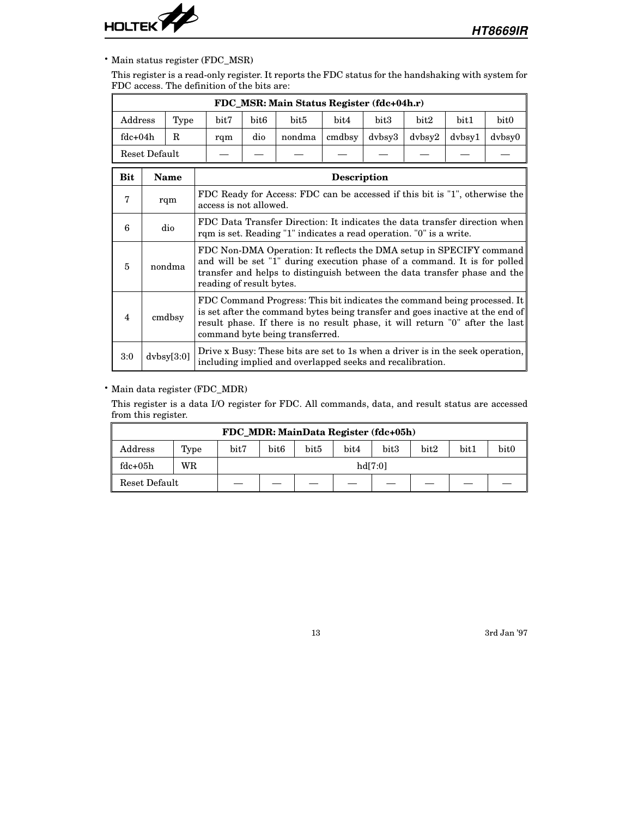

#### • Main status register (FDC\_MSR)

This register is a read-only register. It reports the FDC status for the handshaking with system for FDC access. The definition of the bits are:

|                                          | FDC_MSR: Main Status Register (fdc+04h.r) |      |                                                                                                                                                   |                                                                                                                                                                                                                                                                                                          |                                                                                                                                                                                                                               |        |        |                                        |                                        |                  |  |  |
|------------------------------------------|-------------------------------------------|------|---------------------------------------------------------------------------------------------------------------------------------------------------|----------------------------------------------------------------------------------------------------------------------------------------------------------------------------------------------------------------------------------------------------------------------------------------------------------|-------------------------------------------------------------------------------------------------------------------------------------------------------------------------------------------------------------------------------|--------|--------|----------------------------------------|----------------------------------------|------------------|--|--|
| Address                                  |                                           | Type | bit7                                                                                                                                              | bit6                                                                                                                                                                                                                                                                                                     | bit5                                                                                                                                                                                                                          | bit4   | bit3   | bit2                                   | bit1                                   | bit <sub>0</sub> |  |  |
| $fdc + 04h$                              |                                           | R.   | rqm                                                                                                                                               | dio                                                                                                                                                                                                                                                                                                      | nondma                                                                                                                                                                                                                        | cmdbsy | dvbsy3 | $d$ <sub>v</sub> $b$ <sub>sy</sub> $2$ | $d$ <sub>v</sub> $b$ <sub>sy</sub> $1$ | dvbsy0           |  |  |
| Reset Default                            |                                           |      |                                                                                                                                                   |                                                                                                                                                                                                                                                                                                          |                                                                                                                                                                                                                               |        |        |                                        |                                        |                  |  |  |
| <b>Bit</b><br>Name<br><b>Description</b> |                                           |      |                                                                                                                                                   |                                                                                                                                                                                                                                                                                                          |                                                                                                                                                                                                                               |        |        |                                        |                                        |                  |  |  |
| 7                                        | rqm                                       |      | FDC Ready for Access: FDC can be accessed if this bit is "1", otherwise the<br>access is not allowed.                                             |                                                                                                                                                                                                                                                                                                          |                                                                                                                                                                                                                               |        |        |                                        |                                        |                  |  |  |
| 6                                        | dio                                       |      | FDC Data Transfer Direction: It indicates the data transfer direction when<br>rqm is set. Reading "1" indicates a read operation. "0" is a write. |                                                                                                                                                                                                                                                                                                          |                                                                                                                                                                                                                               |        |        |                                        |                                        |                  |  |  |
| 5                                        | nondma                                    |      |                                                                                                                                                   |                                                                                                                                                                                                                                                                                                          | FDC Non-DMA Operation: It reflects the DMA setup in SPECIFY command<br>and will be set "1" during execution phase of a command. It is for polled<br>transfer and helps to distinguish between the data transfer phase and the |        |        |                                        |                                        |                  |  |  |
| 4                                        | cmdbsy                                    |      |                                                                                                                                                   | reading of result bytes.<br>FDC Command Progress: This bit indicates the command being processed. It<br>is set after the command bytes being transfer and goes inactive at the end of<br>result phase. If there is no result phase, it will return "0" after the last<br>command byte being transferred. |                                                                                                                                                                                                                               |        |        |                                        |                                        |                  |  |  |
| 3:0                                      | dvbsy[3:0]                                |      |                                                                                                                                                   |                                                                                                                                                                                                                                                                                                          | Drive x Busy: These bits are set to 1s when a driver is in the seek operation,<br>including implied and overlapped seeks and recalibration.                                                                                   |        |        |                                        |                                        |                  |  |  |

#### • Main data register (FDC\_MDR)

This register is a data I/O register for FDC. All commands, data, and result status are accessed from this register.

| FDC_MDR: MainData Register (fdc+05h) |      |         |                  |      |      |      |      |      |                  |  |
|--------------------------------------|------|---------|------------------|------|------|------|------|------|------------------|--|
| Address                              | Type | bit7    | bit <sub>6</sub> | bit5 | bit4 | bit3 | bit2 | bit1 | bit <sub>0</sub> |  |
| $fdc+05h$                            | WR   | hdl7:01 |                  |      |      |      |      |      |                  |  |
| Reset Default                        |      |         |                  |      |      |      |      |      |                  |  |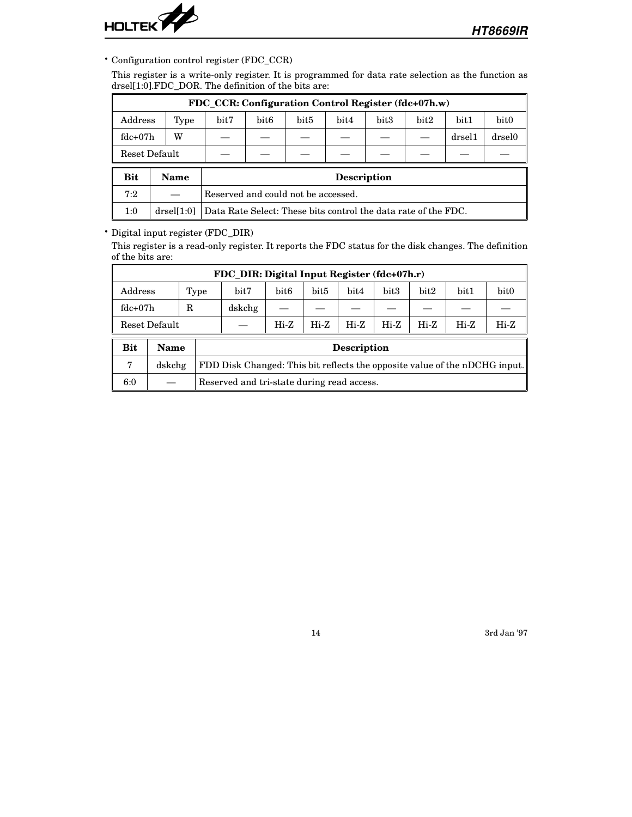

• Configuration control register (FDC\_CCR)

This register is a write-only register. It is programmed for data rate selection as the function as drsel[1:0].FDC\_DOR. The definition of the bits are:

|               | FDC CCR: Configuration Control Register (fdc+07h.w) |      |                                                                |      |                    |      |      |        |                  |  |  |
|---------------|-----------------------------------------------------|------|----------------------------------------------------------------|------|--------------------|------|------|--------|------------------|--|--|
| Address       | Type                                                | bit7 | bit <sub>6</sub>                                               | bit5 | bit4               | bit3 | bit2 | bit1   | bit <sub>0</sub> |  |  |
| $fdc+07h$     | W                                                   |      | drse11                                                         |      |                    |      |      | drsel0 |                  |  |  |
| Reset Default |                                                     |      |                                                                |      |                    |      |      |        |                  |  |  |
| <b>Bit</b>    | Name                                                |      |                                                                |      | <b>Description</b> |      |      |        |                  |  |  |
| 7:2           |                                                     |      | Reserved and could not be accessed.                            |      |                    |      |      |        |                  |  |  |
| 1:0           | drself1:01                                          |      | Data Rate Select: These bits control the data rate of the FDC. |      |                    |      |      |        |                  |  |  |

# • Digital input register (FDC\_DIR)

This register is a read-only register. It reports the FDC status for the disk changes. The definition of the bits are:

|                                                                         | FDC DIR: Digital Input Register (fdc+07h.r) |   |                                                                            |                  |                  |                    |      |      |      |                  |  |  |
|-------------------------------------------------------------------------|---------------------------------------------|---|----------------------------------------------------------------------------|------------------|------------------|--------------------|------|------|------|------------------|--|--|
| Address                                                                 | bit7<br>Type                                |   |                                                                            | bit <sub>6</sub> | bit <sub>5</sub> | bit4               | bit3 | bit2 | bit1 | bit <sub>0</sub> |  |  |
| $fdc+07h$                                                               |                                             | R | dskchg                                                                     |                  |                  |                    |      |      |      |                  |  |  |
| $Hi-Z$<br>$Hi-Z$<br>$Hi-Z$<br>$Hi-Z$<br>Hi-Z<br>$Hi-Z$<br>Reset Default |                                             |   |                                                                            |                  |                  |                    | Hi-Z |      |      |                  |  |  |
| <b>Bit</b>                                                              | <b>Name</b>                                 |   |                                                                            |                  |                  | <b>Description</b> |      |      |      |                  |  |  |
| 7                                                                       | dskchg                                      |   | FDD Disk Changed: This bit reflects the opposite value of the nDCHG input. |                  |                  |                    |      |      |      |                  |  |  |
| 6:0                                                                     |                                             |   | Reserved and tri-state during read access.                                 |                  |                  |                    |      |      |      |                  |  |  |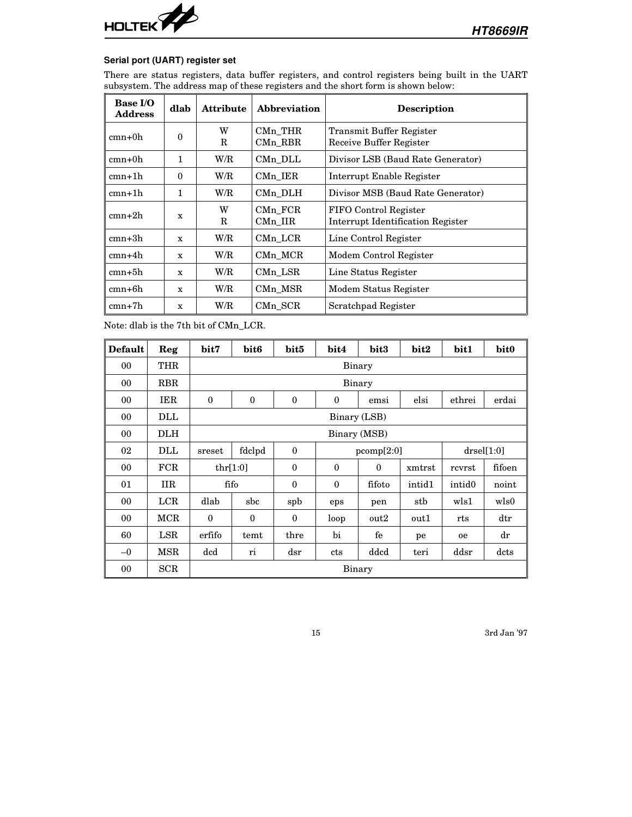

# **Serial port (UART) register set**

There are status registers, data buffer registers, and control registers being built in the UART subsystem. The address map of these registers and the short form is shown below:

| <b>Base I/O</b><br><b>Address</b> | dlab         | <b>Attribute</b> | <b>Abbreviation</b> | <b>Description</b>                                         |
|-----------------------------------|--------------|------------------|---------------------|------------------------------------------------------------|
| $cmn+0h$                          | $\Omega$     | W<br>R           | CMn THR<br>CMn RBR  | Transmit Buffer Register<br>Receive Buffer Register        |
| $cmn+0h$                          | 1            | W/R              | CMn_DLL             | Divisor LSB (Baud Rate Generator)                          |
| $cmn+1h$                          | $\theta$     | W/R              | CMn_IER             | Interrupt Enable Register                                  |
| $cmn+1h$                          | 1            | W/R              | CMn DLH             | Divisor MSB (Baud Rate Generator)                          |
| $cmn+2h$                          | X            | W<br>R           | CMn FCR<br>CMn IIR  | FIFO Control Register<br>Interrupt Identification Register |
| $cmn+3h$                          | $\mathbf{x}$ | W/R              | CMn LCR             | Line Control Register                                      |
| $cmn+4h$                          | X            | W/R              | CMn MCR             | Modem Control Register                                     |
| $cmn+5h$                          | $\mathbf{x}$ | W/R              | CMn LSR             | Line Status Register                                       |
| $cmn+6h$                          | $\mathbf{x}$ | W/R              | CMn MSR             | Modem Status Register                                      |
| $cmn+7h$                          | X            | W/R              | CMn SCR             | Scratchpad Register                                        |

Note: dlab is the 7th bit of CMn\_LCR.

| <b>Default</b> | Reg        | bit7                                                                   | bit <sub>6</sub>                                 | bit5         | bit4         | bit3             | bit2   | bit1               | bit <sub>0</sub> |  |  |
|----------------|------------|------------------------------------------------------------------------|--------------------------------------------------|--------------|--------------|------------------|--------|--------------------|------------------|--|--|
| 00             | THR        |                                                                        | Binary                                           |              |              |                  |        |                    |                  |  |  |
| 00             | <b>RBR</b> |                                                                        | Binary                                           |              |              |                  |        |                    |                  |  |  |
| 00             | IER        | $\Omega$<br>$\Omega$<br>$\theta$<br>elsi<br>ethrei<br>$\theta$<br>emsi |                                                  |              |              |                  |        | erdai              |                  |  |  |
| 00             | DLL        |                                                                        | Binary (LSB)                                     |              |              |                  |        |                    |                  |  |  |
| 00             | <b>DLH</b> |                                                                        | Binary (MSB)                                     |              |              |                  |        |                    |                  |  |  |
| 02             | DLL        | sreset                                                                 | fdclpd                                           | $\mathbf{0}$ |              | pcomp[2:0]       |        |                    | $drself1:0$ ]    |  |  |
| 00             | FCR        |                                                                        | thr[1:0]                                         | $\mathbf{0}$ | $\mathbf{0}$ | $\Omega$         | xmtrst | rcvrst             | fifoen           |  |  |
| 01             | <b>IIR</b> |                                                                        | fifo                                             | $\mathbf{0}$ | $\theta$     | fifoto           | intid1 | intid <sub>0</sub> | noint            |  |  |
| 00             | LCR        | dlab                                                                   | sbc                                              | spb          | eps          | pen              | stb    | wls1               | wls0             |  |  |
| 00             | MCR        | $\theta$                                                               | $\mathbf{0}$                                     | $\Omega$     | loop         | out <sub>2</sub> | out1   | rts                | $_{\rm dtr}$     |  |  |
| 60             | LSR        | erfifo                                                                 | temt                                             | thre         | bi           | fe               | pe     | <sub>0e</sub>      | dr               |  |  |
| $-0$           | MSR        | dcd                                                                    | ddcd<br>ddsr<br>dsr<br>dcts<br>teri<br>cts<br>ri |              |              |                  |        |                    |                  |  |  |
| 00             | SCR        |                                                                        | Binary                                           |              |              |                  |        |                    |                  |  |  |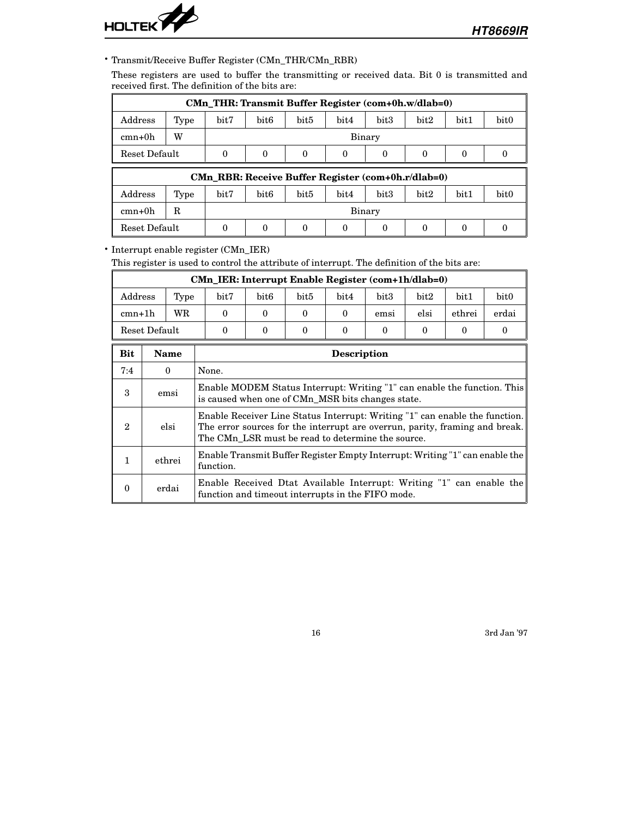

### • Transmit/Receive Buffer Register (CMn\_THR/CMn\_RBR)

These registers are used to buffer the transmitting or received data. Bit 0 is transmitted and received first. The definition of the bits are:

| CMn_THR: Transmit Buffer Register (com+0h.w/dlab=0)                               |                                                    |      |                  |                  |      |      |      |      |                  |  |  |
|-----------------------------------------------------------------------------------|----------------------------------------------------|------|------------------|------------------|------|------|------|------|------------------|--|--|
| Address                                                                           | Type                                               | bit7 | bit <sub>6</sub> | bit <sub>5</sub> | bit4 | bit3 | bit2 | bit1 | bit <sub>0</sub> |  |  |
| $cmn+0h$                                                                          | W                                                  |      | Binary           |                  |      |      |      |      |                  |  |  |
| Reset Default<br>0<br>$\Omega$<br>$\Omega$<br>$\Omega$<br>$\Omega$<br>0<br>$_{0}$ |                                                    |      |                  |                  |      |      | 0    |      |                  |  |  |
|                                                                                   | CMn RBR: Receive Buffer Register (com+0h.r/dlab=0) |      |                  |                  |      |      |      |      |                  |  |  |
| Address                                                                           | Type                                               | bit7 | bit <sub>6</sub> | bit5             | bit4 | bit3 | bit2 | bit1 | bit <sub>0</sub> |  |  |
| $cmn+0h$                                                                          | R<br>Binary                                        |      |                  |                  |      |      |      |      |                  |  |  |
| Reset Default<br>0<br>0<br>0                                                      |                                                    |      |                  |                  |      |      |      |      |                  |  |  |

• Interrupt enable register (CMn\_IER)

This register is used to control the attribute of interrupt. The definition of the bits are:

| CMn_IER: Interrupt Enable Register (com+1h/dlab=0) |      |      |                  |      |      |      |      |        |                  |  |
|----------------------------------------------------|------|------|------------------|------|------|------|------|--------|------------------|--|
| Address                                            | Type | bit7 | bit <sub>6</sub> | bit5 | bit4 | bit3 | bit2 | bit1   | bit <sub>0</sub> |  |
| $cmn+1h$                                           | WR   |      |                  |      |      | emsi | elsi | ethrei | erdai            |  |
| Reset Default                                      |      |      |                  |      |      |      |      |        |                  |  |

| <b>Bit</b> | <b>Name</b> | <b>Description</b>                                                                                                                                                                                              |
|------------|-------------|-----------------------------------------------------------------------------------------------------------------------------------------------------------------------------------------------------------------|
| 7:4        | $\theta$    | None.                                                                                                                                                                                                           |
| 3          | emsi        | Enable MODEM Status Interrupt: Writing "1" can enable the function. This<br>is caused when one of CMn MSR bits changes state.                                                                                   |
| 2          | elsi        | Enable Receiver Line Status Interrupt: Writing "1" can enable the function.<br>The error sources for the interrupt are overrun, parity, framing and break.<br>The CMn_LSR must be read to determine the source. |
|            | ethrei      | Enable Transmit Buffer Register Empty Interrupt: Writing "1" can enable the<br>function.                                                                                                                        |
|            | erdai       | Enable Received Dtat Available Interrupt: Writing "1" can enable the<br>function and timeout interrupts in the FIFO mode.                                                                                       |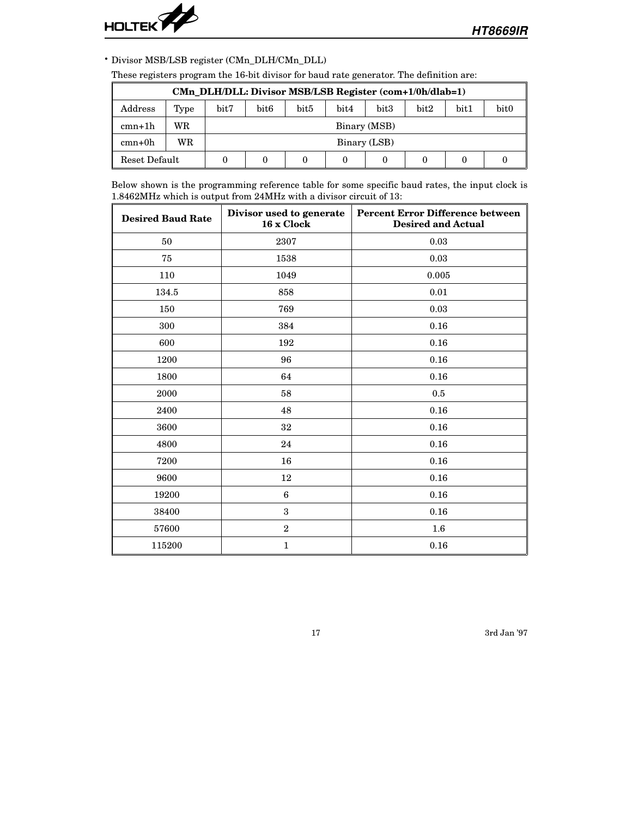

• Divisor MSB/LSB register (CMn\_DLH/CMn\_DLL)

| CMn DLH/DLL: Divisor MSB/LSB Register (com+1/0h/dlab=1) |                                                                                  |  |              |  |  |  |  |  |  |
|---------------------------------------------------------|----------------------------------------------------------------------------------|--|--------------|--|--|--|--|--|--|
| Address                                                 | bit3<br>bit2<br>bit1<br>bit0<br>bit7<br>bit6<br>bit <sub>5</sub><br>bit4<br>Type |  |              |  |  |  |  |  |  |
| $cmn+1h$                                                | WR                                                                               |  | Binary (MSB) |  |  |  |  |  |  |
| $cmn+0h$                                                | WR.                                                                              |  | Binary (LSB) |  |  |  |  |  |  |
| Reset Default                                           |                                                                                  |  |              |  |  |  |  |  |  |

These registers program the 16-bit divisor for baud rate generator. The definition are:

Below shown is the programming reference table for some specific baud rates, the input clock is 1.8462MHz which is output from 24MHz with a divisor circuit of 13:

| <b>Desired Baud Rate</b> | Divisor used to generate<br>16 x Clock | <b>Percent Error Difference between</b><br><b>Desired and Actual</b> |
|--------------------------|----------------------------------------|----------------------------------------------------------------------|
| 50                       | 2307                                   | 0.03                                                                 |
| 75                       | 1538                                   | 0.03                                                                 |
| 110                      | 1049                                   | 0.005                                                                |
| 134.5                    | 858                                    | 0.01                                                                 |
| 150                      | 769                                    | 0.03                                                                 |
| 300                      | 384                                    | 0.16                                                                 |
| 600                      | 192                                    | 0.16                                                                 |
| 1200                     | 96                                     | 0.16                                                                 |
| 1800                     | 64                                     | 0.16                                                                 |
| 2000                     | 58                                     | 0.5                                                                  |
| 2400                     | 48                                     | 0.16                                                                 |
| 3600                     | 32                                     | 0.16                                                                 |
| 4800                     | 24                                     | 0.16                                                                 |
| 7200                     | 16                                     | 0.16                                                                 |
| 9600                     | 12                                     | 0.16                                                                 |
| 19200                    | $6\phantom{1}6$                        | 0.16                                                                 |
| 38400                    | 3                                      | 0.16                                                                 |
| 57600                    | $\,2$                                  | $1.6\,$                                                              |
| 115200                   | $\mathbf{1}$                           | 0.16                                                                 |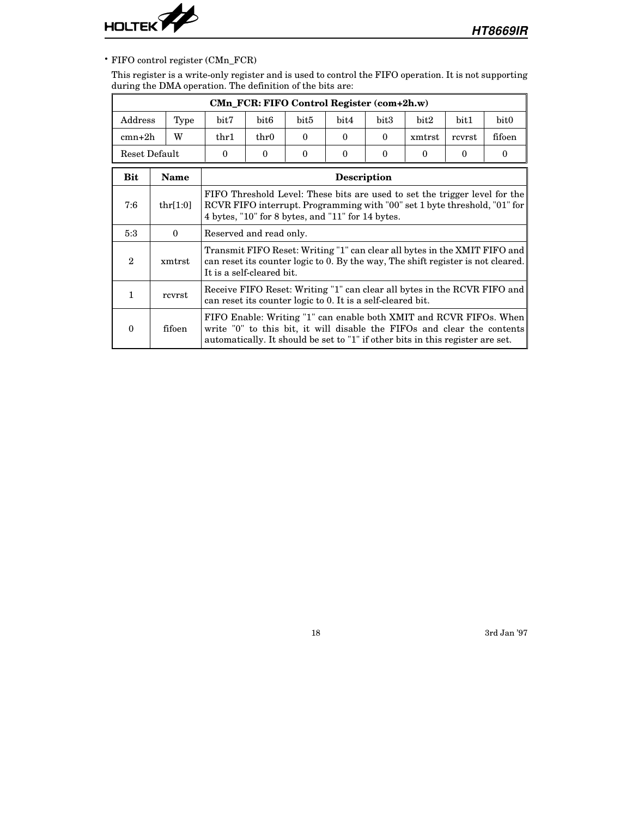

# • FIFO control register (CMn\_FCR)

This register is a write-only register and is used to control the FIFO operation. It is not supporting during the DMA operation. The definition of the bits are:

| CMn_FCR: FIFO Control Register (com+2h.w) |             |                                                                                                                                                                                                                                         |                                                                                                                                                                                                                     |  |                    |  |  |   |                                                                                                                                               |
|-------------------------------------------|-------------|-----------------------------------------------------------------------------------------------------------------------------------------------------------------------------------------------------------------------------------------|---------------------------------------------------------------------------------------------------------------------------------------------------------------------------------------------------------------------|--|--------------------|--|--|---|-----------------------------------------------------------------------------------------------------------------------------------------------|
| Address                                   | Type        | bit7<br>bit3<br>bit6<br>bit5<br>bit4<br>bit2<br>bit1<br>W<br>$_{\rm thr1}$<br>$_{\rm thr0}$<br>$\Omega$<br>$\Omega$<br>$\Omega$<br>xmtrst<br>rcvrst<br>$\theta$<br>$\theta$<br>$\theta$<br>$\Omega$<br>$\Omega$<br>$\Omega$<br>$\Omega$ |                                                                                                                                                                                                                     |  |                    |  |  |   | bit0                                                                                                                                          |
| $cmn+2h$                                  |             |                                                                                                                                                                                                                                         |                                                                                                                                                                                                                     |  |                    |  |  |   | fifoen                                                                                                                                        |
| Reset Default                             |             |                                                                                                                                                                                                                                         |                                                                                                                                                                                                                     |  |                    |  |  | 0 |                                                                                                                                               |
| <b>Bit</b>                                | <b>Name</b> |                                                                                                                                                                                                                                         |                                                                                                                                                                                                                     |  | <b>Description</b> |  |  |   |                                                                                                                                               |
| 7:6                                       | thr $[1:0]$ |                                                                                                                                                                                                                                         | <b>FIFO</b> Threshold Level: These bits are used to set the trigger level for the<br>RCVR FIFO interrupt. Programming with "00" set 1 byte threshold, "01" for<br>4 bytes, "10" for 8 bytes, and "11" for 14 bytes. |  |                    |  |  |   |                                                                                                                                               |
| 5:3                                       | $\theta$    | Reserved and read only.                                                                                                                                                                                                                 |                                                                                                                                                                                                                     |  |                    |  |  |   |                                                                                                                                               |
| $\mathbf{2}$                              | xmtrst      |                                                                                                                                                                                                                                         | Transmit FIFO Reset: Writing "1" can clear all bytes in the XMIT FIFO and<br>can reset its counter logic to 0. By the way, The shift register is not cleared.<br>It is a self-cleared bit.                          |  |                    |  |  |   |                                                                                                                                               |
| 1                                         | rcvrst      |                                                                                                                                                                                                                                         | Receive FIFO Reset: Writing "1" can clear all bytes in the RCVR FIFO and<br>can reset its counter logic to 0. It is a self-cleared bit.                                                                             |  |                    |  |  |   |                                                                                                                                               |
| 0                                         | fifoen      | automatically. It should be set to "1" if other bits in this register are set.                                                                                                                                                          |                                                                                                                                                                                                                     |  |                    |  |  |   | FIFO Enable: Writing "1" can enable both XMIT and RCVR FIFOs. When<br>write "0" to this bit, it will disable the FIFOs and clear the contents |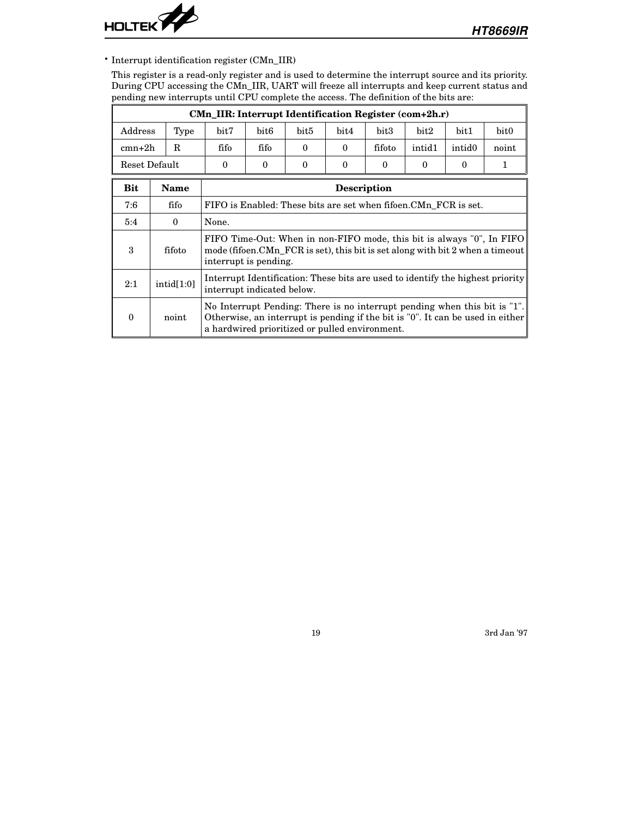

• Interrupt identification register (CMn\_IIR)

This register is a read-only register and is used to determine the interrupt source and its priority. During CPU accessing the CMn\_IIR, UART will freeze all interrupts and keep current status and pending new interrupts until CPU complete the access. The definition of the bits are:

|            |                                                                                                                                                                                                                                                 | CMn_IIR: Interrupt Identification Register (com+2h.r)                                                                       |                                                                                                                                                                                 |  |                    |      |  |  |                                                                                |  |
|------------|-------------------------------------------------------------------------------------------------------------------------------------------------------------------------------------------------------------------------------------------------|-----------------------------------------------------------------------------------------------------------------------------|---------------------------------------------------------------------------------------------------------------------------------------------------------------------------------|--|--------------------|------|--|--|--------------------------------------------------------------------------------|--|
| Address    | bit5<br>Type<br>bit7<br>bit <sub>6</sub><br>bit4<br>bit3<br>bit2<br>bit1<br>fifo<br>fifo<br>R<br>fifoto<br>intid1<br>intid <sub>0</sub><br>$\theta$<br>$\Omega$<br>Reset Default<br>$\Omega$<br>$\Omega$<br>0<br>$\theta$<br>0<br>0<br>$\theta$ |                                                                                                                             |                                                                                                                                                                                 |  |                    | bit0 |  |  |                                                                                |  |
| $cmn+2h$   |                                                                                                                                                                                                                                                 |                                                                                                                             |                                                                                                                                                                                 |  |                    |      |  |  | noint                                                                          |  |
|            |                                                                                                                                                                                                                                                 |                                                                                                                             |                                                                                                                                                                                 |  |                    |      |  |  |                                                                                |  |
| <b>Bit</b> | Name                                                                                                                                                                                                                                            |                                                                                                                             |                                                                                                                                                                                 |  | <b>Description</b> |      |  |  |                                                                                |  |
| 7:6        | fifo                                                                                                                                                                                                                                            | FIFO is Enabled: These bits are set when fifoen.CMn FCR is set.                                                             |                                                                                                                                                                                 |  |                    |      |  |  |                                                                                |  |
| 5:4        | $\theta$                                                                                                                                                                                                                                        | None.                                                                                                                       |                                                                                                                                                                                 |  |                    |      |  |  |                                                                                |  |
| 3          | fifoto                                                                                                                                                                                                                                          |                                                                                                                             | FIFO Time-Out: When in non-FIFO mode, this bit is always "0", In FIFO<br>mode (fifoen.CMn FCR is set), this bit is set along with bit 2 when a timeout<br>interrupt is pending. |  |                    |      |  |  |                                                                                |  |
| 2:1        | intid[1:0]                                                                                                                                                                                                                                      |                                                                                                                             | Interrupt Identification: These bits are used to identify the highest priority<br>interrupt indicated below.                                                                    |  |                    |      |  |  |                                                                                |  |
| 0          | noint                                                                                                                                                                                                                                           | No Interrupt Pending: There is no interrupt pending when this bit is "1".<br>a hardwired prioritized or pulled environment. |                                                                                                                                                                                 |  |                    |      |  |  | Otherwise, an interrupt is pending if the bit is "0". It can be used in either |  |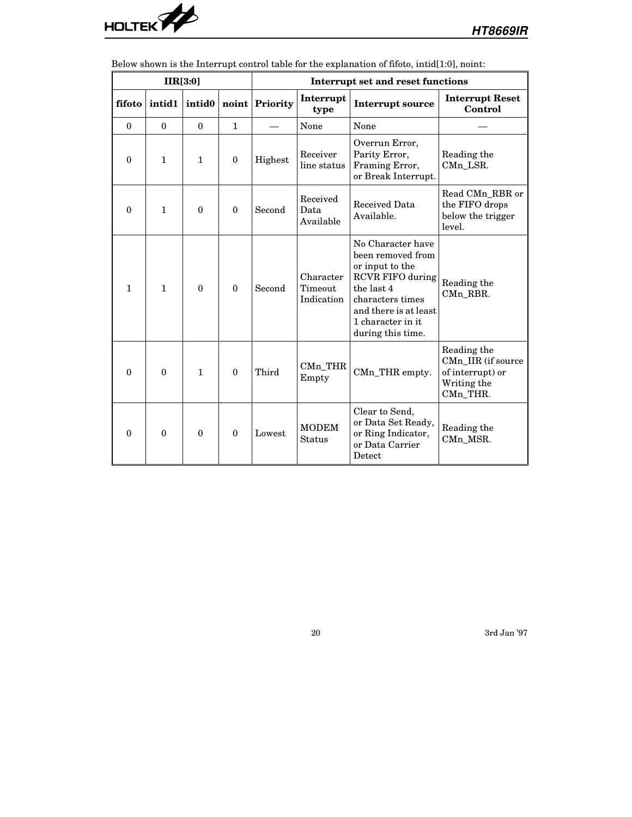

|              |              | IIR[3:0]           |              | Interrupt set and reset functions |                                    |                                                                                                                                                                                           |                                                                                  |  |  |
|--------------|--------------|--------------------|--------------|-----------------------------------|------------------------------------|-------------------------------------------------------------------------------------------------------------------------------------------------------------------------------------------|----------------------------------------------------------------------------------|--|--|
| fifoto       | intid1       | intid <sub>0</sub> |              | noint Priority                    | Interrupt<br>type                  | <b>Interrupt source</b>                                                                                                                                                                   | <b>Interrupt Reset</b><br>Control                                                |  |  |
| $\mathbf{0}$ | $\mathbf{0}$ | $\mathbf{0}$       | $\mathbf{1}$ |                                   | None                               | None                                                                                                                                                                                      |                                                                                  |  |  |
| $\theta$     | $\mathbf{1}$ | $\mathbf{1}$       | $\mathbf{0}$ | Highest                           | Receiver<br>line status            | Overrun Error,<br>Parity Error,<br>Framing Error,<br>or Break Interrupt.                                                                                                                  | Reading the<br>CMn_LSR.                                                          |  |  |
| $\mathbf{0}$ | $\mathbf{1}$ | $\theta$           | $\mathbf{0}$ | Second                            | Received<br>Data<br>Available      | Received Data<br>Available.                                                                                                                                                               | Read CMn_RBR or<br>the FIFO drops<br>below the trigger<br>level.                 |  |  |
| $\mathbf{1}$ | $\mathbf{1}$ | $\theta$           | $\theta$     | Second                            | Character<br>Timeout<br>Indication | No Character have<br>been removed from<br>or input to the<br><b>RCVR FIFO during</b><br>the last 4<br>characters times<br>and there is at least<br>1 character in it<br>during this time. | Reading the<br>CMn_RBR.                                                          |  |  |
| $\theta$     | $\Omega$     | $\mathbf{1}$       | $\theta$     | Third                             | $CMn_THR$<br>Empty                 | CMn_THR empty.                                                                                                                                                                            | Reading the<br>CMn_IIR (if source<br>of interrupt) or<br>Writing the<br>CMn THR. |  |  |
| $\theta$     | $\theta$     | $\theta$           | $\Omega$     | Lowest                            | <b>MODEM</b><br>Status             | Clear to Send,<br>or Data Set Ready,<br>or Ring Indicator,<br>or Data Carrier<br>Detect                                                                                                   | Reading the<br>CMn_MSR.                                                          |  |  |

Below shown is the Interrupt control table for the explanation of fifoto, intid[1:0], noint: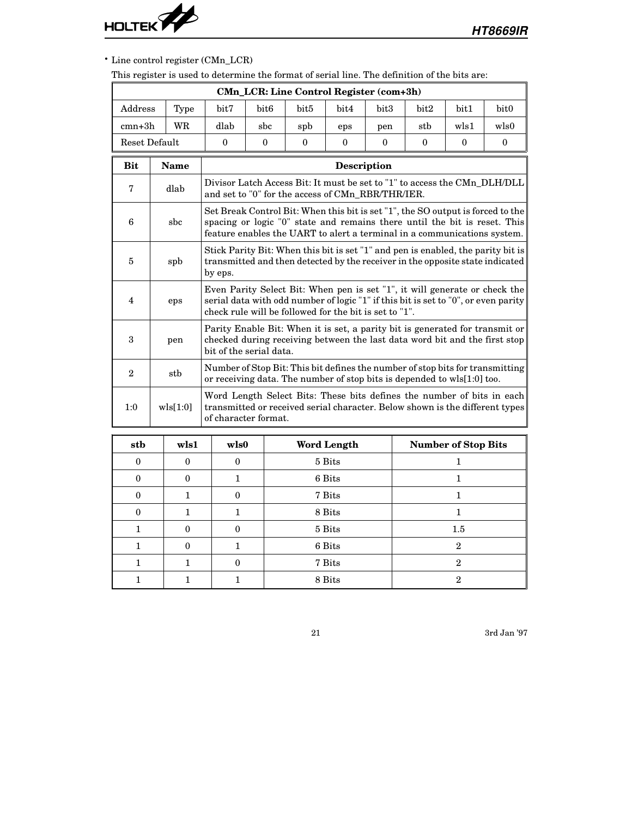

# • Line control register (CMn\_LCR)

This register is used to determine the format of serial line. The definition of the bits are:

|               |             |                      |                                                                                                                                                                                                                                          | <b>CMn LCR: Line Control Register (com+3h)</b> |                    |              |              |                     |                                                                                                                                                        |  |  |  |
|---------------|-------------|----------------------|------------------------------------------------------------------------------------------------------------------------------------------------------------------------------------------------------------------------------------------|------------------------------------------------|--------------------|--------------|--------------|---------------------|--------------------------------------------------------------------------------------------------------------------------------------------------------|--|--|--|
| Address       | Type        | bit7                 | bit <sub>6</sub><br>bit <sub>5</sub><br>bit4<br>bit3<br>bit2<br>bit <sub>0</sub><br>bit1                                                                                                                                                 |                                                |                    |              |              |                     |                                                                                                                                                        |  |  |  |
| $cmn+3h$      | WR          | dlab                 | wls1<br>wls0<br>sbc<br>stb<br>spb<br>eps<br>pen                                                                                                                                                                                          |                                                |                    |              |              |                     |                                                                                                                                                        |  |  |  |
| Reset Default |             | $\mathbf{0}$         | $\theta$                                                                                                                                                                                                                                 | $\theta$                                       | $\mathbf{0}$       | $\mathbf{0}$ | $\mathbf{0}$ | $\mathbf{0}$        | $\bf{0}$                                                                                                                                               |  |  |  |
| <b>Bit</b>    | <b>Name</b> |                      |                                                                                                                                                                                                                                          |                                                | <b>Description</b> |              |              |                     |                                                                                                                                                        |  |  |  |
| 7             | dlab        |                      | Divisor Latch Access Bit: It must be set to "1" to access the CMn_DLH/DLL<br>and set to "0" for the access of CMn_RBR/THR/IER.                                                                                                           |                                                |                    |              |              |                     |                                                                                                                                                        |  |  |  |
| 6             | sbc         |                      | Set Break Control Bit: When this bit is set "1", the SO output is forced to the<br>spacing or logic "0" state and remains there until the bit is reset. This<br>feature enables the UART to alert a terminal in a communications system. |                                                |                    |              |              |                     |                                                                                                                                                        |  |  |  |
| 5             | spb         | by eps.              | Stick Parity Bit: When this bit is set "1" and pen is enabled, the parity bit is<br>transmitted and then detected by the receiver in the opposite state indicated                                                                        |                                                |                    |              |              |                     |                                                                                                                                                        |  |  |  |
| 4             | eps         |                      | Even Parity Select Bit: When pen is set "1", it will generate or check the<br>serial data with odd number of logic "1" if this bit is set to "0", or even parity<br>check rule will be followed for the bit is set to "1".               |                                                |                    |              |              |                     |                                                                                                                                                        |  |  |  |
| 3             | pen         |                      | Parity Enable Bit: When it is set, a parity bit is generated for transmit or<br>checked during receiving between the last data word bit and the first stop<br>bit of the serial data.                                                    |                                                |                    |              |              |                     |                                                                                                                                                        |  |  |  |
| $\mathbf{2}$  | stb         |                      | Number of Stop Bit: This bit defines the number of stop bits for transmitting<br>or receiving data. The number of stop bits is depended to wls[1:0] too.                                                                                 |                                                |                    |              |              |                     |                                                                                                                                                        |  |  |  |
| 1:0           | wls[1:0]    | of character format. |                                                                                                                                                                                                                                          |                                                |                    |              |              |                     | Word Length Select Bits: These bits defines the number of bits in each<br>transmitted or received serial character. Below shown is the different types |  |  |  |
| sth           | wls1        | wls0                 |                                                                                                                                                                                                                                          |                                                | Word Length        |              |              | Number of Ston Bits |                                                                                                                                                        |  |  |  |

| stb      | wls1     | wls0     | <b>Word Length</b> | <b>Number of Stop Bits</b> |
|----------|----------|----------|--------------------|----------------------------|
| $\Omega$ | $\Omega$ | $\Omega$ | 5 Bits             |                            |
| $\Omega$ | 0        |          | 6 Bits             |                            |
| $\Omega$ |          | $\Omega$ | 7 Bits             |                            |
| $\Omega$ |          |          | 8 Bits             |                            |
|          | 0        | $\theta$ | 5 Bits             | $1.5\,$                    |
|          | 0        |          | 6 Bits             | $\mathbf{2}$               |
|          |          | $\Omega$ | 7 Bits             | 2                          |
|          |          |          | 8 Bits             | 2                          |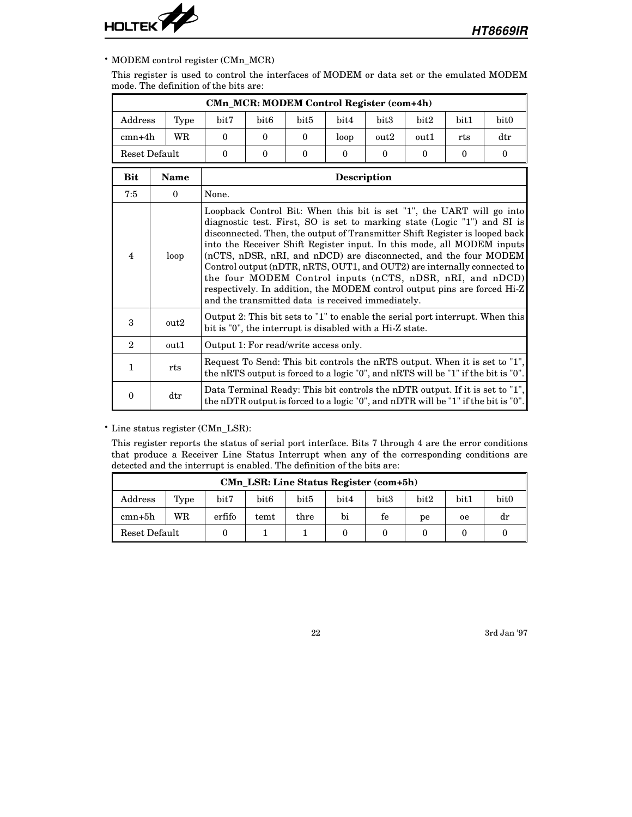

### • MODEM control register (CMn\_MCR)

This register is used to control the interfaces of MODEM or data set or the emulated MODEM mode. The definition of the bits are:

| <b>CMn_MCR: MODEM Control Register (com+4h)</b> |                         |                                                                                                                                           |                                                                                                                                                                                                                                                                                                                                                                                                                                                                                                                                                                                                                                                         |                  |                    |          |          |          |                                                                                                                                                                   |  |  |
|-------------------------------------------------|-------------------------|-------------------------------------------------------------------------------------------------------------------------------------------|---------------------------------------------------------------------------------------------------------------------------------------------------------------------------------------------------------------------------------------------------------------------------------------------------------------------------------------------------------------------------------------------------------------------------------------------------------------------------------------------------------------------------------------------------------------------------------------------------------------------------------------------------------|------------------|--------------------|----------|----------|----------|-------------------------------------------------------------------------------------------------------------------------------------------------------------------|--|--|
| Address                                         | Type                    | bit7                                                                                                                                      | bit <sub>6</sub>                                                                                                                                                                                                                                                                                                                                                                                                                                                                                                                                                                                                                                        | bit <sub>5</sub> | bit4               | bit3     | bit2     | bit1     | bit0                                                                                                                                                              |  |  |
| $cmn+4h$                                        | WR                      | $\theta$                                                                                                                                  | $\Omega$                                                                                                                                                                                                                                                                                                                                                                                                                                                                                                                                                                                                                                                | $\theta$         | loop               | out2     | out1     | rts      | $\rm dtr$                                                                                                                                                         |  |  |
|                                                 | Reset Default           | $\theta$                                                                                                                                  | $\theta$                                                                                                                                                                                                                                                                                                                                                                                                                                                                                                                                                                                                                                                | $\theta$         | $\theta$           | $\theta$ | $\theta$ | $\theta$ | $\theta$                                                                                                                                                          |  |  |
| <b>Bit</b>                                      | <b>Name</b>             |                                                                                                                                           |                                                                                                                                                                                                                                                                                                                                                                                                                                                                                                                                                                                                                                                         |                  | <b>Description</b> |          |          |          |                                                                                                                                                                   |  |  |
| 7:5                                             | $\theta$                | None.                                                                                                                                     |                                                                                                                                                                                                                                                                                                                                                                                                                                                                                                                                                                                                                                                         |                  |                    |          |          |          |                                                                                                                                                                   |  |  |
| $\overline{4}$                                  | loop                    |                                                                                                                                           | Loopback Control Bit: When this bit is set "1", the UART will go into<br>diagnostic test. First, SO is set to marking state (Logic "1") and SI is<br>disconnected. Then, the output of Transmitter Shift Register is looped back<br>into the Receiver Shift Register input. In this mode, all MODEM inputs<br>(nCTS, nDSR, nRI, and nDCD) are disconnected, and the four MODEM<br>Control output (nDTR, nRTS, OUT1, and OUT2) are internally connected to<br>the four MODEM Control inputs (nCTS, nDSR, nRI, and nDCD)<br>respectively. In addition, the MODEM control output pins are forced Hi-Z<br>and the transmitted data is received immediately. |                  |                    |          |          |          |                                                                                                                                                                   |  |  |
| 3                                               | out2                    | Output 2: This bit sets to "1" to enable the serial port interrupt. When this<br>bit is "0", the interrupt is disabled with a Hi-Z state. |                                                                                                                                                                                                                                                                                                                                                                                                                                                                                                                                                                                                                                                         |                  |                    |          |          |          |                                                                                                                                                                   |  |  |
| $\mathbf{2}$                                    | out1                    |                                                                                                                                           | Output 1: For read/write access only.                                                                                                                                                                                                                                                                                                                                                                                                                                                                                                                                                                                                                   |                  |                    |          |          |          |                                                                                                                                                                   |  |  |
| $\mathbf{1}$                                    | rts                     |                                                                                                                                           | Request To Send: This bit controls the nRTS output. When it is set to "1",<br>the nRTS output is forced to a logic "0", and nRTS will be "1" if the bit is "0".                                                                                                                                                                                                                                                                                                                                                                                                                                                                                         |                  |                    |          |          |          |                                                                                                                                                                   |  |  |
| $\bf{0}$                                        | $\mathrm{d}\mathrm{tr}$ |                                                                                                                                           |                                                                                                                                                                                                                                                                                                                                                                                                                                                                                                                                                                                                                                                         |                  |                    |          |          |          | Data Terminal Ready: This bit controls the nDTR output. If it is set to "1",<br>the nDTR output is forced to a logic "0", and nDTR will be "1" if the bit is "0". |  |  |

• Line status register (CMn\_LSR):

This register reports the status of serial port interface. Bits 7 through 4 are the error conditions that produce a Receiver Line Status Interrupt when any of the corresponding conditions are detected and the interrupt is enabled. The definition of the bits are:

|                | <b>CMn_LSR: Line Status Register (com+5h)</b> |        |                  |      |      |      |      |               |                  |  |  |
|----------------|-----------------------------------------------|--------|------------------|------|------|------|------|---------------|------------------|--|--|
| $\rm{Address}$ | Type                                          | bit7   | bit <sub>6</sub> | bit5 | bit4 | bit3 | bit2 | $_{\rm bit1}$ | bit <sub>0</sub> |  |  |
| $cmn+5h$       | WR                                            | erfifo | temt             | thre | bi   | fe   | рe   | 0e            | dr               |  |  |
| Reset Default  |                                               |        |                  |      |      |      |      |               |                  |  |  |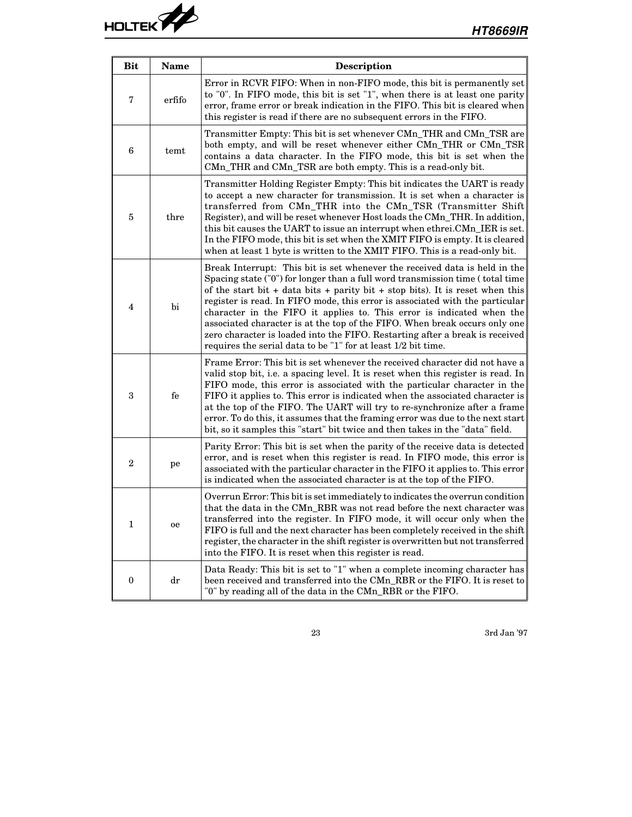| <b>Bit</b>       | Name                   | <b>Description</b>                                                                                                                                                                                                                                                                                                                                                                                                                                                                                                                                                                                                                   |
|------------------|------------------------|--------------------------------------------------------------------------------------------------------------------------------------------------------------------------------------------------------------------------------------------------------------------------------------------------------------------------------------------------------------------------------------------------------------------------------------------------------------------------------------------------------------------------------------------------------------------------------------------------------------------------------------|
| 7                | erfifo                 | Error in RCVR FIFO: When in non-FIFO mode, this bit is permanently set<br>to "0". In FIFO mode, this bit is set "1", when there is at least one parity<br>error, frame error or break indication in the FIFO. This bit is cleared when<br>this register is read if there are no subsequent errors in the FIFO.                                                                                                                                                                                                                                                                                                                       |
| 6                | temt                   | Transmitter Empty: This bit is set whenever CMn_THR and CMn_TSR are<br>both empty, and will be reset whenever either CMn_THR or CMn_TSR<br>contains a data character. In the FIFO mode, this bit is set when the<br>CMn_THR and CMn_TSR are both empty. This is a read-only bit.                                                                                                                                                                                                                                                                                                                                                     |
| 5                | thre                   | Transmitter Holding Register Empty: This bit indicates the UART is ready<br>to accept a new character for transmission. It is set when a character is<br>transferred from CMn_THR into the CMn_TSR (Transmitter Shift<br>Register), and will be reset whenever Host loads the CMn_THR. In addition,<br>this bit causes the UART to issue an interrupt when ethrei.CMn_IER is set.<br>In the FIFO mode, this bit is set when the XMIT FIFO is empty. It is cleared<br>when at least 1 byte is written to the XMIT FIFO. This is a read-only bit.                                                                                      |
| $\overline{4}$   | bi                     | Break Interrupt: This bit is set whenever the received data is held in the<br>Spacing state ("0") for longer than a full word transmission time (total time<br>of the start bit + data bits + parity bit + stop bits). It is reset when this<br>register is read. In FIFO mode, this error is associated with the particular<br>character in the FIFO it applies to. This error is indicated when the<br>associated character is at the top of the FIFO. When break occurs only one<br>zero character is loaded into the FIFO. Restarting after a break is received<br>requires the serial data to be "1" for at least 1/2 bit time. |
| 3                | fe                     | Frame Error: This bit is set whenever the received character did not have a<br>valid stop bit, i.e. a spacing level. It is reset when this register is read. In<br>FIFO mode, this error is associated with the particular character in the<br>FIFO it applies to. This error is indicated when the associated character is<br>at the top of the FIFO. The UART will try to re-synchronize after a frame<br>error. To do this, it assumes that the framing error was due to the next start<br>bit, so it samples this "start" bit twice and then takes in the "data" field.                                                          |
| $\mathbf 2$      | pe                     | Parity Error: This bit is set when the parity of the receive data is detected<br>error, and is reset when this register is read. In FIFO mode, this error is<br>associated with the particular character in the FIFO it applies to. This error<br>is indicated when the associated character is at the top of the FIFO.                                                                                                                                                                                                                                                                                                              |
| $\mathbf 1$      | oe                     | Overrun Error: This bit is set immediately to indicates the overrun condition<br>that the data in the CMn_RBR was not read before the next character was<br>transferred into the register. In FIFO mode, it will occur only when the<br>FIFO is full and the next character has been completely received in the shift<br>register, the character in the shift register is overwritten but not transferred<br>into the FIFO. It is reset when this register is read.                                                                                                                                                                  |
| $\boldsymbol{0}$ | $\mathrm{d}\mathbf{r}$ | Data Ready: This bit is set to "1" when a complete incoming character has<br>been received and transferred into the CMn_RBR or the FIFO. It is reset to<br>"0" by reading all of the data in the CMn_RBR or the FIFO.                                                                                                                                                                                                                                                                                                                                                                                                                |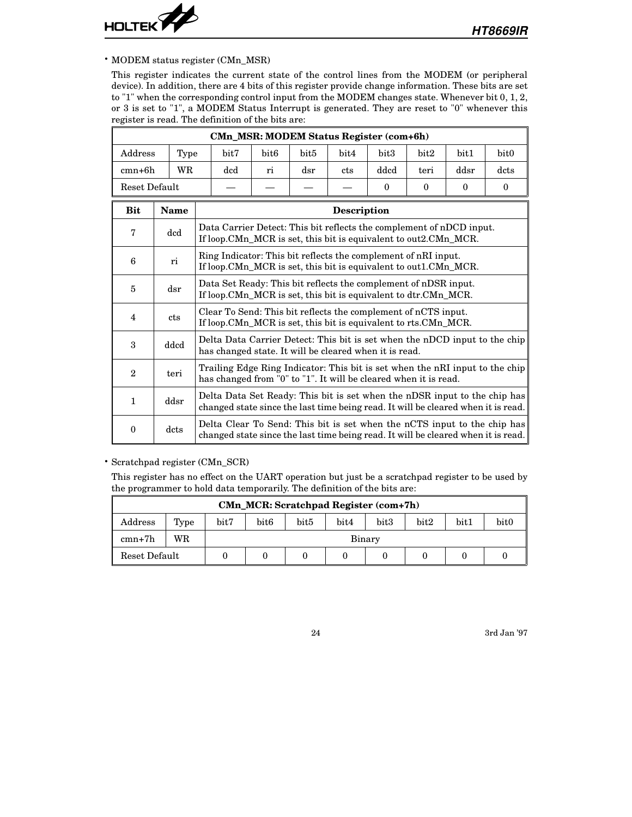

• MODEM status register (CMn\_MSR)

This register indicates the current state of the control lines from the MODEM (or peripheral device). In addition, there are 4 bits of this register provide change information. These bits are set to "1" when the corresponding control input from the MODEM changes state. Whenever bit 0, 1, 2, or 3 is set to "1", a MODEM Status Interrupt is generated. They are reset to "0" whenever this register is read. The definition of the bits are:

| Address        | Type         | CMn_MSR: MODEM Status Register (com+6h)<br>bit7<br>bit6<br>bit5<br>bit4<br>bit <sub>3</sub><br>bit2<br>bit <sub>0</sub><br>bit1                               |                                                                                                                                                                |     |             |              |          |              |          |  |
|----------------|--------------|---------------------------------------------------------------------------------------------------------------------------------------------------------------|----------------------------------------------------------------------------------------------------------------------------------------------------------------|-----|-------------|--------------|----------|--------------|----------|--|
| cmn+6h         | WR           | dcd                                                                                                                                                           | ri                                                                                                                                                             | dsr | cts         | dded         | teri     | ddsr         | dcts     |  |
| Reset Default  |              |                                                                                                                                                               |                                                                                                                                                                |     |             | $\mathbf{0}$ | $\bf{0}$ | $\mathbf{0}$ | $\theta$ |  |
| <b>Bit</b>     | <b>Name</b>  |                                                                                                                                                               |                                                                                                                                                                |     | Description |              |          |              |          |  |
| $\mathbf 7$    | $_{\rm dcd}$ |                                                                                                                                                               | Data Carrier Detect: This bit reflects the complement of nDCD input.<br>If loop.CMn_MCR is set, this bit is equivalent to out 2.CMn_MCR.                       |     |             |              |          |              |          |  |
| 6              | ri           |                                                                                                                                                               | Ring Indicator: This bit reflects the complement of nRI input.<br>If loop.CMn_MCR is set, this bit is equivalent to out1.CMn_MCR.                              |     |             |              |          |              |          |  |
| 5              | dsr          |                                                                                                                                                               | Data Set Ready: This bit reflects the complement of nDSR input.<br>If loop.CMn_MCR is set, this bit is equivalent to dtr.CMn_MCR.                              |     |             |              |          |              |          |  |
| 4              | cts          |                                                                                                                                                               | Clear To Send: This bit reflects the complement of nCTS input.<br>If loop.CMn_MCR is set, this bit is equivalent to rts.CMn_MCR.                               |     |             |              |          |              |          |  |
| 3              | ddcd         |                                                                                                                                                               | Delta Data Carrier Detect: This bit is set when the nDCD input to the chip<br>has changed state. It will be cleared when it is read.                           |     |             |              |          |              |          |  |
| $\overline{2}$ | teri         |                                                                                                                                                               | Trailing Edge Ring Indicator: This bit is set when the nRI input to the chip<br>has changed from "0" to "1". It will be cleared when it is read.               |     |             |              |          |              |          |  |
| $\mathbf{1}$   | ddsr         |                                                                                                                                                               | Delta Data Set Ready: This bit is set when the nDSR input to the chip has<br>changed state since the last time being read. It will be cleared when it is read. |     |             |              |          |              |          |  |
| $\mathbf{0}$   | dcts         | Delta Clear To Send: This bit is set when the nCTS input to the chip has<br>changed state since the last time being read. It will be cleared when it is read. |                                                                                                                                                                |     |             |              |          |              |          |  |

• Scratchpad register (CMn\_SCR)

This register has no effect on the UART operation but just be a scratchpad register to be used by the programmer to hold data temporarily. The definition of the bits are:

|               | <b>CMn_MCR: Scratchpad Register (com+7h)</b>                                                                   |  |        |  |  |  |  |  |  |  |  |
|---------------|----------------------------------------------------------------------------------------------------------------|--|--------|--|--|--|--|--|--|--|--|
| Address       | bit <sub>0</sub><br>bit7<br>bit3<br>$_{\rm bit5}$<br>bit2<br>$_{\rm bit1}$<br>bit <sub>6</sub><br>bit4<br>Type |  |        |  |  |  |  |  |  |  |  |
| $cmn+7h$      | WR                                                                                                             |  | Binary |  |  |  |  |  |  |  |  |
| Reset Default |                                                                                                                |  |        |  |  |  |  |  |  |  |  |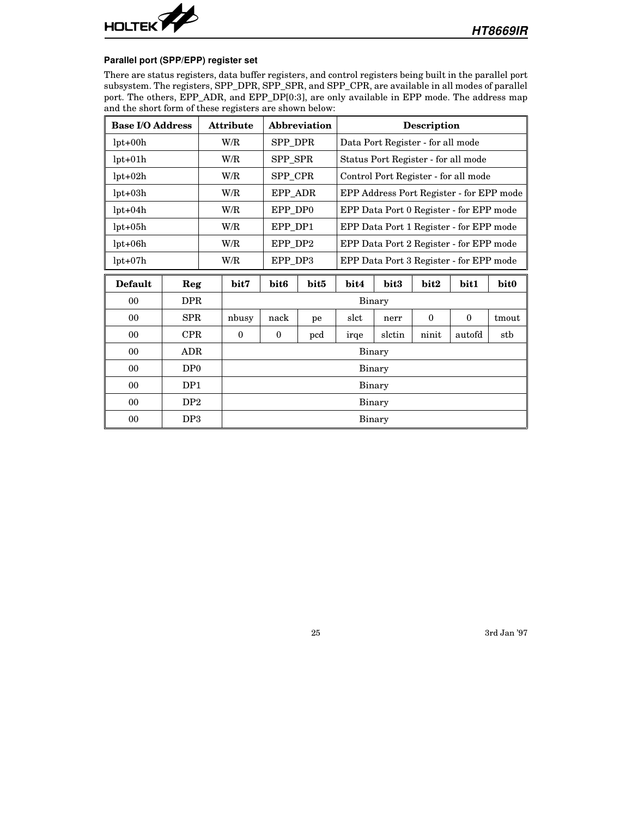

#### **Parallel port (SPP/EPP) register set**

There are status registers, data buffer registers, and control registers being built in the parallel port subsystem. The registers, SPP\_DPR, SPP\_SPR, and SPP\_CPR, are available in all modes of parallel port. The others, EPP\_ADR, and EPP\_DP[0:3], are only available in EPP mode. The address map and the short form of these registers are shown below:

| <b>Base I/O Address</b> |                 |     | <b>Attribute</b> | Abbreviation<br><b>Description</b>                 |      |        |        |                                         |                                          |       |  |
|-------------------------|-----------------|-----|------------------|----------------------------------------------------|------|--------|--------|-----------------------------------------|------------------------------------------|-------|--|
| $lpt+00h$               |                 |     | W/R              | SPP_DPR                                            |      |        |        | Data Port Register - for all mode       |                                          |       |  |
| $lpt+01h$               |                 |     | W/R              | SPP_SPR                                            |      |        |        |                                         | Status Port Register - for all mode      |       |  |
| $lpt+02h$               |                 |     | W/R              | SPP_CPR                                            |      |        |        |                                         | Control Port Register - for all mode     |       |  |
| $lpt+03h$               |                 |     | W/R              | EPP_ADR                                            |      |        |        |                                         | EPP Address Port Register - for EPP mode |       |  |
| $lpt+04h$               |                 |     | W/R              | EPP_DP0                                            |      |        |        |                                         | EPP Data Port 0 Register - for EPP mode  |       |  |
| $lpt+05h$               |                 |     | W/R<br>EPP DP1   |                                                    |      |        |        | EPP Data Port 1 Register - for EPP mode |                                          |       |  |
| $lpt+06h$               |                 | W/R |                  | EPP_DP2                                            |      |        |        |                                         | EPP Data Port 2 Register - for EPP mode  |       |  |
| $lpt+07h$               |                 |     | W/R              | EPP_DP3<br>EPP Data Port 3 Register - for EPP mode |      |        |        |                                         |                                          |       |  |
| <b>Default</b>          | Reg             |     | bit7             | bit <sub>6</sub>                                   | bit5 | bit4   | bit3   | bit2                                    | bit1                                     | bit0  |  |
| 00                      | <b>DPR</b>      |     |                  |                                                    |      | Binary |        |                                         |                                          |       |  |
| 00                      | SPR             |     | nbusy            | nack                                               | pe   | slct   | nerr   | $\bf{0}$                                | $\bf{0}$                                 | tmout |  |
| 0 <sub>0</sub>          | CPR             |     | $\Omega$         | $\theta$                                           | pcd  | irge   | slctin | ninit                                   | autofd                                   | stb   |  |
| 00                      | ADR             |     | Binary           |                                                    |      |        |        |                                         |                                          |       |  |
| 00                      | DP <sub>0</sub> |     | Binary           |                                                    |      |        |        |                                         |                                          |       |  |
| 00                      | DP <sub>1</sub> |     |                  |                                                    |      | Binary |        |                                         |                                          |       |  |
|                         |                 |     |                  | Binary                                             |      |        |        |                                         |                                          |       |  |
| 00                      | DP2             |     |                  |                                                    |      |        |        |                                         |                                          |       |  |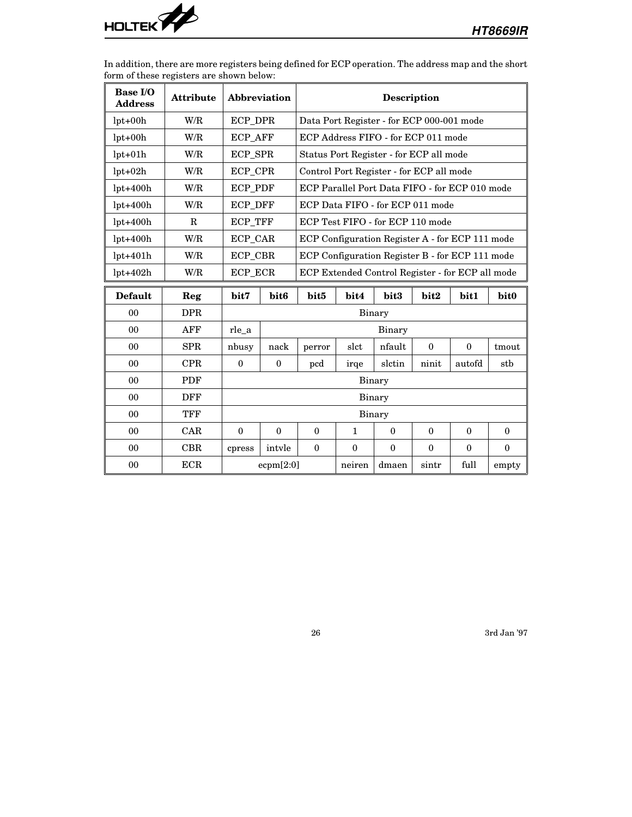

In addition, there are more registers being defined for ECP operation. The address map and the short form of these registers are shown below:

| <b>Base I/O</b><br><b>Address</b> | <b>Attribute</b> | Abbreviation                                                                         |                                                             |        |        | <b>Description</b>                        |          |                                                 |       |
|-----------------------------------|------------------|--------------------------------------------------------------------------------------|-------------------------------------------------------------|--------|--------|-------------------------------------------|----------|-------------------------------------------------|-------|
| $lpt+00h$                         | W/R              | ECP_DPR                                                                              |                                                             |        |        | Data Port Register - for ECP 000-001 mode |          |                                                 |       |
| $lpt+00h$                         | W/R              | ECP_AFF                                                                              |                                                             |        |        | ECP Address FIFO - for ECP 011 mode       |          |                                                 |       |
| $lpt+01h$                         | W/R              | ECP_SPR                                                                              |                                                             |        |        | Status Port Register - for ECP all mode   |          |                                                 |       |
| $lpt+02h$                         | W/R              | ECP_CPR                                                                              |                                                             |        |        | Control Port Register - for ECP all mode  |          |                                                 |       |
| $lpt+400h$                        | W/R              | <b>ECP_PDF</b>                                                                       |                                                             |        |        |                                           |          | ECP Parallel Port Data FIFO - for ECP 010 mode  |       |
| $lpt+400h$                        | W/R              | ECP_DFF                                                                              |                                                             |        |        | ECP Data FIFO - for ECP 011 mode          |          |                                                 |       |
| $lpt+400h$                        | $\mathbf R$      | <b>ECP_TFF</b>                                                                       |                                                             |        |        | ECP Test FIFO - for ECP 110 mode          |          |                                                 |       |
| $lpt+400h$                        | W/R              | ECP_CAR                                                                              |                                                             |        |        |                                           |          | ECP Configuration Register A - for ECP 111 mode |       |
| $lpt+401h$                        | W/R              | ECP_CBR                                                                              |                                                             |        |        |                                           |          | ECP Configuration Register B - for ECP 111 mode |       |
| $lpt+402h$                        | W/R              |                                                                                      | ECP_ECR<br>ECP Extended Control Register - for ECP all mode |        |        |                                           |          |                                                 |       |
| <b>Default</b>                    | Reg              | bit7                                                                                 | bit5<br>bit4<br>bit3<br>bit2<br>bit1<br>bit <sub>6</sub>    |        |        |                                           |          | bit <sub>0</sub>                                |       |
| 0 <sub>0</sub>                    | <b>DPR</b>       |                                                                                      |                                                             |        |        | Binary                                    |          |                                                 |       |
| 0 <sub>0</sub>                    | AFF              | rle_a                                                                                |                                                             |        |        | Binary                                    |          |                                                 |       |
| 0 <sub>0</sub>                    | <b>SPR</b>       | nbusy                                                                                | nack                                                        | perror | slct   | nfault                                    | $\Omega$ | $\bf{0}$                                        | tmout |
| 0 <sub>0</sub>                    | <b>CPR</b>       | $\theta$                                                                             | $\Omega$                                                    | pcd    | irge   | slctin                                    | ninit    | autofd                                          | stb   |
| 00                                | PDF              |                                                                                      |                                                             |        |        | <b>Binary</b>                             |          |                                                 |       |
| 0 <sub>0</sub>                    | <b>DFF</b>       |                                                                                      |                                                             |        |        | Binary                                    |          |                                                 |       |
| 00                                | <b>TFF</b>       |                                                                                      |                                                             |        |        | Binary                                    |          |                                                 |       |
| 0 <sub>0</sub>                    | CAR              | $\theta$<br>$\theta$<br>$\mathbf{1}$<br>$\Omega$<br>$\Omega$<br>$\Omega$<br>$\Omega$ |                                                             |        |        |                                           | $\theta$ |                                                 |       |
| 0 <sub>0</sub>                    | CBR              | intyle<br>$\theta$<br>$\mathbf{0}$<br>$\theta$<br>$\mathbf{0}$<br>$\theta$<br>cpress |                                                             |        |        |                                           | $\Omega$ |                                                 |       |
| 0 <sub>0</sub>                    | <b>ECR</b>       |                                                                                      | ecpm[2:0]                                                   |        | neiren | dmaen                                     | sintr    | full                                            | empty |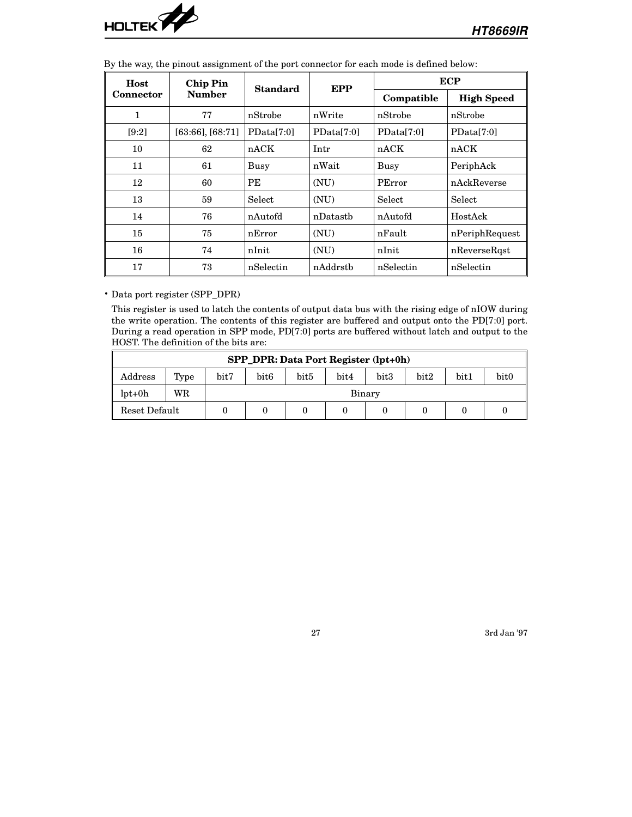

| Host             | <b>Chip Pin</b>       | <b>Standard</b> | <b>EPP</b> |            | <b>ECP</b>        |  |
|------------------|-----------------------|-----------------|------------|------------|-------------------|--|
| <b>Connector</b> | <b>Number</b>         |                 |            | Compatible | <b>High Speed</b> |  |
| 1                | 77                    | nStrobe         | nWrite     | nStrobe    | nStrobe           |  |
| [9:2]            | $[63:66]$ , $[68:71]$ | PData[7:0]      | PData[7:0] | PData[7:0] | PData[7:0]        |  |
| 10               | 62                    | nACK            | Intr       | nACK       | nACK              |  |
| 11               | 61                    | Busy            | nWait      | Busy       | PeriphAck         |  |
| 12               | 60                    | PE              | (NU)       | PError     | nAckReverse       |  |
| 13               | 59                    | Select          | (NU)       | Select     | Select            |  |
| 14               | 76                    | nAutofd         | nDatasth   | nAutofd    | HostAck           |  |
| 15               | 75                    | nError          | (NU)       | nFault     | nPeriphRequest    |  |
| 16               | 74                    | nInit           | (NU)       | nInit      | nReverseRast      |  |
| 17               | 73                    | nSelectin       | nAddrstb   | nSelectin  | nSelectin         |  |

By the way, the pinout assignment of the port connector for each mode is defined below:

• Data port register (SPP\_DPR)

This register is used to latch the contents of output data bus with the rising edge of nIOW during the write operation. The contents of this register are buffered and output onto the PD[7:0] port. During a read operation in SPP mode, PD[7:0] ports are buffered without latch and output to the HOST. The definition of the bits are:

|               | SPP DPR: Data Port Register (lpt+0h)                                                                     |  |        |  |  |  |  |  |  |  |  |  |  |
|---------------|----------------------------------------------------------------------------------------------------------|--|--------|--|--|--|--|--|--|--|--|--|--|
| Address       | bit <sub>0</sub><br>bit7<br>bit3<br>bit <sub>6</sub><br>bit <sub>5</sub><br>bit4<br>bit2<br>bit1<br>Type |  |        |  |  |  |  |  |  |  |  |  |  |
| $lpt+0h$      | WR                                                                                                       |  | Binary |  |  |  |  |  |  |  |  |  |  |
| Reset Default |                                                                                                          |  |        |  |  |  |  |  |  |  |  |  |  |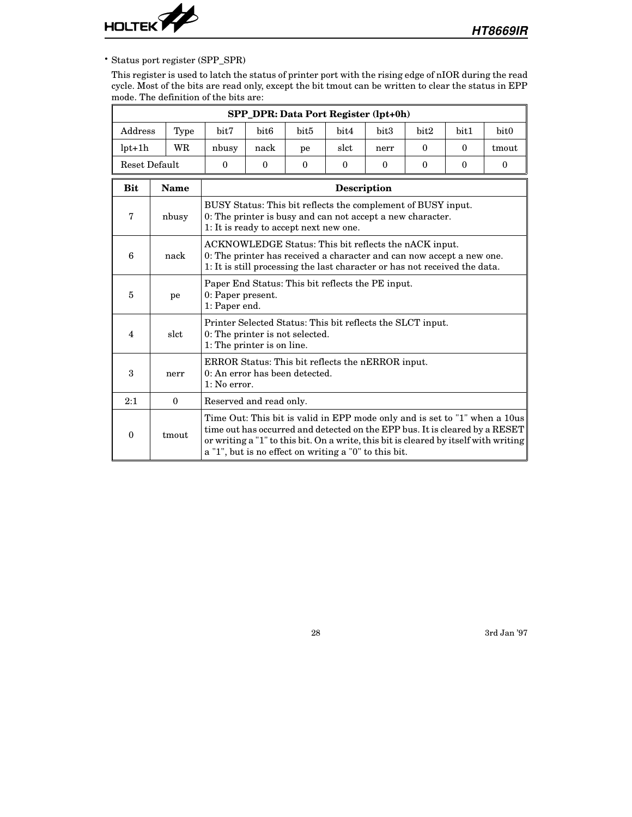

• Status port register (SPP\_SPR)

This register is used to latch the status of printer port with the rising edge of nIOR during the read cycle. Most of the bits are read only, except the bit tmout can be written to clear the status in EPP mode. The definition of the bits are:

|                                                                                                                                                                                                                                                                                                                                 | SPP_DPR: Data Port Register (lpt+0h)                                                                                                                                          |                                                                                                                             |                                                                                                                                                                                                              |                  |          |          |          |          |                  |  |  |  |  |
|---------------------------------------------------------------------------------------------------------------------------------------------------------------------------------------------------------------------------------------------------------------------------------------------------------------------------------|-------------------------------------------------------------------------------------------------------------------------------------------------------------------------------|-----------------------------------------------------------------------------------------------------------------------------|--------------------------------------------------------------------------------------------------------------------------------------------------------------------------------------------------------------|------------------|----------|----------|----------|----------|------------------|--|--|--|--|
| Address                                                                                                                                                                                                                                                                                                                         | Type                                                                                                                                                                          | bit7                                                                                                                        | bit <sub>6</sub>                                                                                                                                                                                             | bit <sub>5</sub> | bit4     | bit3     | bit2     | bit1     | bit <sub>0</sub> |  |  |  |  |
| $lpt+1h$                                                                                                                                                                                                                                                                                                                        | WR.                                                                                                                                                                           | nbusy                                                                                                                       | nack                                                                                                                                                                                                         | pe               | slct     | nerr     | $\Omega$ | $\Omega$ | tmout            |  |  |  |  |
| <b>Reset Default</b>                                                                                                                                                                                                                                                                                                            |                                                                                                                                                                               | $\mathbf{0}$                                                                                                                | $\theta$                                                                                                                                                                                                     | $\theta$         | $\theta$ | $\theta$ | $\theta$ | $\Omega$ | $\mathbf{0}$     |  |  |  |  |
| <b>Bit</b>                                                                                                                                                                                                                                                                                                                      | <b>Name</b><br><b>Description</b>                                                                                                                                             |                                                                                                                             |                                                                                                                                                                                                              |                  |          |          |          |          |                  |  |  |  |  |
| 7                                                                                                                                                                                                                                                                                                                               | BUSY Status: This bit reflects the complement of BUSY input.<br>0: The printer is busy and can not accept a new character.<br>nbusy<br>1: It is ready to accept next new one. |                                                                                                                             |                                                                                                                                                                                                              |                  |          |          |          |          |                  |  |  |  |  |
| 6                                                                                                                                                                                                                                                                                                                               | nack                                                                                                                                                                          |                                                                                                                             | ACKNOWLEDGE Status: This bit reflects the nACK input.<br>0: The printer has received a character and can now accept a new one.<br>1: It is still processing the last character or has not received the data. |                  |          |          |          |          |                  |  |  |  |  |
| 5                                                                                                                                                                                                                                                                                                                               | pe                                                                                                                                                                            |                                                                                                                             | Paper End Status: This bit reflects the PE input.<br>0: Paper present.<br>1: Paper end.                                                                                                                      |                  |          |          |          |          |                  |  |  |  |  |
| $\overline{\mathbf{4}}$                                                                                                                                                                                                                                                                                                         | slct                                                                                                                                                                          | Printer Selected Status: This bit reflects the SLCT input.<br>0: The printer is not selected.<br>1: The printer is on line. |                                                                                                                                                                                                              |                  |          |          |          |          |                  |  |  |  |  |
| 3                                                                                                                                                                                                                                                                                                                               | nerr                                                                                                                                                                          | ERROR Status: This bit reflects the nERROR input.<br>0: An error has been detected.<br>1: No error.                         |                                                                                                                                                                                                              |                  |          |          |          |          |                  |  |  |  |  |
| 2:1                                                                                                                                                                                                                                                                                                                             | $\theta$<br>Reserved and read only.                                                                                                                                           |                                                                                                                             |                                                                                                                                                                                                              |                  |          |          |          |          |                  |  |  |  |  |
| Time Out: This bit is valid in EPP mode only and is set to "1" when a 10us<br>time out has occurred and detected on the EPP bus. It is cleared by a RESET<br>tmout<br>$\bf{0}$<br>or writing a "1" to this bit. On a write, this bit is cleared by itself with writing<br>a "1", but is no effect on writing a "0" to this bit. |                                                                                                                                                                               |                                                                                                                             |                                                                                                                                                                                                              |                  |          |          |          |          |                  |  |  |  |  |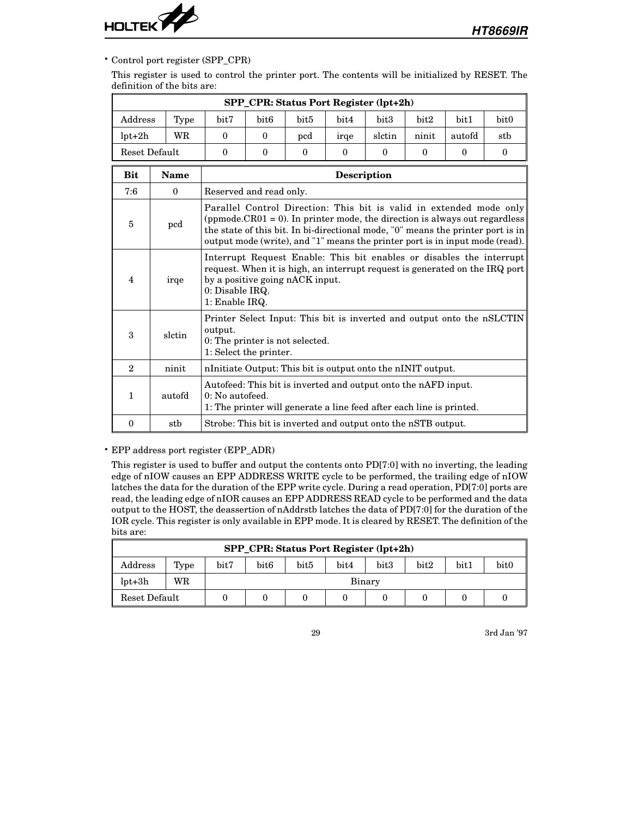

### • Control port register (SPP\_CPR)

This register is used to control the printer port. The contents will be initialized by RESET. The definition of the bits are:

|                | SPP_CPR: Status Port Register (lpt+2h) |                                                                                                                                                           |                                                                                                                                                                                                                                                                                                                      |                  |             |          |              |              |                                                                        |  |  |  |
|----------------|----------------------------------------|-----------------------------------------------------------------------------------------------------------------------------------------------------------|----------------------------------------------------------------------------------------------------------------------------------------------------------------------------------------------------------------------------------------------------------------------------------------------------------------------|------------------|-------------|----------|--------------|--------------|------------------------------------------------------------------------|--|--|--|
| Address        | Type                                   | bit7                                                                                                                                                      | bit <sub>6</sub>                                                                                                                                                                                                                                                                                                     | bit <sub>5</sub> | bit4        | bit3     | bit2         | bit1         | bit0                                                                   |  |  |  |
| $lpt+2h$       | <b>WR</b>                              | $\theta$                                                                                                                                                  | $\theta$                                                                                                                                                                                                                                                                                                             | $_{\rm{pcd}}$    | irge        | slctin   | ninit        | autofd       | stb                                                                    |  |  |  |
|                | Reset Default                          | $\Omega$                                                                                                                                                  | $\Omega$                                                                                                                                                                                                                                                                                                             | $\theta$         | $\theta$    | $\Omega$ | $\mathbf{0}$ | $\mathbf{0}$ | $\theta$                                                               |  |  |  |
| <b>Bit</b>     | <b>Name</b>                            |                                                                                                                                                           |                                                                                                                                                                                                                                                                                                                      |                  | Description |          |              |              |                                                                        |  |  |  |
| 7:6            | $\mathbf{0}$                           | Reserved and read only.                                                                                                                                   |                                                                                                                                                                                                                                                                                                                      |                  |             |          |              |              |                                                                        |  |  |  |
| 5              | pcd                                    |                                                                                                                                                           | Parallel Control Direction: This bit is valid in extended mode only<br>(ppmode.CR01 = 0). In printer mode, the direction is always out regardless<br>the state of this bit. In bi-directional mode, "0" means the printer port is in<br>output mode (write), and "1" means the printer port is in input mode (read). |                  |             |          |              |              |                                                                        |  |  |  |
| 4              | irqe                                   |                                                                                                                                                           | Interrupt Request Enable: This bit enables or disables the interrupt<br>request. When it is high, an interrupt request is generated on the IRQ port<br>by a positive going nACK input.<br>0: Disable IRQ.<br>1: Enable IRQ.                                                                                          |                  |             |          |              |              |                                                                        |  |  |  |
| 3              | slctin                                 | output.<br>0: The printer is not selected.<br>1: Select the printer.                                                                                      |                                                                                                                                                                                                                                                                                                                      |                  |             |          |              |              | Printer Select Input: This bit is inverted and output onto the nSLCTIN |  |  |  |
| $\overline{2}$ | ninit                                  | nInitiate Output: This bit is output onto the nINIT output.                                                                                               |                                                                                                                                                                                                                                                                                                                      |                  |             |          |              |              |                                                                        |  |  |  |
| $\mathbf{1}$   | autofd                                 | Autofeed: This bit is inverted and output onto the nAFD input.<br>0: No autofeed.<br>1. The printer will generate a line feed after each line is printed. |                                                                                                                                                                                                                                                                                                                      |                  |             |          |              |              |                                                                        |  |  |  |
| $\bf{0}$       | stb                                    | Strobe: This bit is inverted and output onto the nSTB output.                                                                                             |                                                                                                                                                                                                                                                                                                                      |                  |             |          |              |              |                                                                        |  |  |  |

• EPP address port register (EPP\_ADR)

This register is used to buffer and output the contents onto PD[7:0] with no inverting, the leading edge of nIOW causes an EPP ADDRESS WRITE cycle to be performed, the trailing edge of nIOW latches the data for the duration of the EPP write cycle. During a read operation, PD[7:0] ports are read, the leading edge of nIOR causes an EPP ADDRESS READ cycle to be performed and the data output to the HOST, the deassertion of nAddrstb latches the data of PD[7:0] for the duration of the IOR cycle. This register is only available in EPP mode. It is cleared by RESET. The definition of the bits are:

|                | SPP_CPR: Status Port Register (lpt+2h)                                                       |  |        |  |  |  |  |  |  |  |  |  |  |
|----------------|----------------------------------------------------------------------------------------------|--|--------|--|--|--|--|--|--|--|--|--|--|
| $\rm{Address}$ | bit <sub>0</sub><br>bit3<br>bit7<br>bit2<br>bit1<br>bit <sub>6</sub><br>bit5<br>bit4<br>Type |  |        |  |  |  |  |  |  |  |  |  |  |
| $lpt+3h$       | WR                                                                                           |  | Binary |  |  |  |  |  |  |  |  |  |  |
| Reset Default  |                                                                                              |  |        |  |  |  |  |  |  |  |  |  |  |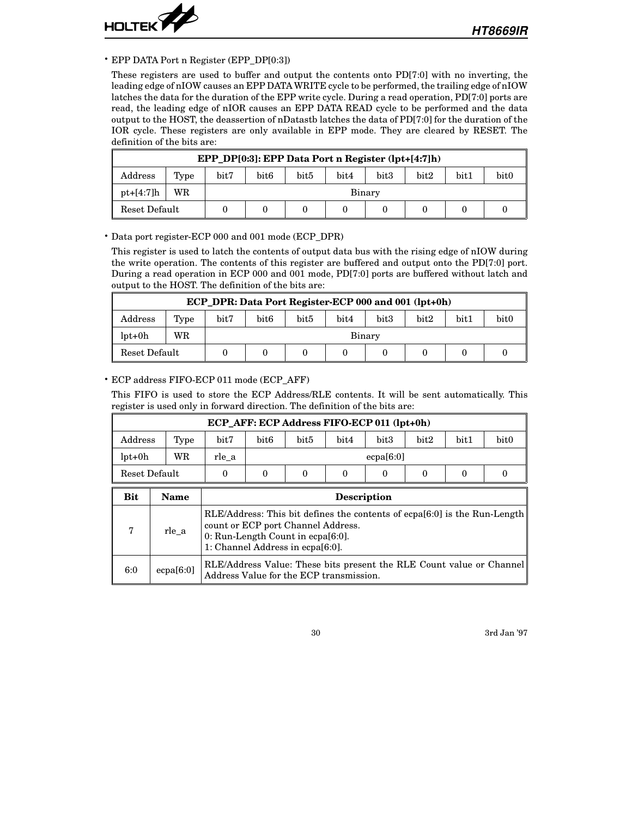

#### • EPP DATA Port n Register (EPP\_DP[0:3])

These registers are used to buffer and output the contents onto PD[7:0] with no inverting, the leading edge of nIOW causes an EPP DATA WRITE cycle to be performed, the trailing edge of nIOW latches the data for the duration of the EPP write cycle. During a read operation, PD[7:0] ports are read, the leading edge of nIOR causes an EPP DATA READ cycle to be performed and the data output to the HOST, the deassertion of nDatastb latches the data of PD[7:0] for the duration of the IOR cycle. These registers are only available in EPP mode. They are cleared by RESET. The definition of the bits are:

|               | EPP_DP[0:3]: EPP Data Port n Register (lpt+[4:7]h) |      |                                                                                          |  |  |  |  |  |  |  |  |  |  |
|---------------|----------------------------------------------------|------|------------------------------------------------------------------------------------------|--|--|--|--|--|--|--|--|--|--|
| Address       | Type                                               | bit7 | bit <sub>0</sub><br>bit <sub>5</sub><br>bit <sub>3</sub><br>bit2<br>bit4<br>bit1<br>bit6 |  |  |  |  |  |  |  |  |  |  |
| $pt+ [4:7]h$  | WR                                                 |      | Binary                                                                                   |  |  |  |  |  |  |  |  |  |  |
| Reset Default |                                                    |      |                                                                                          |  |  |  |  |  |  |  |  |  |  |

#### • Data port register-ECP 000 and 001 mode (ECP\_DPR)

This register is used to latch the contents of output data bus with the rising edge of nIOW during the write operation. The contents of this register are buffered and output onto the PD[7:0] port. During a read operation in ECP 000 and 001 mode, PD[7:0] ports are buffered without latch and output to the HOST. The definition of the bits are:

|               | ECP DPR: Data Port Register-ECP 000 and 001 (lpt+0h) |      |                                                                                          |  |  |  |  |  |  |  |  |  |  |  |
|---------------|------------------------------------------------------|------|------------------------------------------------------------------------------------------|--|--|--|--|--|--|--|--|--|--|--|
| Address       | Type                                                 | bit7 | bit <sub>0</sub><br>bit <sub>5</sub><br>bit <sub>3</sub><br>bit2<br>bit1<br>bit6<br>bit4 |  |  |  |  |  |  |  |  |  |  |  |
| $lpt+0h$      | WR                                                   |      | Binary                                                                                   |  |  |  |  |  |  |  |  |  |  |  |
| Reset Default |                                                      |      |                                                                                          |  |  |  |  |  |  |  |  |  |  |  |

#### • ECP address FIFO-ECP 011 mode (ECP\_AFF)

This FIFO is used to store the ECP Address/RLE contents. It will be sent automatically. This register is used only in forward direction. The definition of the bits are:

|          | ECP_AFF: ECP Address FIFO-ECP 011 (lpt+0h) |          |                                                                                                                                                                                                |      |      |                  |      |      |                  |  |  |  |  |
|----------|--------------------------------------------|----------|------------------------------------------------------------------------------------------------------------------------------------------------------------------------------------------------|------|------|------------------|------|------|------------------|--|--|--|--|
| Address  | Type                                       | bit7     | bit <sub>6</sub>                                                                                                                                                                               | bit5 | bit4 | bit <sub>3</sub> | bit2 | bit1 | bit <sub>0</sub> |  |  |  |  |
| $lpt+0h$ | WR                                         | rle a    |                                                                                                                                                                                                |      |      | ecpa[6:0]        |      |      |                  |  |  |  |  |
|          | Reset Default                              | $\theta$ | $\Omega$<br>$\Omega$<br>$\Omega$<br>$\Omega$<br>0<br>0<br>$\Omega$                                                                                                                             |      |      |                  |      |      |                  |  |  |  |  |
| Bit      | Name                                       |          | <b>Description</b>                                                                                                                                                                             |      |      |                  |      |      |                  |  |  |  |  |
| 7        | rle a                                      |          | RLE/Address: This bit defines the contents of ecpa[6:0] is the Run-Length<br>count or ECP port Channel Address.<br>$0:$ Run-Length Count in ecpa $[6:0]$ .<br>1: Channel Address in ecpa[6:0]. |      |      |                  |      |      |                  |  |  |  |  |

6:0 ecpa $[6:0]$  RLE/Address Value: These bits present the RLE Count value or Channel Address Value for the ECP transmission.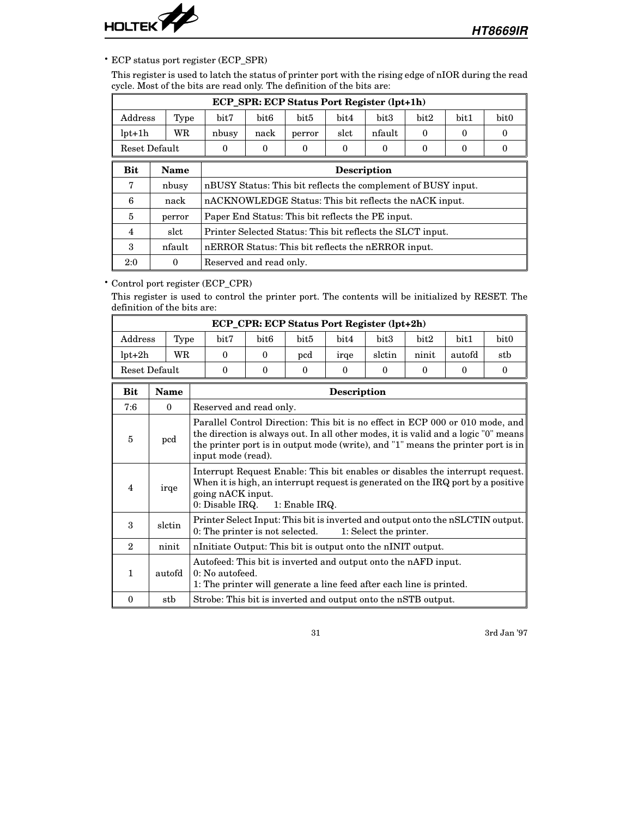

• ECP status port register (ECP\_SPR)

This register is used to latch the status of printer port with the rising edge of nIOR during the read cycle. Most of the bits are read only. The definition of the bits are:

|                | ECP_SPR: ECP Status Port Register (lpt+1h) |                                                               |                                                    |                  |          |                  |          |      |                  |  |  |  |  |  |
|----------------|--------------------------------------------|---------------------------------------------------------------|----------------------------------------------------|------------------|----------|------------------|----------|------|------------------|--|--|--|--|--|
| Address        | Type                                       | bit7                                                          | bit <sub>6</sub>                                   | bit <sub>5</sub> | bit4     | bit <sub>3</sub> | bit2     | bit1 | bit <sub>0</sub> |  |  |  |  |  |
| $lpt+1h$       | WR                                         | nbusy                                                         | nack                                               | perror           | slct     | nfault           | $\theta$ | 0    | $\Omega$         |  |  |  |  |  |
| Reset Default  |                                            | $\Omega$                                                      | $\theta$                                           | $\theta$         | $\theta$ | 0                | $\Omega$ | 0    | $\Omega$         |  |  |  |  |  |
| <b>Bit</b>     | <b>Name</b><br><b>Description</b>          |                                                               |                                                    |                  |          |                  |          |      |                  |  |  |  |  |  |
| 7              | nbusy                                      | nBUSY Status: This bit reflects the complement of BUSY input. |                                                    |                  |          |                  |          |      |                  |  |  |  |  |  |
| 6              | nack                                       | nACKNOWLEDGE Status: This bit reflects the nACK input.        |                                                    |                  |          |                  |          |      |                  |  |  |  |  |  |
| 5              | perror                                     | Paper End Status: This bit reflects the PE input.             |                                                    |                  |          |                  |          |      |                  |  |  |  |  |  |
| $\overline{4}$ | slct                                       | Printer Selected Status: This bit reflects the SLCT input.    |                                                    |                  |          |                  |          |      |                  |  |  |  |  |  |
| 3              | nfault                                     |                                                               | nERROR Status: This bit reflects the nERROR input. |                  |          |                  |          |      |                  |  |  |  |  |  |
| 2:0            | $\theta$                                   |                                                               | Reserved and read only.                            |                  |          |                  |          |      |                  |  |  |  |  |  |

# • Control port register (ECP\_CPR)

This register is used to control the printer port. The contents will be initialized by RESET. The definition of the bits are:

|                         |               |      |                                                                                                                                                                                                                                                                               |                  |                | ECP_CPR: ECP Status Port Register (lpt+2h) |                        |          |          |                                                                                  |  |
|-------------------------|---------------|------|-------------------------------------------------------------------------------------------------------------------------------------------------------------------------------------------------------------------------------------------------------------------------------|------------------|----------------|--------------------------------------------|------------------------|----------|----------|----------------------------------------------------------------------------------|--|
| Address                 |               | Type | bit7                                                                                                                                                                                                                                                                          | bit <sub>6</sub> | bit5           | bit4                                       | bit3                   | bit2     | bit1     | bit <sub>0</sub>                                                                 |  |
| $lpt+2h$                |               | WR   | $\theta$                                                                                                                                                                                                                                                                      | $\theta$         | pcd            | irge                                       | slctin                 | ninit    | autofd   | stb                                                                              |  |
|                         | Reset Default |      | $\Omega$                                                                                                                                                                                                                                                                      | $\theta$         | $\theta$       | $\theta$                                   | $\theta$               | $\theta$ | $\Omega$ | $\theta$                                                                         |  |
| Bit                     | <b>Name</b>   |      |                                                                                                                                                                                                                                                                               |                  |                | <b>Description</b>                         |                        |          |          |                                                                                  |  |
| 7:6                     | $\mathbf{0}$  |      | Reserved and read only.                                                                                                                                                                                                                                                       |                  |                |                                            |                        |          |          |                                                                                  |  |
| 5                       | $_{\rm{pcd}}$ |      | Parallel Control Direction: This bit is no effect in ECP 000 or 010 mode, and<br>the direction is always out. In all other modes, it is valid and a logic "0" means<br>the printer port is in output mode (write), and "1" means the printer port is in<br>input mode (read). |                  |                |                                            |                        |          |          |                                                                                  |  |
| $\overline{\mathbf{4}}$ | irqe          |      | Interrupt Request Enable: This bit enables or disables the interrupt request.<br>going nACK input.<br>$0:$ Disable IRQ.                                                                                                                                                       |                  | 1: Enable IRQ. |                                            |                        |          |          | When it is high, an interrupt request is generated on the IRQ port by a positive |  |
| 3                       | slctin        |      | Printer Select Input: This bit is inverted and output onto the nSLCTIN output.<br>0: The printer is not selected.                                                                                                                                                             |                  |                |                                            | 1: Select the printer. |          |          |                                                                                  |  |
| $\overline{2}$          | ninit         |      | nlotation number of the number of the number of number of number of number of number of number of number of number of number of number of number of number of number of number of number of number of number of number of numb                                                |                  |                |                                            |                        |          |          |                                                                                  |  |
| $\mathbf{1}$            | autofd        |      | Autofeed: This bit is inverted and output onto the nAFD input.<br>0: No autofeed.<br>1: The printer will generate a line feed after each line is printed.                                                                                                                     |                  |                |                                            |                        |          |          |                                                                                  |  |
| $\mathbf{0}$            | stb           |      | Strobe: This bit is inverted and output onto the nSTB output.                                                                                                                                                                                                                 |                  |                |                                            |                        |          |          |                                                                                  |  |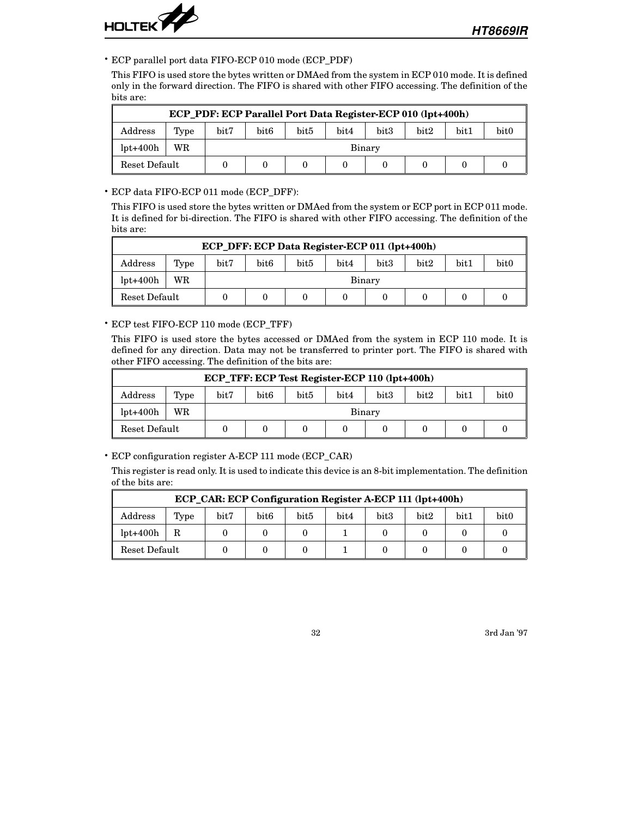

• ECP parallel port data FIFO-ECP 010 mode (ECP\_PDF)

This FIFO is used store the bytes written or DMAed from the system in ECP 010 mode. It is defined only in the forward direction. The FIFO is shared with other FIFO accessing. The definition of the bits are:

|               | ECP PDF: ECP Parallel Port Data Register-ECP 010 (lpt+400h) |      |                                                                  |  |  |  |  |  |  |  |  |  |  |
|---------------|-------------------------------------------------------------|------|------------------------------------------------------------------|--|--|--|--|--|--|--|--|--|--|
| Address       | Type                                                        | bit7 | bit <sub>3</sub><br>bit0<br>bit5<br>bit6<br>bit2<br>bit1<br>bit4 |  |  |  |  |  |  |  |  |  |  |
| $lot+400h$    | WR                                                          |      | Binary                                                           |  |  |  |  |  |  |  |  |  |  |
| Reset Default |                                                             |      |                                                                  |  |  |  |  |  |  |  |  |  |  |

• ECP data FIFO-ECP 011 mode (ECP\_DFF):

This FIFO is used store the bytes written or DMAed from the system or ECP port in ECP 011 mode. It is defined for bi-direction. The FIFO is shared with other FIFO accessing. The definition of the bits are:

| ECP DFF: ECP Data Register-ECP 011 (lpt+400h)                                                           |           |  |        |  |  |  |  |  |  |  |  |  |
|---------------------------------------------------------------------------------------------------------|-----------|--|--------|--|--|--|--|--|--|--|--|--|
| bit <sub>0</sub><br>bit7<br>bit <sub>3</sub><br>bit6<br>bit5<br>bit2<br>bit1<br>bit4<br>Address<br>Type |           |  |        |  |  |  |  |  |  |  |  |  |
| $lpt+400h$                                                                                              | <b>WR</b> |  | Binary |  |  |  |  |  |  |  |  |  |
| Reset Default                                                                                           |           |  |        |  |  |  |  |  |  |  |  |  |

• ECP test FIFO-ECP 110 mode (ECP\_TFF)

This FIFO is used store the bytes accessed or DMAed from the system in ECP 110 mode. It is defined for any direction. Data may not be transferred to printer port. The FIFO is shared with other FIFO accessing. The definition of the bits are:

|                                                                                                 | ECP_TFF: ECP Test Register-ECP 110 (lpt+400h) |  |        |  |  |  |  |  |                  |  |  |  |  |
|-------------------------------------------------------------------------------------------------|-----------------------------------------------|--|--------|--|--|--|--|--|------------------|--|--|--|--|
| bit <sub>3</sub><br>bit7<br>bit5<br>bit2<br>bit1<br>bit <sub>6</sub><br>bit4<br>Address<br>Type |                                               |  |        |  |  |  |  |  | bit <sub>0</sub> |  |  |  |  |
| $\text{lot+400h}$                                                                               | WR                                            |  | Binary |  |  |  |  |  |                  |  |  |  |  |
| Reset Default                                                                                   |                                               |  |        |  |  |  |  |  |                  |  |  |  |  |

• ECP configuration register A-ECP 111 mode (ECP\_CAR)

This register is read only. It is used to indicate this device is an 8-bit implementation. The definition of the bits are:

| ECP_CAR: ECP Configuration Register A-ECP 111 (lpt+400h)                            |  |  |  |  |  |  |                  |  |  |  |  |  |
|-------------------------------------------------------------------------------------|--|--|--|--|--|--|------------------|--|--|--|--|--|
| bit <sub>3</sub><br>bit7<br>bit6<br>bit5<br>bit2<br>bit1<br>bit4<br>Address<br>Type |  |  |  |  |  |  | bit <sub>0</sub> |  |  |  |  |  |
| $lpt+400h$                                                                          |  |  |  |  |  |  |                  |  |  |  |  |  |
| Reset Default                                                                       |  |  |  |  |  |  |                  |  |  |  |  |  |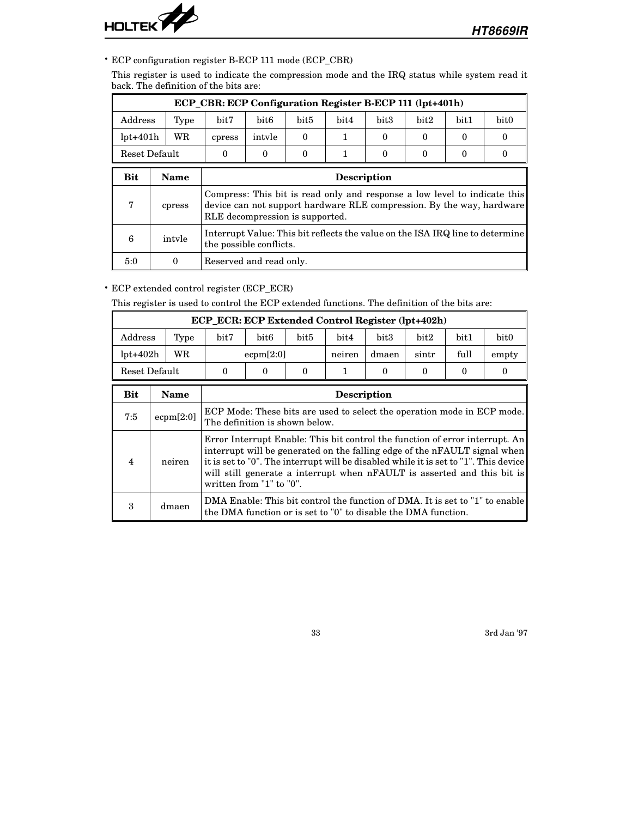

• ECP configuration register B-ECP 111 mode (ECP\_CBR)

This register is used to indicate the compression mode and the IRQ status while system read it back. The definition of the bits are:

|            | ECP_CBR: ECP Configuration Register B-ECP 111 (lpt+401h) |                                                                  |                                                                                                          |          |  |          |   |                      |                                                                                                                                                    |  |  |
|------------|----------------------------------------------------------|------------------------------------------------------------------|----------------------------------------------------------------------------------------------------------|----------|--|----------|---|----------------------|----------------------------------------------------------------------------------------------------------------------------------------------------|--|--|
| Address    | Type                                                     | bit <sub>5</sub><br>bit3<br>bit2<br>bit1<br>bit7<br>bit6<br>bit4 |                                                                                                          |          |  |          |   |                      | bit <sub>0</sub>                                                                                                                                   |  |  |
| $lpt+401h$ | WR                                                       | cpress                                                           | intyle                                                                                                   | $\Omega$ |  | $\Omega$ | 0 | $\Omega$<br>$\Omega$ |                                                                                                                                                    |  |  |
|            | Reset Default                                            | $\Omega$                                                         | $\Omega$                                                                                                 | $\Omega$ |  | $\Omega$ | 0 | 0                    |                                                                                                                                                    |  |  |
| <b>Bit</b> | Name                                                     |                                                                  | <b>Description</b>                                                                                       |          |  |          |   |                      |                                                                                                                                                    |  |  |
| 7          | cpress                                                   | RLE decompression is supported.                                  |                                                                                                          |          |  |          |   |                      | Compress: This bit is read only and response a low level to indicate this<br>device can not support hardware RLE compression. By the way, hardware |  |  |
| 6          | intyle                                                   |                                                                  | Interrupt Value: This bit reflects the value on the ISA IRQ line to determine<br>the possible conflicts. |          |  |          |   |                      |                                                                                                                                                    |  |  |
| 5:0        | 0                                                        | Reserved and read only.                                          |                                                                                                          |          |  |          |   |                      |                                                                                                                                                    |  |  |

• ECP extended control register (ECP\_ECR)

This register is used to control the ECP extended functions. The definition of the bits are:

|            | <b>ECP ECR: ECP Extended Control Register (lpt+402h)</b> |                                                                |                                               |          |      |          |      |                      |                                                                                                                                                                                                                                                                                                                                |  |  |
|------------|----------------------------------------------------------|----------------------------------------------------------------|-----------------------------------------------|----------|------|----------|------|----------------------|--------------------------------------------------------------------------------------------------------------------------------------------------------------------------------------------------------------------------------------------------------------------------------------------------------------------------------|--|--|
| Address    | Type                                                     | bit7                                                           | bit6                                          | bit5     | bit4 | bit3     | bit2 | bit1                 | bit0                                                                                                                                                                                                                                                                                                                           |  |  |
| $lpt+402h$ | WR                                                       |                                                                | full<br>ecpm[2:0]<br>neiren<br>dmaen<br>sintr |          |      |          |      | empty                |                                                                                                                                                                                                                                                                                                                                |  |  |
|            | Reset Default                                            | $\Omega$                                                       | 0                                             | $\Omega$ |      | $\Omega$ | 0    | $\Omega$<br>$\Omega$ |                                                                                                                                                                                                                                                                                                                                |  |  |
| Bit        | Name                                                     |                                                                | <b>Description</b>                            |          |      |          |      |                      |                                                                                                                                                                                                                                                                                                                                |  |  |
| 7:5        | ecpm[2:0]                                                | The definition is shown below.                                 |                                               |          |      |          |      |                      | ECP Mode: These bits are used to select the operation mode in ECP mode.                                                                                                                                                                                                                                                        |  |  |
| 4          | neiren                                                   | written from "1" to "0".                                       |                                               |          |      |          |      |                      | Error Interrupt Enable: This bit control the function of error interrupt. An<br>interrupt will be generated on the falling edge of the $nFAULT$ signal when<br>it is set to "0". The interrupt will be disabled while it is set to "1". This device<br>will still generate a interrupt when nFAULT is asserted and this bit is |  |  |
| 3          | dmaen                                                    | the DMA function or is set to "0" to disable the DMA function. |                                               |          |      |          |      |                      | DMA Enable: This bit control the function of DMA. It is set to "1" to enable                                                                                                                                                                                                                                                   |  |  |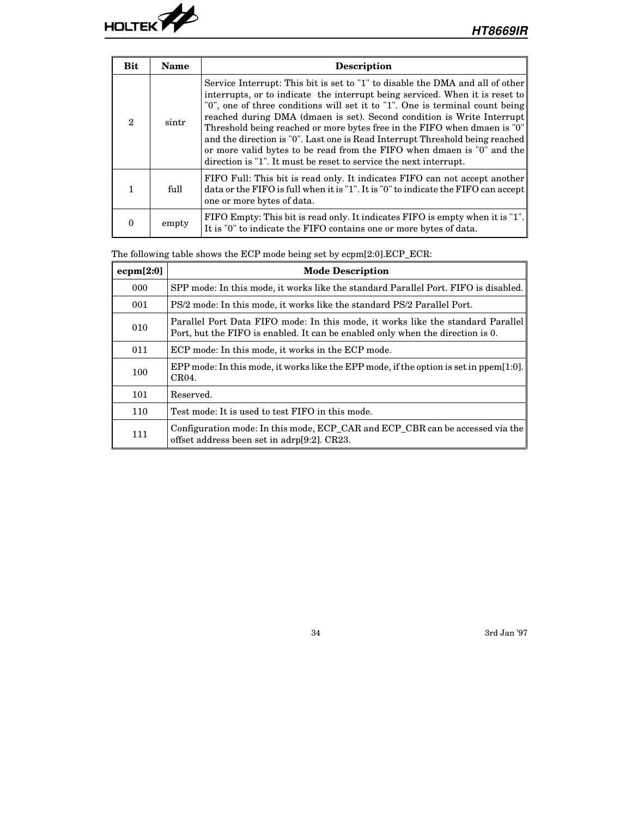

| <b>Bit</b>                  | <b>Name</b> | <b>Description</b>                                                                                                                                                                                                                                                                                                                                                                                                                                                                                                                                                                                                                 |
|-----------------------------|-------------|------------------------------------------------------------------------------------------------------------------------------------------------------------------------------------------------------------------------------------------------------------------------------------------------------------------------------------------------------------------------------------------------------------------------------------------------------------------------------------------------------------------------------------------------------------------------------------------------------------------------------------|
| $\mathcal{D}_{\mathcal{L}}$ | sintr       | Service Interrupt: This bit is set to "1" to disable the DMA and all of other<br>interrupts, or to indicate the interrupt being serviced. When it is reset to<br>"0", one of three conditions will set it to "1". One is terminal count being<br>reached during DMA (dmaen is set). Second condition is Write Interrupt<br>Threshold being reached or more bytes free in the FIFO when dmaen is "0"<br>and the direction is "0". Last one is Read Interrupt Threshold being reached<br>or more valid bytes to be read from the FIFO when dmaen is "0" and the<br>direction is "1". It must be reset to service the next interrupt. |
|                             | full        | FIFO Full: This bit is read only. It indicates FIFO can not accept another<br>data or the FIFO is full when it is "1". It is "0" to indicate the FIFO can accept<br>one or more bytes of data.                                                                                                                                                                                                                                                                                                                                                                                                                                     |
|                             | empty       | FIFO Empty: This bit is read only. It indicates FIFO is empty when it is "1".<br>It is "0" to indicate the FIFO contains one or more bytes of data.                                                                                                                                                                                                                                                                                                                                                                                                                                                                                |

The following table shows the ECP mode being set by ecpm[2:0].ECP\_ECR:

| ecpm[2:0] | <b>Mode Description</b>                                                                                                                                           |
|-----------|-------------------------------------------------------------------------------------------------------------------------------------------------------------------|
| 000       | SPP mode: In this mode, it works like the standard Parallel Port. FIFO is disabled.                                                                               |
| 001       | PS/2 mode: In this mode, it works like the standard PS/2 Parallel Port.                                                                                           |
| 010       | Parallel Port Data FIFO mode: In this mode, it works like the standard Parallel<br>Port, but the FIFO is enabled. It can be enabled only when the direction is 0. |
| 011       | ECP mode: In this mode, it works in the ECP mode.                                                                                                                 |
| 100       | EPP mode: In this mode, it works like the EPP mode, if the option is set in $ppem[1:0]$ .<br>CR04.                                                                |
| 101       | Reserved.                                                                                                                                                         |
| 110       | Test mode: It is used to test FIFO in this mode.                                                                                                                  |
| 111       | Configuration mode: In this mode, ECP_CAR and ECP_CBR can be accessed via the<br>offset address been set in adrp[9:2]. CR23.                                      |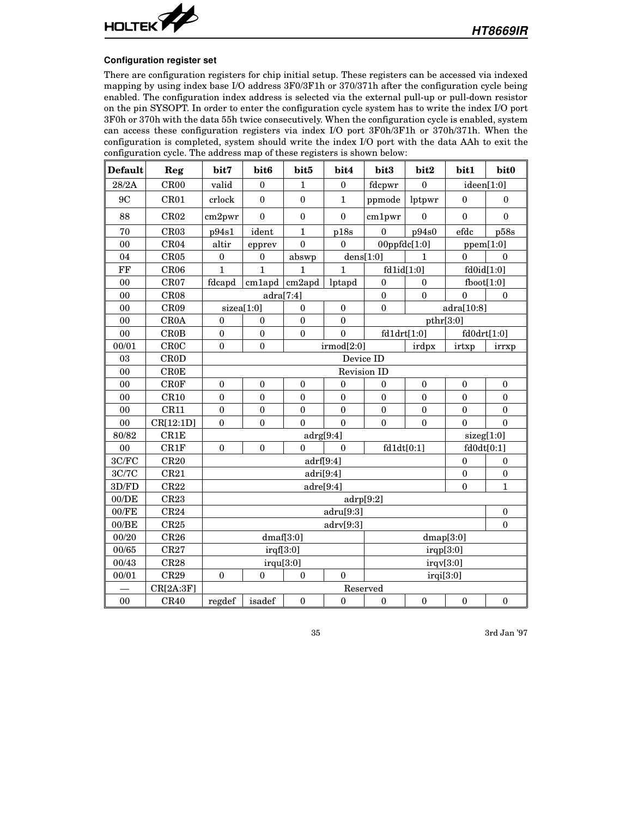

#### **Configuration register set**

There are configuration registers for chip initial setup. These registers can be accessed via indexed mapping by using index base I/O address 3F0/3F1h or 370/371h after the configuration cycle being enabled. The configuration index address is selected via the external pull-up or pull-down resistor on the pin SYSOPT. In order to enter the configuration cycle system has to write the index I/O port 3F0h or 370h with the data 55h twice consecutively. When the configuration cycle is enabled, system can access these configuration registers via index I/O port 3F0h/3F1h or 370h/371h. When the configuration is completed, system should write the index I/O port with the data AAh to exit the configuration cycle. The address map of these registers is shown below:

| <b>Default</b> | Reg         | bit7             | bit6                | bit5             | bit4             | bit3             | bit2             | bit1             | bit0             |
|----------------|-------------|------------------|---------------------|------------------|------------------|------------------|------------------|------------------|------------------|
| 28/2A          | CR00        | valid            | $\mathbf{0}$        | 1                | $\mathbf{0}$     | fdcpwr           | $\mathbf{0}$     | ideen[1:0]       |                  |
| 9C             | CR01        | crlock           | $\Omega$            | $\mathbf{0}$     | $\mathbf{1}$     | ppmode           | lptpwr           | $\theta$         | $\theta$         |
| 88             | CR02        | cm2pwr           | $\mathbf{0}$        | $\mathbf{0}$     | $\boldsymbol{0}$ | cm1pwr           | $\boldsymbol{0}$ | $\overline{0}$   | $\mathbf{0}$     |
| 70             | CR03        | p94s1            | ident               | $\mathbf{1}$     | p18s             | $\theta$         | p94s0            | efdc             | p58s             |
| 00             | CR04        | altir            | epprev              | $\theta$         | $\mathbf{0}$     | 00ppfdc[1:0]     |                  | ppem[1:0]        |                  |
| 04             | CR05        | $\boldsymbol{0}$ | $\boldsymbol{0}$    | abswp            |                  | dens[1:0]        | 1                | $\theta$         | $\theta$         |
| FF             | CR06        | $\mathbf{1}$     | $\mathbf{1}$        | $\mathbf{1}$     | 1                | fd1id[1:0]       |                  | fd0id[1:0]       |                  |
| 00             | CR07        | fdcapd           | $cm1$ apd $cm2$ apd |                  | lptapd           | $\boldsymbol{0}$ | $\boldsymbol{0}$ | fboot[1:0]       |                  |
| 00             | CR08        |                  | adra[7:4]           |                  |                  | $\boldsymbol{0}$ | $\theta$         | $\theta$         | $\Omega$         |
| 00             | CR09        | sizea[1:0]       |                     | $\mathbf{0}$     | $\mathbf{0}$     | $\boldsymbol{0}$ |                  | adra[10:8]       |                  |
| 00             | <b>CR0A</b> | $\theta$         | $\boldsymbol{0}$    | $\mathbf{0}$     | $\theta$         |                  | pthr[3:0]        |                  |                  |
| 00             | CROB        | $\mathbf{0}$     | $\mathbf{0}$        | $\boldsymbol{0}$ | $\mathbf{0}$     | fd1drt[1:0]      |                  | fd0drt[1:0]      |                  |
| 00/01          | CROC        | $\mathbf{0}$     | $\mathbf{0}$        |                  | irmod[2:0]       |                  | irdpx            | irrxp            |                  |
| 03             | <b>CROD</b> |                  |                     |                  |                  | Device ID        |                  |                  |                  |
| 00             | CR0E        |                  |                     |                  |                  | Revision ID      |                  |                  |                  |
| 00             | <b>CROF</b> | $\boldsymbol{0}$ | $\mathbf{0}$        | $\boldsymbol{0}$ | $\boldsymbol{0}$ | $\boldsymbol{0}$ | $\mathbf{0}$     | $\mathbf{0}$     | $\mathbf{0}$     |
| 00             | CR10        | $\boldsymbol{0}$ | $\mathbf{0}$        | $\boldsymbol{0}$ | $\mathbf{0}$     | $\boldsymbol{0}$ | $\mathbf{0}$     | $\mathbf{0}$     | $\mathbf{0}$     |
| 00             | CR11        | $\mathbf{0}$     | $\boldsymbol{0}$    | $\mathbf{0}$     | $\mathbf{0}$     | $\boldsymbol{0}$ | $\boldsymbol{0}$ | $\mathbf{0}$     | $\boldsymbol{0}$ |
| 00             | CR[12:1D]   | $\mathbf{0}$     | $\boldsymbol{0}$    | $\theta$         | $\mathbf{0}$     | $\mathbf{0}$     | $\theta$         | $\theta$         | $\theta$         |
| 80/82          | CR1E        |                  |                     | adrg[9:4]        |                  |                  |                  | sizeg[1:0]       |                  |
| 00             | CR1F        | $\mathbf{0}$     | $\mathbf{0}$        | $\theta$         | $\theta$         | fd1dt[0:1]       |                  | fd0dt[0:1]       |                  |
| 3C/FC          | CR20        |                  |                     | adrf[9:4]        |                  |                  |                  | $\boldsymbol{0}$ | $\mathbf{0}$     |
| 3C/7C          | CR21        |                  |                     | adri[9:4]        |                  |                  |                  | $\boldsymbol{0}$ | $\boldsymbol{0}$ |
| 3D/FD          | CR22        |                  |                     | adre[9:4]        |                  |                  |                  | $\theta$         | $\mathbf{1}$     |
| 00/DE          | CR23        |                  |                     |                  |                  | adrp[9:2]        |                  |                  |                  |
| $00$ /FE       | CR24        |                  |                     |                  | adru[9:3]        |                  |                  |                  | $\boldsymbol{0}$ |
| 00/BE          | CR25        |                  |                     |                  | adv[9:3]         |                  |                  |                  | $\Omega$         |
| 00/20          | CR26        |                  | dmaf[3:0]           |                  |                  |                  | dmap[3:0]        |                  |                  |
| 00/65          | CR27        |                  | irqf[3:0]           |                  |                  |                  | irqp[3:0]        |                  |                  |
| 00/43          | CR28        |                  | irqu[3:0]           |                  |                  |                  | irqv[3:0]        |                  |                  |
| 00/01          | CR29        | $\boldsymbol{0}$ | $\boldsymbol{0}$    | $\mathbf{0}$     | $\theta$         |                  | irqi[3:0]        |                  |                  |
|                | CR[2A:3F]   |                  |                     |                  |                  | Reserved         |                  |                  |                  |
| 0 <sub>0</sub> | CR40        | regdef           | isadef              | $\boldsymbol{0}$ | $\boldsymbol{0}$ | $\boldsymbol{0}$ | $\boldsymbol{0}$ | $\boldsymbol{0}$ | $\boldsymbol{0}$ |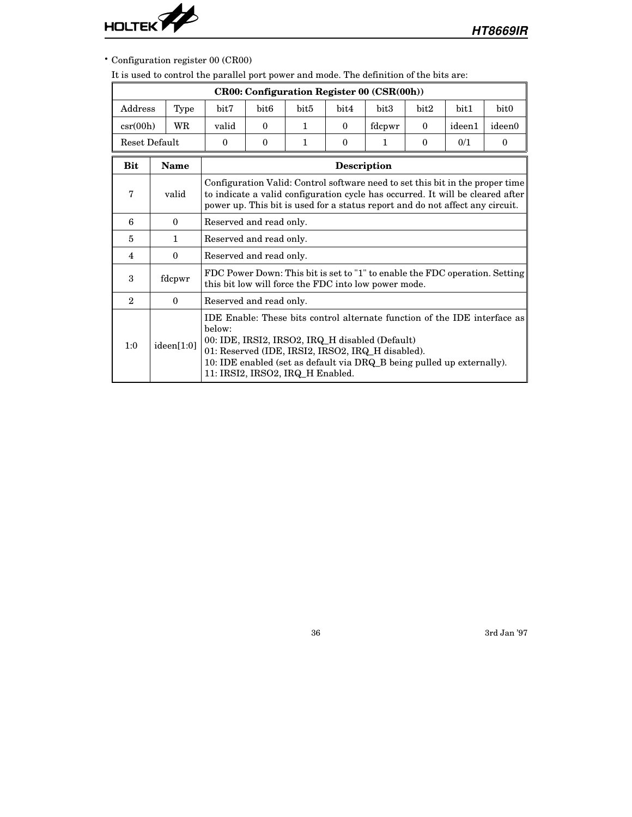

• Configuration register 00 (CR00)

It is used to control the parallel port power and mode. The definition of the bits are:

|                           | <b>CR00: Configuration Register 00 (CSR(00h))</b> |                                                                                                                                                    |                                                                                          |                                                                 |              |                                                                        |          |        |                                                                                                                                                                 |  |  |
|---------------------------|---------------------------------------------------|----------------------------------------------------------------------------------------------------------------------------------------------------|------------------------------------------------------------------------------------------|-----------------------------------------------------------------|--------------|------------------------------------------------------------------------|----------|--------|-----------------------------------------------------------------------------------------------------------------------------------------------------------------|--|--|
| Address                   | Type                                              | bit7                                                                                                                                               | bit2<br>bit <sub>6</sub><br>bit <sub>5</sub><br>bit4<br>bit3<br>bit1<br>bit <sub>0</sub> |                                                                 |              |                                                                        |          |        |                                                                                                                                                                 |  |  |
| $\operatorname{csr}(00h)$ | WR                                                | valid                                                                                                                                              | $\theta$                                                                                 | 1.                                                              | $\mathbf{0}$ | fdcpwr                                                                 | $\bf{0}$ | ideen1 | ideen0                                                                                                                                                          |  |  |
|                           | Reset Default                                     | $\bf{0}$                                                                                                                                           | $\bf{0}$                                                                                 | 0/1<br>1<br>$\mathbf{0}$<br>$\bf{0}$<br>$\mathbf 1$<br>$\bf{0}$ |              |                                                                        |          |        |                                                                                                                                                                 |  |  |
| <b>Bit</b>                | <b>Name</b>                                       |                                                                                                                                                    |                                                                                          |                                                                 | Description  |                                                                        |          |        |                                                                                                                                                                 |  |  |
| 7                         | valid                                             | power up. This bit is used for a status report and do not affect any circuit.                                                                      |                                                                                          |                                                                 |              |                                                                        |          |        | Configuration Valid: Control software need to set this bit in the proper time<br>to indicate a valid configuration cycle has occurred. It will be cleared after |  |  |
| 6                         | $\bf{0}$                                          |                                                                                                                                                    | Reserved and read only.                                                                  |                                                                 |              |                                                                        |          |        |                                                                                                                                                                 |  |  |
| 5                         | $\mathbf{1}$                                      | Reserved and read only.                                                                                                                            |                                                                                          |                                                                 |              |                                                                        |          |        |                                                                                                                                                                 |  |  |
| 4                         | $\mathbf{0}$                                      | Reserved and read only.                                                                                                                            |                                                                                          |                                                                 |              |                                                                        |          |        |                                                                                                                                                                 |  |  |
| 3                         | fdcpwr                                            | this bit low will force the FDC into low power mode.                                                                                               |                                                                                          |                                                                 |              |                                                                        |          |        | FDC Power Down: This bit is set to "1" to enable the FDC operation. Setting                                                                                     |  |  |
| $\mathbf{2}$              | $\Omega$                                          | Reserved and read only.                                                                                                                            |                                                                                          |                                                                 |              |                                                                        |          |        |                                                                                                                                                                 |  |  |
| 1:0                       | ideen[1:0]                                        | helow:<br>00: IDE, IRSI2, IRSO2, IRQ_H disabled (Default)<br>01: Reserved (IDE, IRSI2, IRSO2, IRQ_H disabled).<br>11: IRSI2, IRSO2, IRQ_H Enabled. |                                                                                          |                                                                 |              | 10: IDE enabled (set as default via DRQ_B being pulled up externally). |          |        | IDE Enable: These bits control alternate function of the IDE interface as                                                                                       |  |  |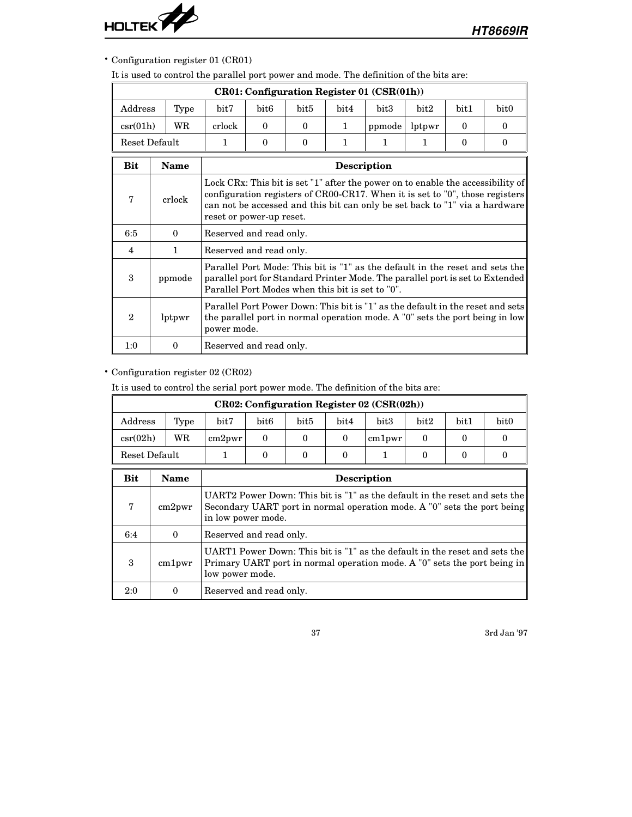

• Configuration register 01 (CR01)

It is used to control the parallel port power and mode. The definition of the bits are:

|                           |                                   |                                                  |                                                                                                                                                                                                                                                                               |                  |              | CR01: Configuration Register 01 (CSR(01h)) |        |          |                                                                                                                                                                |  |
|---------------------------|-----------------------------------|--------------------------------------------------|-------------------------------------------------------------------------------------------------------------------------------------------------------------------------------------------------------------------------------------------------------------------------------|------------------|--------------|--------------------------------------------|--------|----------|----------------------------------------------------------------------------------------------------------------------------------------------------------------|--|
| $\rm{Address}$            | Type                              | bit7                                             | bit <sub>6</sub>                                                                                                                                                                                                                                                              | bit <sub>5</sub> | bit4         | bit3                                       | bit2   | bit1     | bit <sub>0</sub>                                                                                                                                               |  |
| $\operatorname{csr}(01h)$ | WR                                | crlock                                           | $\Omega$                                                                                                                                                                                                                                                                      | $\Omega$         | $\mathbf{1}$ | ppmode                                     | lptpwr | $\Omega$ | $\Omega$                                                                                                                                                       |  |
|                           | Reset Default                     | 1                                                | $\theta$                                                                                                                                                                                                                                                                      | $\theta$         | $\mathbf{1}$ | 1                                          | 1      | $\Omega$ | $\theta$                                                                                                                                                       |  |
| <b>Bit</b>                | <b>Name</b><br><b>Description</b> |                                                  |                                                                                                                                                                                                                                                                               |                  |              |                                            |        |          |                                                                                                                                                                |  |
| $\overline{7}$            | crlock                            |                                                  | Lock CRx: This bit is set "1" after the power on to enable the accessibility of<br>configuration registers of CR00-CR17. When it is set to $"0"$ , those registers<br>can not be accessed and this bit can only be set back to "1" via a hardware<br>reset or power-up reset. |                  |              |                                            |        |          |                                                                                                                                                                |  |
| 6:5                       | $\Omega$                          | Reserved and read only.                          |                                                                                                                                                                                                                                                                               |                  |              |                                            |        |          |                                                                                                                                                                |  |
| 4                         | $\mathbf{1}$                      | Reserved and read only.                          |                                                                                                                                                                                                                                                                               |                  |              |                                            |        |          |                                                                                                                                                                |  |
| 3                         | ppmode                            | Parallel Port Modes when this bit is set to "0". |                                                                                                                                                                                                                                                                               |                  |              |                                            |        |          | Parallel Port Mode: This bit is "1" as the default in the reset and sets the<br>parallel port for Standard Printer Mode. The parallel port is set to Extended  |  |
| $\mathbf{2}$              | lptpwr                            | power mode.                                      |                                                                                                                                                                                                                                                                               |                  |              |                                            |        |          | Parallel Port Power Down: This bit is "1" as the default in the reset and sets<br>the parallel port in normal operation mode. A "0" sets the port being in low |  |
| 1:0                       | $\Omega$                          | Reserved and read only.                          |                                                                                                                                                                                                                                                                               |                  |              |                                            |        |          |                                                                                                                                                                |  |

# • Configuration register 02 (CR02)

It is used to control the serial port power mode. The definition of the bits are:

|                   |      |        |                  |      |      | $CR02:$ Configuration Register 02 (CSR $(02h)$ ) |      |               |                  |
|-------------------|------|--------|------------------|------|------|--------------------------------------------------|------|---------------|------------------|
| Address           | Type | bit7   | bit <sub>6</sub> | bit5 | bit4 | $_{\rm bit3}$                                    | bit2 | $_{\rm bit1}$ | bit <sub>0</sub> |
| $\text{csr}(02h)$ | WR   | cm2pwr |                  |      |      | cm1 <sub>py</sub>                                |      |               |                  |
| Reset Default     |      |        |                  |      |      |                                                  |      |               |                  |

| Bit | Name              | <b>Description</b>                                                                                                                                                          |
|-----|-------------------|-----------------------------------------------------------------------------------------------------------------------------------------------------------------------------|
| 7   | cm2 <sub>py</sub> | UART2 Power Down: This bit is "1" as the default in the reset and sets the<br>Secondary UART port in normal operation mode. A "0" sets the port being<br>in low power mode. |
| 6:4 | $\Omega$          | Reserved and read only.                                                                                                                                                     |
| 3   | cm1pwr            | UART1 Power Down: This bit is "1" as the default in the reset and sets the<br>Primary UART port in normal operation mode. A "0" sets the port being in<br>low power mode.   |
| 2:0 |                   | Reserved and read only.                                                                                                                                                     |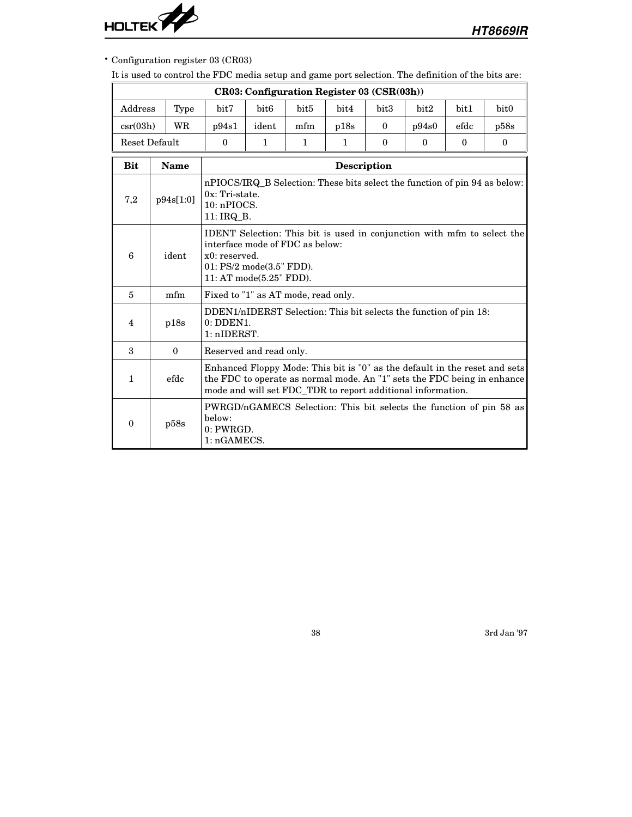

• Configuration register 03 (CR03)

It is used to control the FDC media setup and game port selection. The definition of the bits are:

|                |                                                                                                                                           |             |                                     |                                                                                                                                                                                           |                  | CR03: Configuration Register 03 (CSR(03h)) |          |                                                                   |          |                                                                                                                                                       |
|----------------|-------------------------------------------------------------------------------------------------------------------------------------------|-------------|-------------------------------------|-------------------------------------------------------------------------------------------------------------------------------------------------------------------------------------------|------------------|--------------------------------------------|----------|-------------------------------------------------------------------|----------|-------------------------------------------------------------------------------------------------------------------------------------------------------|
| Address        |                                                                                                                                           | Type        | bit7                                | bit <sub>6</sub>                                                                                                                                                                          | bit <sub>5</sub> | bit4                                       | bit3     | bit2                                                              | bit1     | bit <sub>0</sub>                                                                                                                                      |
| $\csc(03h)$    |                                                                                                                                           | WR          | p94s1                               | ident                                                                                                                                                                                     | mfm              | p18s                                       | $\theta$ | p94s0                                                             | efdc     | p58s                                                                                                                                                  |
| Reset Default  |                                                                                                                                           |             | $\Omega$                            | $\mathbf{1}$                                                                                                                                                                              | $\mathbf{1}$     | $\mathbf{1}$                               | $\Omega$ | $\theta$                                                          | $\theta$ | $\theta$                                                                                                                                              |
| <b>Bit</b>     |                                                                                                                                           | <b>Name</b> |                                     |                                                                                                                                                                                           |                  | Description                                |          |                                                                   |          |                                                                                                                                                       |
| 7,2            | nPIOCS/IRQ B Selection: These bits select the function of pin 94 as below:<br>$0x$ : Tri-state.<br>p94s[1:0]<br>10: nPIOCS.<br>11: IRQ B. |             |                                     |                                                                                                                                                                                           |                  |                                            |          |                                                                   |          |                                                                                                                                                       |
| 6              |                                                                                                                                           | ident       |                                     | <b>IDENT</b> Selection: This bit is used in conjunction with mfm to select the<br>interface mode of FDC as below:<br>x0: reserved.<br>01: PS/2 mode(3.5" FDD).<br>11: AT mode(5.25" FDD). |                  |                                            |          |                                                                   |          |                                                                                                                                                       |
| $\overline{5}$ |                                                                                                                                           | mfm         | Fixed to "1" as AT mode, read only. |                                                                                                                                                                                           |                  |                                            |          |                                                                   |          |                                                                                                                                                       |
| 4              |                                                                                                                                           | p18s        | $0:$ DDEN1.<br>1: nIDERST.          |                                                                                                                                                                                           |                  |                                            |          | DDEN1/nIDERST Selection: This bit selects the function of pin 18: |          |                                                                                                                                                       |
| 3              |                                                                                                                                           | $\theta$    | Reserved and read only.             |                                                                                                                                                                                           |                  |                                            |          |                                                                   |          |                                                                                                                                                       |
| $\mathbf{1}$   |                                                                                                                                           | efdc        |                                     |                                                                                                                                                                                           |                  |                                            |          | mode and will set FDC_TDR to report additional information.       |          | Enhanced Floppy Mode: This bit is "0" as the default in the reset and sets<br>the FDC to operate as normal mode. An "1" sets the FDC being in enhance |
| $\mathbf{0}$   |                                                                                                                                           | p58s        | below:<br>0: PWRGD.<br>1: nGAMECS.  |                                                                                                                                                                                           |                  |                                            |          |                                                                   |          | PWRGD/nGAMECS Selection: This bit selects the function of pin 58 as                                                                                   |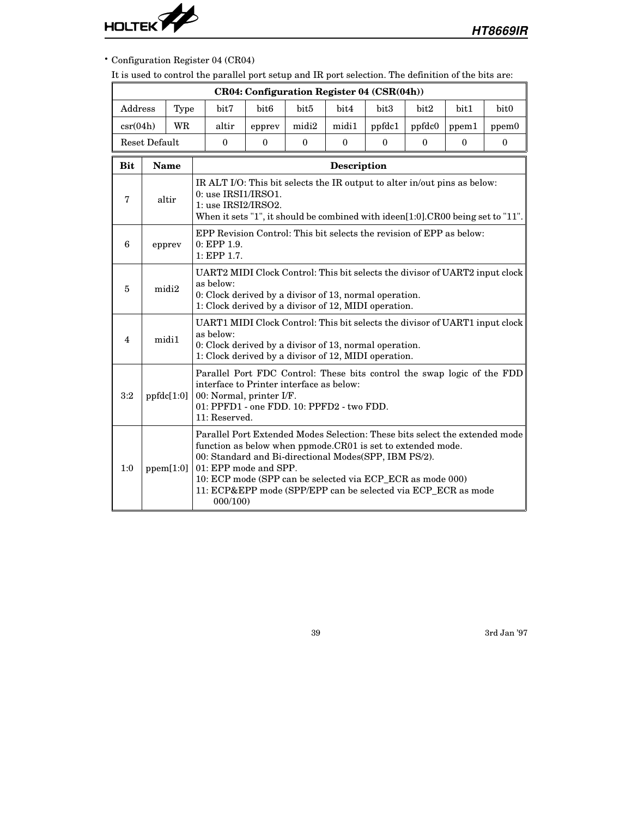

• Configuration Register 04 (CR04)

It is used to control the parallel port setup and IR port selection. The definition of the bits are:

|                   | CR04: Configuration Register 04 (CSR(04h)) |             |  |                                                                                                                                                                                                                   |                                                                      |                  |                                                                                                                |          |                                                                                                                                                                                            |              |                                                                             |  |
|-------------------|--------------------------------------------|-------------|--|-------------------------------------------------------------------------------------------------------------------------------------------------------------------------------------------------------------------|----------------------------------------------------------------------|------------------|----------------------------------------------------------------------------------------------------------------|----------|--------------------------------------------------------------------------------------------------------------------------------------------------------------------------------------------|--------------|-----------------------------------------------------------------------------|--|
| Address           |                                            | Type        |  | bit7                                                                                                                                                                                                              | bit <sub>6</sub>                                                     | bit <sub>5</sub> | bit4                                                                                                           | bit3     | bit2                                                                                                                                                                                       | bit1         | bit <sub>0</sub>                                                            |  |
| $\text{csr}(04h)$ |                                            | WR          |  | altir                                                                                                                                                                                                             | epprev                                                               | midi2            | midi1                                                                                                          | ppfdc1   | ppfdc0                                                                                                                                                                                     | ppem1        | ppem0                                                                       |  |
|                   | <b>Reset Default</b>                       |             |  | $\Omega$                                                                                                                                                                                                          | $\mathbf{0}$                                                         | $\theta$         | $\mathbf{0}$                                                                                                   | $\theta$ | $\theta$                                                                                                                                                                                   | $\mathbf{0}$ | $\theta$                                                                    |  |
| <b>Bit</b>        |                                            | <b>Name</b> |  |                                                                                                                                                                                                                   |                                                                      |                  | <b>Description</b>                                                                                             |          |                                                                                                                                                                                            |              |                                                                             |  |
| 7                 |                                            | altir       |  | IR ALT I/O: This bit selects the IR output to alter in/out pins as below:<br>$0:$ use IRSI1/IRSO1.<br>$1:$ use $IRSI2/IRSO2$ .<br>When it sets "1", it should be combined with ideen[1:0].CR00 being set to "11". |                                                                      |                  |                                                                                                                |          |                                                                                                                                                                                            |              |                                                                             |  |
| 6                 |                                            | epprev      |  | EPP Revision Control: This bit selects the revision of EPP as below:<br>0: EPP 1.9.<br>1: EPP 1.7.                                                                                                                |                                                                      |                  |                                                                                                                |          |                                                                                                                                                                                            |              |                                                                             |  |
| 5                 |                                            | midi2       |  | as below:                                                                                                                                                                                                         |                                                                      |                  | 0: Clock derived by a divisor of 13, normal operation.<br>1: Clock derived by a divisor of 12, MIDI operation. |          |                                                                                                                                                                                            |              | UART2 MIDI Clock Control: This bit selects the divisor of UART2 input clock |  |
| 4                 |                                            | midi1       |  | as below:                                                                                                                                                                                                         |                                                                      |                  | 0: Clock derived by a divisor of 13, normal operation.<br>1: Clock derived by a divisor of 12, MIDI operation. |          |                                                                                                                                                                                            |              | UART1 MIDI Clock Control: This bit selects the divisor of UART1 input clock |  |
| 3:2               |                                            | ppfdc[1:0]  |  | 11: Reserved.                                                                                                                                                                                                     | interface to Printer interface as below:<br>00: Normal, printer I/F. |                  | 01: PPFD1 - one FDD. 10: PPFD2 - two FDD.                                                                      |          |                                                                                                                                                                                            |              | Parallel Port FDC Control: These bits control the swap logic of the FDD     |  |
| 1:0               |                                            | ppem[1:0]   |  | 000/100                                                                                                                                                                                                           | 01: EPP mode and SPP.                                                |                  | 00: Standard and Bi-directional Modes(SPP, IBM PS/2).                                                          |          | function as below when ppmode.CR01 is set to extended mode.<br>10: ECP mode (SPP can be selected via ECP_ECR as mode 000)<br>11: ECP&EPP mode (SPP/EPP can be selected via ECP_ECR as mode |              | Parallel Port Extended Modes Selection: These bits select the extended mode |  |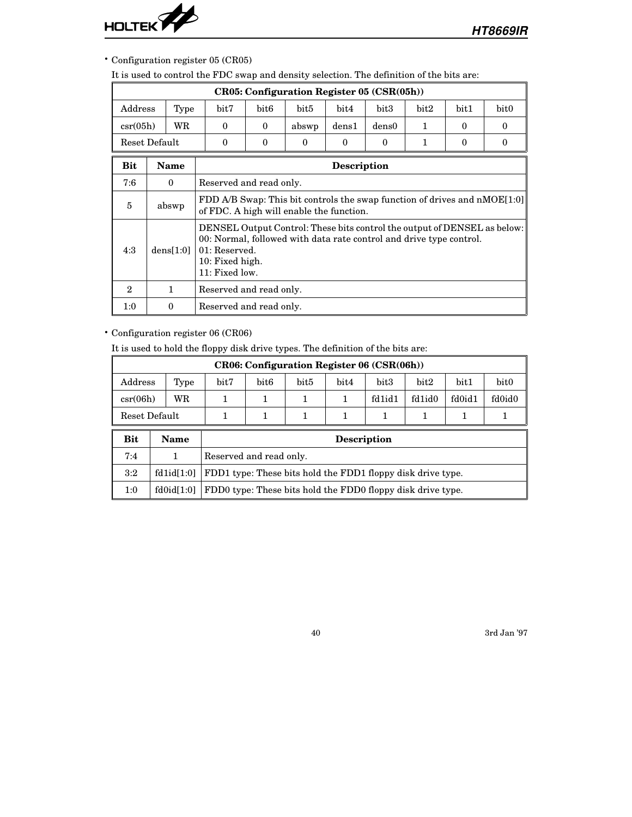

## • Configuration register 05 (CR05)

It is used to control the FDC swap and density selection. The definition of the bits are:

|               |             |                                                                                                                                                                                                         |                         | CR05: Configuration Register 05 (CSR(05h)) |          |          |      |          |          |  |
|---------------|-------------|---------------------------------------------------------------------------------------------------------------------------------------------------------------------------------------------------------|-------------------------|--------------------------------------------|----------|----------|------|----------|----------|--|
| Address       | Type        | bit7                                                                                                                                                                                                    | bit6                    | bit5                                       | bit4     | bit3     | bit2 | bit1     | bit0     |  |
| $\csc(05h)$   | WR          | $\theta$                                                                                                                                                                                                | $\theta$                | abswp                                      | dens1    | dens0    | 1    | $\Omega$ | $\theta$ |  |
| Reset Default |             | $\theta$                                                                                                                                                                                                | $\Omega$                | $\theta$                                   | $\Omega$ | $\Omega$ | 1    | $\Omega$ | $\theta$ |  |
| <b>Bit</b>    | <b>Name</b> |                                                                                                                                                                                                         | <b>Description</b>      |                                            |          |          |      |          |          |  |
| 7:6           | $\bf{0}$    |                                                                                                                                                                                                         | Reserved and read only. |                                            |          |          |      |          |          |  |
| 5             | abswp       | FDD A/B Swap: This bit controls the swap function of drives and nMOE[1:0]<br>of FDC. A high will enable the function.                                                                                   |                         |                                            |          |          |      |          |          |  |
| 4:3           | dens[1:0]   | DENSEL Output Control: These bits control the output of DENSEL as below:<br>00: Normal, followed with data rate control and drive type control.<br>$01:$ Reserved.<br>10: Fixed high.<br>11: Fixed low. |                         |                                            |          |          |      |          |          |  |
| $\mathbf{2}$  | 1           | Reserved and read only.                                                                                                                                                                                 |                         |                                            |          |          |      |          |          |  |
| 1:0           | $\theta$    | Reserved and read only.                                                                                                                                                                                 |                         |                                            |          |          |      |          |          |  |

### • Configuration register 06 (CR06)

It is used to hold the floppy disk drive types. The definition of the bits are:

|             |               |                                                             |                  |      |      | <b>CR06: Configuration Register 06 (CSR(06h))</b> |        |        |                  |  |
|-------------|---------------|-------------------------------------------------------------|------------------|------|------|---------------------------------------------------|--------|--------|------------------|--|
| Address     | Type          | bit7                                                        | bit <sub>6</sub> | bit5 | bit4 | bit <sub>3</sub>                                  | bit2   | bit1   | bit <sub>0</sub> |  |
| $\csc(06h)$ | WR            | 1                                                           | 1                |      | 1    | fd1id1                                            | fd1id0 | fd0id1 | fd0id0           |  |
|             | Reset Default | 1                                                           | 1<br>1<br>1<br>1 |      |      |                                                   |        |        |                  |  |
|             |               |                                                             |                  |      |      |                                                   |        |        |                  |  |
| <b>Bit</b>  | Name          |                                                             |                  |      |      | <b>Description</b>                                |        |        |                  |  |
| 7:4         | 1             | Reserved and read only.                                     |                  |      |      |                                                   |        |        |                  |  |
| 3:2         | fd1id[1:0]    | FDD1 type: These bits hold the FDD1 floppy disk drive type. |                  |      |      |                                                   |        |        |                  |  |
| 1:0         | fd0id[1:0]    | FDD0 type: These bits hold the FDD0 floppy disk drive type. |                  |      |      |                                                   |        |        |                  |  |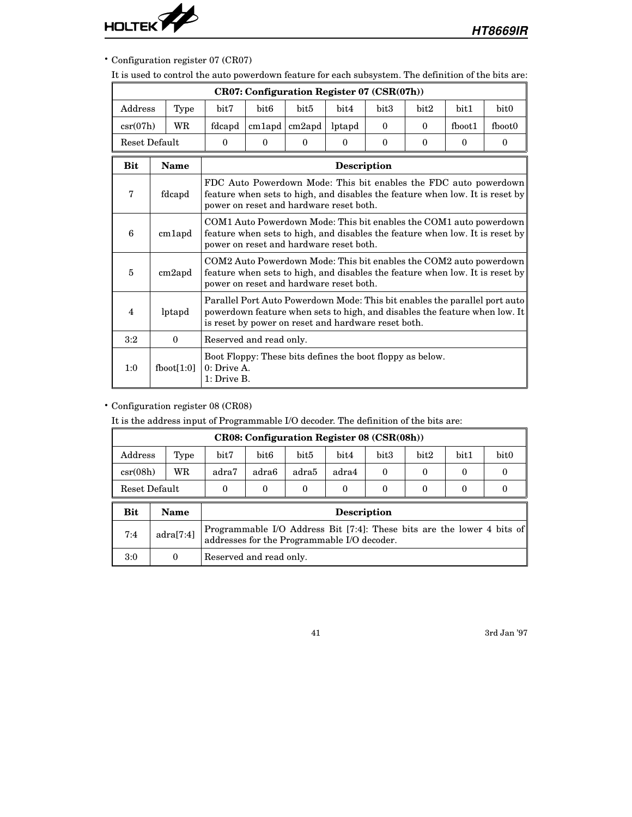

• Configuration register 07 (CR07)

It is used to control the auto powerdown feature for each subsystem. The definition of the bits are:

|             |                     |                              |                                                                                                                                                                                                                   | CR07: Configuration Register 07 (CSR(07h))                                                                                                                                                    |          |                  |          |          |                                                                                                                                                          |  |
|-------------|---------------------|------------------------------|-------------------------------------------------------------------------------------------------------------------------------------------------------------------------------------------------------------------|-----------------------------------------------------------------------------------------------------------------------------------------------------------------------------------------------|----------|------------------|----------|----------|----------------------------------------------------------------------------------------------------------------------------------------------------------|--|
| Address     | Type                | bit7                         | bit <sub>6</sub>                                                                                                                                                                                                  | bit <sub>5</sub>                                                                                                                                                                              | bit4     | bit <sub>3</sub> | bit2     | bit1     | bit <sub>0</sub>                                                                                                                                         |  |
| $\csc(07h)$ | WR                  | fdcapd                       | $cm1$ apd                                                                                                                                                                                                         | $cm2$ apd                                                                                                                                                                                     | lptapd   | $\theta$         | $\Omega$ | fboot1   | fboot0                                                                                                                                                   |  |
|             | Reset Default       | $\theta$                     | $\theta$                                                                                                                                                                                                          | $\Omega$                                                                                                                                                                                      | $\theta$ | $\theta$         | $\theta$ | $\theta$ | $\theta$                                                                                                                                                 |  |
| <b>Bit</b>  | <b>Name</b>         |                              |                                                                                                                                                                                                                   |                                                                                                                                                                                               |          |                  |          |          |                                                                                                                                                          |  |
| 7           | fdcapd              |                              | <b>Description</b><br>FDC Auto Powerdown Mode: This bit enables the FDC auto powerdown<br>feature when sets to high, and disables the feature when low. It is reset by<br>power on reset and hardware reset both. |                                                                                                                                                                                               |          |                  |          |          |                                                                                                                                                          |  |
| 6           | cm <sub>1</sub> apd |                              |                                                                                                                                                                                                                   | COM1 Auto Powerdown Mode: This bit enables the COM1 auto powerdown<br>feature when sets to high, and disables the feature when low. It is reset by<br>power on reset and hardware reset both. |          |                  |          |          |                                                                                                                                                          |  |
| 5           | $cm2$ apd           |                              |                                                                                                                                                                                                                   | feature when sets to high, and disables the feature when low. It is reset by<br>power on reset and hardware reset both.                                                                       |          |                  |          |          | COM2 Auto Powerdown Mode: This bit enables the COM2 auto powerdown                                                                                       |  |
| 4           | lptapd              |                              |                                                                                                                                                                                                                   | is reset by power on reset and hardware reset both.                                                                                                                                           |          |                  |          |          | Parallel Port Auto Powerdown Mode: This bit enables the parallel port auto<br>powerdown feature when sets to high, and disables the feature when low. It |  |
| 3:2         | $\mathbf{0}$        | Reserved and read only.      |                                                                                                                                                                                                                   |                                                                                                                                                                                               |          |                  |          |          |                                                                                                                                                          |  |
| 1:0         | fboot[1:0]          | $0:$ Drive A.<br>1: Drive B. |                                                                                                                                                                                                                   | Boot Floppy: These bits defines the boot floppy as below.                                                                                                                                     |          |                  |          |          |                                                                                                                                                          |  |

# • Configuration register 08 (CR08)

It is the address input of Programmable I/O decoder. The definition of the bits are:

|             |                                                                                                 |                                             |                                                                  |                  | CR08: Configuration Register 08 (CSR(08h)) |                  |      |      |                                                                        |  |
|-------------|-------------------------------------------------------------------------------------------------|---------------------------------------------|------------------------------------------------------------------|------------------|--------------------------------------------|------------------|------|------|------------------------------------------------------------------------|--|
| Address     | Type                                                                                            | bit7                                        | bit <sub>6</sub>                                                 | bit <sub>5</sub> | bit4                                       | bit <sub>3</sub> | bit2 | bit1 | bit <sub>0</sub>                                                       |  |
| $\csc(08h)$ | WR                                                                                              | adra7                                       | adra6<br>adra5<br>adra4<br>$\theta$<br>$\Omega$<br>$\Omega$<br>0 |                  |                                            |                  |      |      |                                                                        |  |
|             | Reset Default<br>$\Omega$<br>$\Omega$<br>$\Omega$<br>$\Omega$<br>$\Omega$<br>0<br>$\Omega$<br>0 |                                             |                                                                  |                  |                                            |                  |      |      |                                                                        |  |
| Bit         | Name                                                                                            |                                             |                                                                  |                  | <b>Description</b>                         |                  |      |      |                                                                        |  |
| 7:4         | adraf7:4]                                                                                       | addresses for the Programmable I/O decoder. |                                                                  |                  |                                            |                  |      |      | Programmable I/O Address Bit [7:4]: These bits are the lower 4 bits of |  |
| 3:0         | 0                                                                                               | Reserved and read only.                     |                                                                  |                  |                                            |                  |      |      |                                                                        |  |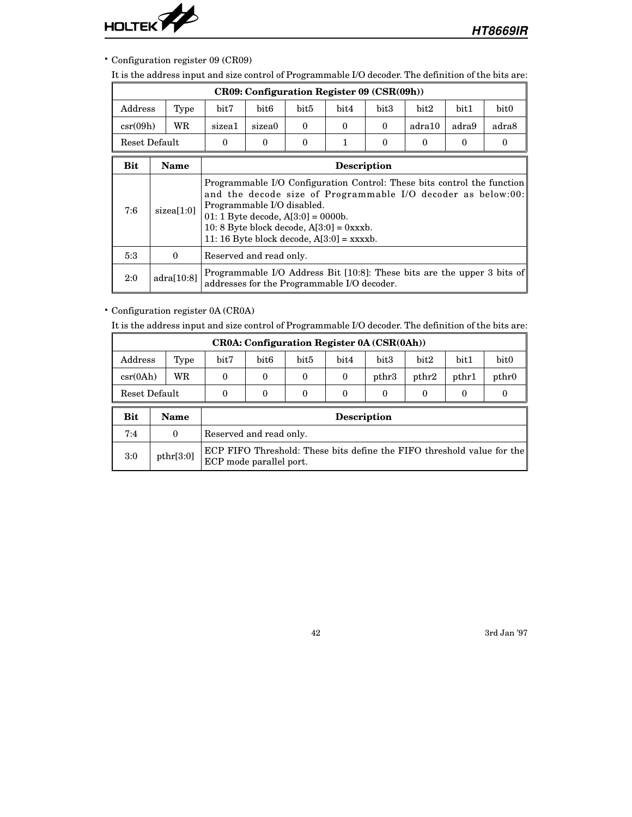

• Configuration register 09 (CR09)

It is the address input and size control of Programmable I/O decoder. The definition of the bits are:

|                           |             |                                                                                                                                                                  | CR09: Configuration Register 09 (CSR(09h))             |          |          |          |        |       |                                                                                                                                         |  |
|---------------------------|-------------|------------------------------------------------------------------------------------------------------------------------------------------------------------------|--------------------------------------------------------|----------|----------|----------|--------|-------|-----------------------------------------------------------------------------------------------------------------------------------------|--|
| Address                   | Type        | bit7                                                                                                                                                             | bit6                                                   | bit5     | bit4     | bit3     | bit2   | bit1  | bit0                                                                                                                                    |  |
| $\operatorname{csr}(09h)$ | WR          | sizea1                                                                                                                                                           | sizea0                                                 | $\Omega$ | $\Omega$ | $\Omega$ | adra10 | adra9 | adra8                                                                                                                                   |  |
| Reset Default             |             | $\Omega$                                                                                                                                                         | $\theta$<br>1<br>$\Omega$<br>$\Omega$<br>$\Omega$<br>0 |          |          |          |        |       |                                                                                                                                         |  |
| <b>Bit</b>                | <b>Name</b> |                                                                                                                                                                  | <b>Description</b>                                     |          |          |          |        |       |                                                                                                                                         |  |
| 7:6                       | sizea[1:0]  | Programmable I/O disabled.<br>01: 1 Byte decode, $A[3:0] = 0000b$ .<br>10: 8 Byte block decode, $A[3:0] = 0$ xxxb.<br>11:16 Byte block decode, $A[3:0] =$ xxxxb. |                                                        |          |          |          |        |       | Programmable I/O Configuration Control: These bits control the function<br>and the decode size of Programmable I/O decoder as below:00: |  |
| 5:3                       | $\Omega$    | Reserved and read only.                                                                                                                                          |                                                        |          |          |          |        |       |                                                                                                                                         |  |
| 2:0                       | adraf10:8   | addresses for the Programmable I/O decoder.                                                                                                                      |                                                        |          |          |          |        |       | Programmable I/O Address Bit [10:8]: These bits are the upper 3 bits of                                                                 |  |

• Configuration register 0A (CR0A)

It is the address input and size control of Programmable I/O decoder. The definition of the bits are:

|                                                                         |           |                         |          |          |                    | CR0A: Configuration Register 0A (CSR(0Ah)) |       |          |                                                                        |
|-------------------------------------------------------------------------|-----------|-------------------------|----------|----------|--------------------|--------------------------------------------|-------|----------|------------------------------------------------------------------------|
| Address                                                                 | Type      | bit7                    | bit6     | bit5     | bit4               | bit <sub>3</sub>                           | bit2  | bit1     | bit <sub>0</sub>                                                       |
| $\text{csr}(0\text{Ah})$                                                | WR        | $\Omega$                | $\Omega$ | $\Omega$ | $\Omega$           | pthr3                                      | pthr2 | pthr1    | pthr0                                                                  |
| Reset Default<br>$\Omega$<br>$\Omega$<br>$\Omega$<br>0<br>0<br>$\Omega$ |           |                         |          |          |                    |                                            |       | $\Omega$ | 0                                                                      |
| Bit                                                                     | Name      |                         |          |          | <b>Description</b> |                                            |       |          |                                                                        |
| 7:4                                                                     | $\Omega$  | Reserved and read only. |          |          |                    |                                            |       |          |                                                                        |
| 3:0                                                                     | pthr[3:0] | ECP mode parallel port. |          |          |                    |                                            |       |          | ECP FIFO Threshold: These bits define the FIFO threshold value for the |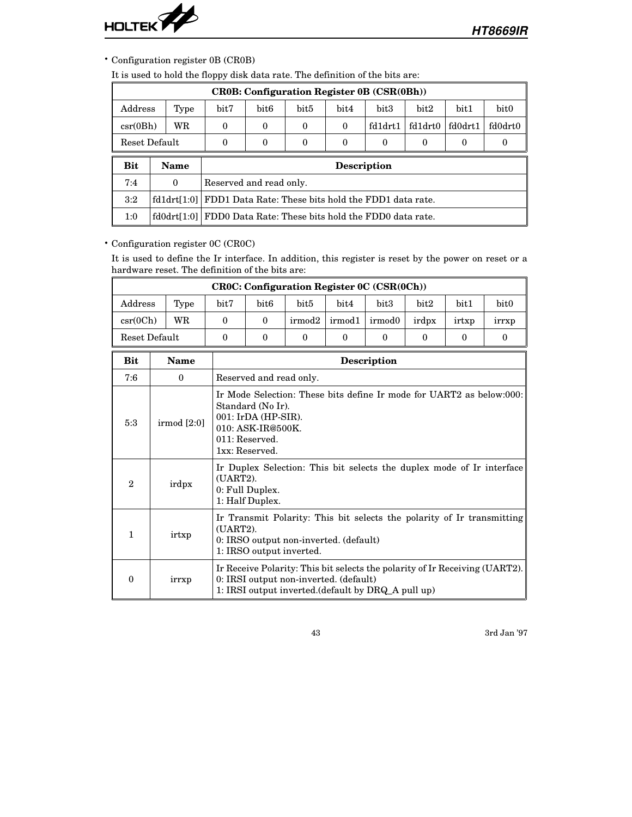

• Configuration register 0B (CR0B)

It is used to hold the floppy disk data rate. The definition of the bits are:

|                                                                                     |             |                         |                    |                  |          | <b>CROB: Configuration Register OB (CSR(OBh))</b>   |         |         |                  |  |
|-------------------------------------------------------------------------------------|-------------|-------------------------|--------------------|------------------|----------|-----------------------------------------------------|---------|---------|------------------|--|
| Address                                                                             | Type        | bit7                    | bit <sub>6</sub>   | bit <sub>5</sub> | bit4     | bit3                                                | bit2    | bit1    | bit <sub>0</sub> |  |
| $\text{csr}(\text{0Bh})$                                                            | WR          | $\theta$                | $\boldsymbol{0}$   | $\theta$         | $\Omega$ | fd1drt1                                             | fd1drt0 | fd0drt1 | fd0drt0          |  |
| Reset Default<br>$\theta$<br>$\Omega$<br>$\Omega$<br>$\theta$<br>0<br>$\Omega$<br>0 |             |                         |                    |                  |          |                                                     |         | 0       |                  |  |
|                                                                                     |             |                         | <b>Description</b> |                  |          |                                                     |         |         |                  |  |
| Bit                                                                                 | Name        |                         |                    |                  |          |                                                     |         |         |                  |  |
| 7:4                                                                                 | $\Omega$    | Reserved and read only. |                    |                  |          |                                                     |         |         |                  |  |
| 3:2                                                                                 | fd1drt[1:0] |                         |                    |                  |          | FDD1 Data Rate: These bits hold the FDD1 data rate. |         |         |                  |  |

• Configuration register 0C (CR0C)

It is used to define the Ir interface. In addition, this register is reset by the power on reset or a hardware reset. The definition of the bits are:

|                   | <b>CROC: Configuration Register OC (CSR(OCh))</b> |      |      |        |        |        |       |       |                  |
|-------------------|---------------------------------------------------|------|------|--------|--------|--------|-------|-------|------------------|
| Address           | Type                                              | bit7 | bit6 | bit5   | bit4   | bit3   | bit2  | bit1  | bit <sub>0</sub> |
| $\text{csr}(0Ch)$ | WR                                                |      |      | irmod2 | irmod1 | irmod0 | irdpx | irtxp | <i>arrxp</i>     |
| Reset Default     |                                                   |      |      |        |        |        |       |       |                  |

| Bit          | <b>Name</b> | <b>Description</b>                                                                                                                                                           |
|--------------|-------------|------------------------------------------------------------------------------------------------------------------------------------------------------------------------------|
| 7:6          | $\theta$    | Reserved and read only.                                                                                                                                                      |
| 5:3          | irmod [2:0] | Ir Mode Selection: These bits define Ir mode for UART2 as below:000:<br>Standard (No Ir).<br>001: IrDA (HP-SIR).<br>010: ASK-IR@500K.<br>011: Reserved.<br>1xx: Reserved.    |
| $\mathbf{2}$ | irdpx       | Ir Duplex Selection: This bit selects the duplex mode of Ir interface<br>(UART2).<br>0: Full Duplex.<br>1: Half Duplex.                                                      |
| 1            | irtxp       | Ir Transmit Polarity: This bit selects the polarity of Ir transmitting<br>$(UART2)$ .<br>0: IRSO output non-inverted. (default)<br>1: IRSO output inverted.                  |
| $\Omega$     | irrxp       | Ir Receive Polarity: This bit selects the polarity of Ir Receiving (UART2).<br>0: IRSI output non-inverted. (default)<br>1: IRSI output inverted. (default by DRQ A pull up) |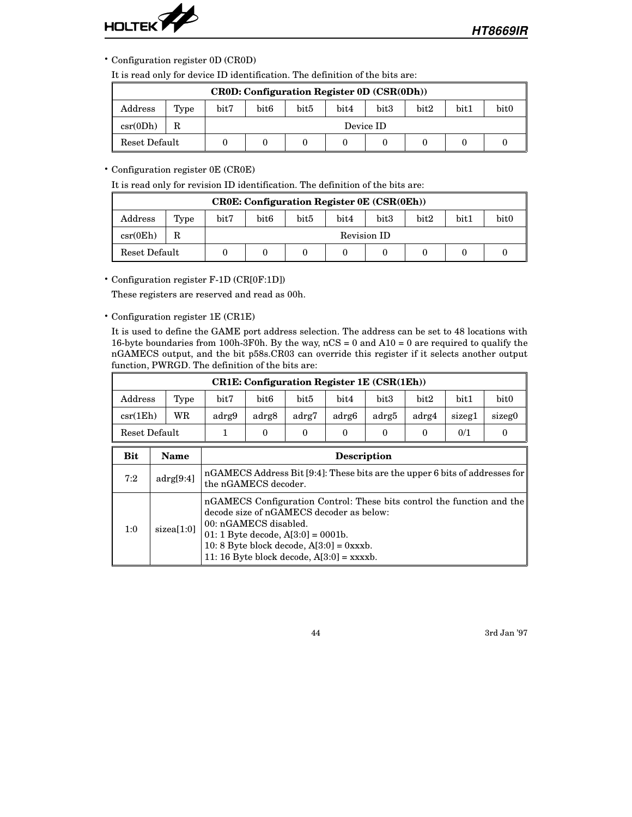

• Configuration register 0D (CR0D)

It is read only for device ID identification. The definition of the bits are:

|                   | <b>CROD: Configuration Register OD (CSR(ODh))</b> |      |      |      |      |           |      |      |                  |
|-------------------|---------------------------------------------------|------|------|------|------|-----------|------|------|------------------|
| Address           | Type                                              | bit7 | bit6 | bit5 | bit4 | bit3      | bit2 | bit1 | bit <sub>0</sub> |
| $\text{csr}(0Dh)$ |                                                   |      |      |      |      | Device ID |      |      |                  |
| Reset Default     |                                                   |      |      |      |      |           |      |      |                  |

### • Configuration register 0E (CR0E)

It is read only for revision ID identification. The definition of the bits are:

|                          | $CROE:$ Configuration Register $0E(CSR(0Eh))$ |               |                  |      |      |             |      |      |      |
|--------------------------|-----------------------------------------------|---------------|------------------|------|------|-------------|------|------|------|
| Address                  | Type                                          | $_{\rm bit7}$ | bit <sub>6</sub> | bit5 | bit4 | bit3        | bit2 | bit1 | bit0 |
| $\text{csr}(\text{0Eh})$ | R                                             |               |                  |      |      | Revision ID |      |      |      |
| Reset Default            |                                               |               |                  |      |      |             |      |      |      |

• Configuration register F-1D (CR[0F:1D])

These registers are reserved and read as 00h.

• Configuration register 1E (CR1E)

It is used to define the GAME port address selection. The address can be set to 48 locations with 16-byte boundaries from 100h-3F0h. By the way,  $nCS = 0$  and  $A10 = 0$  are required to qualify the nGAMECS output, and the bit p58s.CR03 can override this register if it selects another output function, PWRGD. The definition of the bits are:

|                   | <b>CR1E: Configuration Register 1E (CSR(1Eh))</b> |       |       |       |                    |       |       |        |                  |
|-------------------|---------------------------------------------------|-------|-------|-------|--------------------|-------|-------|--------|------------------|
| Address           | Type                                              | bit7  | bit6  | bit5  | bit4               | bit3  | bit2  | bit1   | bit <sub>0</sub> |
| $\text{csr}(1Eh)$ | WR                                                | adrg9 | adrg8 | adrg7 | adrg6              | adrg5 | adrg4 | sizeg1 | sizeg0           |
| Reset Default     |                                                   |       | 0     | 0     | 0                  | 0     | 0     | 0/1    |                  |
| Bit               | Name                                              |       |       |       | <b>Description</b> |       |       |        |                  |

| 7:2 | adrg[9:4]  | nGAMECS Address Bit [9:4]: These bits are the upper 6 bits of addresses for<br>the nGAMECS decoder.                                                                                                                                                                               |
|-----|------------|-----------------------------------------------------------------------------------------------------------------------------------------------------------------------------------------------------------------------------------------------------------------------------------|
| 1:0 | sizea[1:0] | nGAMECS Configuration Control: These bits control the function and the<br>decode size of nGAMECS decoder as below:<br>00: nGAMECS disabled.<br>01: 1 Byte decode, $A[3:0] = 0001b$ .<br>10: 8 Byte block decode, $A[3:0] = 0$ xxxb.<br>11:16 Byte block decode, $A[3:0] =$ xxxxb. |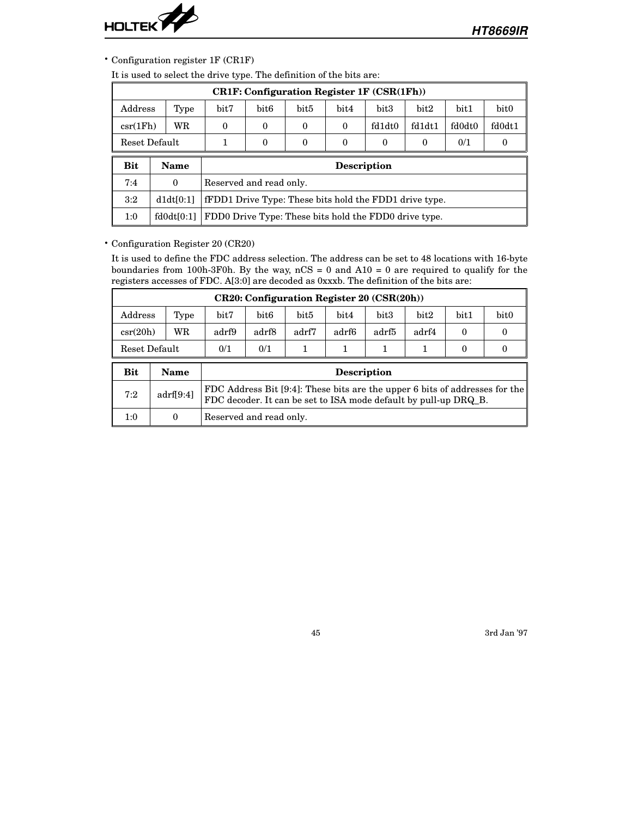

• Configuration register 1F (CR1F)

It is used to select the drive type. The definition of the bits are:

|                   | $CR1F:$ Configuration Register 1F $(CSR(1Fh))$ |          |                                                        |                  |          |                    |          |        |                  |
|-------------------|------------------------------------------------|----------|--------------------------------------------------------|------------------|----------|--------------------|----------|--------|------------------|
| Address           | Type                                           | bit7     | bit <sub>6</sub>                                       | bit <sub>5</sub> | bit4     | bit <sub>3</sub>   | bit2     | bit1   | bit <sub>0</sub> |
| $\text{csr}(1Fh)$ | WR                                             | $\Omega$ | $\theta$                                               | $\theta$         | $\Omega$ | fd1dt0             | fd1dt1   | fd0dt0 | fd0dt1           |
| Reset Default     |                                                |          | $\theta$                                               | $\theta$         | $\Omega$ | $\Omega$           | $\theta$ | 0/1    | 0                |
| <b>Bit</b>        | Name                                           |          |                                                        |                  |          | <b>Description</b> |          |        |                  |
| 7:4               | $\theta$                                       |          | Reserved and read only.                                |                  |          |                    |          |        |                  |
| 3:2               | d1dt[0:1]                                      |          | fFDD1 Drive Type: These bits hold the FDD1 drive type. |                  |          |                    |          |        |                  |
| 1:0               | f d0 dt [0:1]                                  |          | FDD0 Drive Type: These bits hold the FDD0 drive type.  |                  |          |                    |          |        |                  |

### • Configuration Register 20 (CR20)

It is used to define the FDC address selection. The address can be set to 48 locations with 16-byte boundaries from 100h-3F0h. By the way,  $nCS = 0$  and  $A10 = 0$  are required to qualify for the registers accesses of FDC. A[3:0] are decoded as 0xxxb. The definition of the bits are:

|               | CR20: Configuration Register 20 (CSR(20h)) |       |       |       |       |                  |       |      |                  |
|---------------|--------------------------------------------|-------|-------|-------|-------|------------------|-------|------|------------------|
| Address       | Type                                       | bit7  | bit6  | bit5  | bit4  | bit <sub>3</sub> | bit2  | bit1 | bit <sub>0</sub> |
| $\csc(20h)$   | WR                                         | adrf9 | adrf8 | adrf7 | adrf6 | adrf5            | adrf4 |      |                  |
| Reset Default |                                            | 0/1   | 0/1   |       |       |                  |       |      |                  |
|               |                                            |       |       |       |       |                  |       |      |                  |

| Bit | Name      | <b>Description</b>                                                                                                                              |
|-----|-----------|-------------------------------------------------------------------------------------------------------------------------------------------------|
| 7:2 | adrf[9:4] | FDC Address Bit [9:4]: These bits are the upper 6 bits of addresses for the<br>FDC decoder. It can be set to ISA mode default by pull-up DRQ_B. |
| 1:0 |           | Reserved and read only.                                                                                                                         |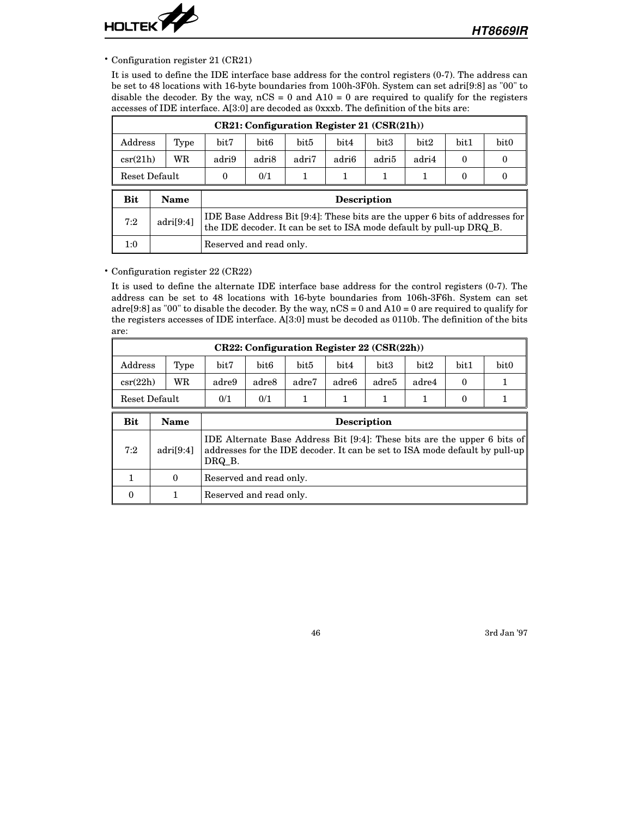

• Configuration register 21 (CR21)

It is used to define the IDE interface base address for the control registers (0-7). The address can be set to 48 locations with 16-byte boundaries from 100h-3F0h. System can set adri[9:8] as "00" to disable the decoder. By the way,  $nCS = 0$  and  $A10 = 0$  are required to qualify for the registers accesses of IDE interface. A[3:0] are decoded as 0xxxb. The definition of the bits are:

|                   | $CR21:$ Configuration Register 21 $(CSR(21h))$ |       |                                      |                                                                                                                                                      |       |                    |       |          |                  |   |
|-------------------|------------------------------------------------|-------|--------------------------------------|------------------------------------------------------------------------------------------------------------------------------------------------------|-------|--------------------|-------|----------|------------------|---|
| Address<br>Type   |                                                | bit7  | bit3<br>bit5<br>bit6<br>bit4<br>bit2 |                                                                                                                                                      |       |                    |       |          | bit <sub>0</sub> |   |
| WR<br>$\csc(21h)$ |                                                | adri9 | adri8                                | adri7                                                                                                                                                | adri6 | adri5              | adri4 | $\theta$ | $\Omega$         |   |
| Reset Default     |                                                |       | $\Omega$                             | 0/1                                                                                                                                                  | 1     |                    |       | 1        | $\theta$         | 0 |
| Bit               | Name                                           |       |                                      |                                                                                                                                                      |       | <b>Description</b> |       |          |                  |   |
| 7:2               | adri[9:4]                                      |       |                                      | IDE Base Address Bit [9:4]: These bits are the upper 6 bits of addresses for<br>the IDE decoder. It can be set to ISA mode default by pull-up DRQ B. |       |                    |       |          |                  |   |
| 1:0               |                                                |       | Reserved and read only.              |                                                                                                                                                      |       |                    |       |          |                  |   |

• Configuration register 22 (CR22)

It is used to define the alternate IDE interface base address for the control registers (0-7). The address can be set to 48 locations with 16-byte boundaries from 106h-3F6h. System can set adre[9:8] as "00" to disable the decoder. By the way, nCS = 0 and A10 = 0 are required to qualify for the registers accesses of IDE interface. A[3:0] must be decoded as 0110b. The definition of the bits are:

|                | $CR22:$ Configuration Register 22 (CSR(22h)) |       |       |       |                   |       |       |      |                  |
|----------------|----------------------------------------------|-------|-------|-------|-------------------|-------|-------|------|------------------|
| $\rm{Address}$ | Type                                         | bit7  | bit6  | bit5  | bit4              | bit3  | bit2  | bit1 | bit <sub>0</sub> |
| $\csc(22h)$    | WR                                           | adre9 | adre8 | adre7 | adre <sub>6</sub> | adre5 | adre4 |      |                  |
| Reset Default  |                                              | 0/1   | 0/1   |       |                   |       |       |      |                  |

| Bit | Name      | <b>Description</b>                                                                                                                                                |
|-----|-----------|-------------------------------------------------------------------------------------------------------------------------------------------------------------------|
| 7:2 | adri[9:4] | IDE Alternate Base Address Bit [9:4]: These bits are the upper 6 bits of<br>addresses for the IDE decoder. It can be set to ISA mode default by pull-up<br>DRQ B. |
|     | $\theta$  | Reserved and read only.                                                                                                                                           |
| 0   |           | Reserved and read only.                                                                                                                                           |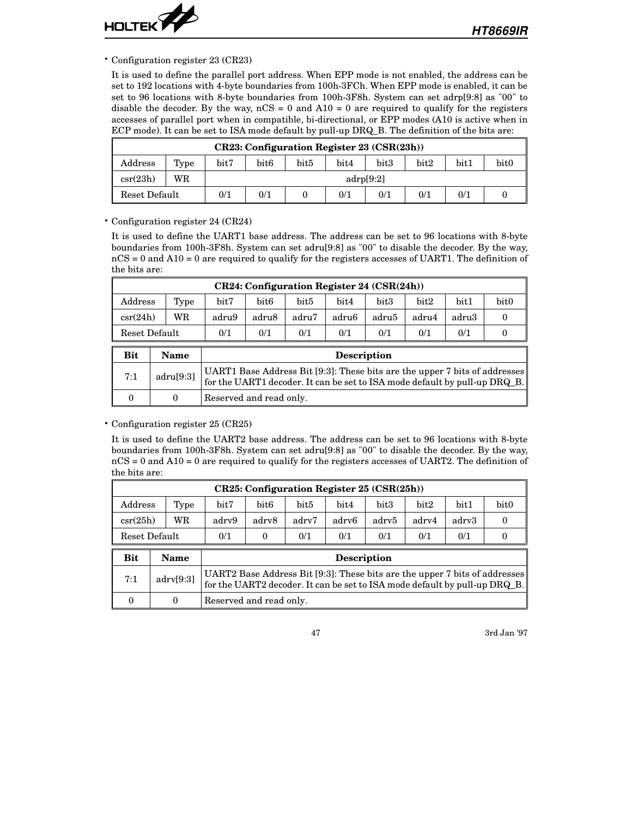

• Configuration register 23 (CR23)

It is used to define the parallel port address. When EPP mode is not enabled, the address can be set to 192 locations with 4-byte boundaries from 100h-3FCh. When EPP mode is enabled, it can be set to 96 locations with 8-byte boundaries from 100h-3F8h. System can set adrp[9:8] as "00" to disable the decoder. By the way,  $nCS = 0$  and  $A10 = 0$  are required to qualify for the registers accesses of parallel port when in compatible, bi-directional, or EPP modes (A10 is active when in ECP mode). It can be set to ISA mode default by pull-up DRQ\_B. The definition of the bits are:

| CR23: Configuration Register 23 (CSR(23h)) |      |                                        |           |      |      |                  |      |      |                  |
|--------------------------------------------|------|----------------------------------------|-----------|------|------|------------------|------|------|------------------|
| $\rm{Address}$                             | Type | bit7                                   | bit6      | bit5 | bit4 | bit <sub>3</sub> | bit2 | bit1 | bit <sub>0</sub> |
| $\csc(23h)$                                | WR   |                                        | adrp[9:2] |      |      |                  |      |      |                  |
| Reset Default                              |      | 0/1<br>0/1<br>0/1<br>0/1<br>0/1<br>0/1 |           |      |      |                  |      |      |                  |

• Configuration register 24 (CR24)

It is used to define the UART1 base address. The address can be set to 96 locations with 8-byte boundaries from 100h-3F8h. System can set adru[9:8] as "00" to disable the decoder. By the way, nCS = 0 and A10 = 0 are required to qualify for the registers accesses of UART1. The definition of the bits are:

| $CR24$ : Configuration Register 24 (CSR(24h))                  |      |       |       |       |       |       |       |       |      |
|----------------------------------------------------------------|------|-------|-------|-------|-------|-------|-------|-------|------|
| $\rm{Address}$                                                 | Type | bit7  | bit6  | bit5  | bit4  | bit3  | bit2  | bit1  | bit0 |
| $\csc(24h)$                                                    | WR   | adru9 | adru8 | adru7 | adru6 | adru5 | adru4 | adru3 |      |
| 0/1<br>0/1<br>0/1<br>0/1<br>0/1<br>0/1<br>0/1<br>Reset Default |      |       |       |       |       |       |       |       |      |

| <b>Bit</b> | Name      | <b>Description</b>                                                                                                                                       |
|------------|-----------|----------------------------------------------------------------------------------------------------------------------------------------------------------|
| 7:1        | adru[9:3] | UART1 Base Address Bit [9:3]: These bits are the upper 7 bits of addresses<br>for the UART1 decoder. It can be set to ISA mode default by pull-up DRQ_B. |
|            |           | Reserved and read only.                                                                                                                                  |

• Configuration register 25 (CR25)

It is used to define the UART2 base address. The address can be set to 96 locations with 8-byte boundaries from 100h-3F8h. System can set adru[9:8] as "00" to disable the decoder. By the way, nCS = 0 and A10 = 0 are required to qualify for the registers accesses of UART2. The definition of the bits are:

| $CR25:$ Configuration Register 25 $(CSR(25h))$          |      |       |       |       |       |       |       |       |                  |
|---------------------------------------------------------|------|-------|-------|-------|-------|-------|-------|-------|------------------|
| Address                                                 | Type | bit7  | bit6  | bit5  | bit4  | bit3  | bit2  | bit1  | bit <sub>0</sub> |
| $\csc(25h)$                                             | WR   | adry9 | adry8 | adry7 | adry6 | adrv5 | adry4 | adry3 |                  |
| 0/1<br>0/1<br>0/1<br>0/1<br>0/1<br>Reset Default<br>0/1 |      |       |       |       |       |       |       |       |                  |

| <b>Bit</b> | <b>Name</b> | <b>Description</b>                                                                                                                                       |
|------------|-------------|----------------------------------------------------------------------------------------------------------------------------------------------------------|
| 7:1        | adv[9:3]    | UART2 Base Address Bit [9:3]: These bits are the upper 7 bits of addresses<br>for the UART2 decoder. It can be set to ISA mode default by pull-up DRQ_B. |
|            |             | Reserved and read only.                                                                                                                                  |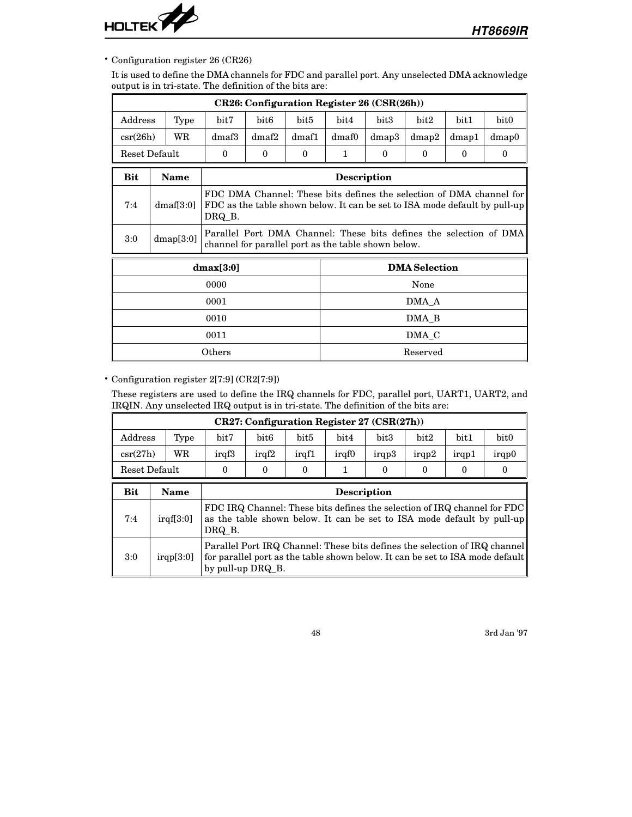

• Configuration register 26 (CR26)

It is used to define the DMA channels for FDC and parallel port. Any unselected DMA acknowledge output is in tri-state. The definition of the bits are:

|             |               |                                                                                                                                                              |                      |          | CR26: Configuration Register 26 (CSR(26h)) |                                                                                                                           |             |          |          |          |  |
|-------------|---------------|--------------------------------------------------------------------------------------------------------------------------------------------------------------|----------------------|----------|--------------------------------------------|---------------------------------------------------------------------------------------------------------------------------|-------------|----------|----------|----------|--|
| Address     | Type          |                                                                                                                                                              | bit7<br>bit6<br>bit5 |          |                                            | bit4                                                                                                                      | bit3        | bit2     | bit1     | bit0     |  |
| $\csc(26h)$ | WR            |                                                                                                                                                              | dmaf3                | dmaf2    | dmaf1                                      | dmaf0                                                                                                                     | $d$ map $3$ | dmap2    | dmap1    | dmap0    |  |
|             | Reset Default |                                                                                                                                                              | $\theta$             | $\theta$ | $\theta$                                   | $\mathbf{1}$                                                                                                              | $\Omega$    | $\theta$ | $\theta$ | $\theta$ |  |
| Bit         | <b>Name</b>   |                                                                                                                                                              |                      |          |                                            | <b>Description</b>                                                                                                        |             |          |          |          |  |
| 7:4         | dmaf[3:0]     | FDC DMA Channel: These bits defines the selection of DMA channel for<br>FDC as the table shown below. It can be set to ISA mode default by pull-up<br>DRQ B. |                      |          |                                            |                                                                                                                           |             |          |          |          |  |
| 3:0         | dmap[3:0]     |                                                                                                                                                              |                      |          |                                            | Parallel Port DMA Channel: These bits defines the selection of DMA<br>channel for parallel port as the table shown below. |             |          |          |          |  |
|             |               |                                                                                                                                                              | dmax[3:0]            |          |                                            | <b>DMA</b> Selection                                                                                                      |             |          |          |          |  |
|             |               |                                                                                                                                                              | 0000                 |          |                                            | None                                                                                                                      |             |          |          |          |  |
|             |               |                                                                                                                                                              | 0001                 |          |                                            | DMA A                                                                                                                     |             |          |          |          |  |
|             |               |                                                                                                                                                              | 0010                 |          |                                            | DMA_B                                                                                                                     |             |          |          |          |  |
|             |               |                                                                                                                                                              | 0011                 |          |                                            | DMA C                                                                                                                     |             |          |          |          |  |
|             |               |                                                                                                                                                              | $O {\rm thers}$      |          |                                            |                                                                                                                           |             | Reserved |          |          |  |

• Configuration register 2[7:9] (CR2[7:9])

These registers are used to define the IRQ channels for FDC, parallel port, UART1, UART2, and IRQIN. Any unselected IRQ output is in tri-state. The definition of the bits are:

| $CR27:$ Configuration Register 27 (CSR(27h)) |               |       |       |       |       |       |       |       |                  |
|----------------------------------------------|---------------|-------|-------|-------|-------|-------|-------|-------|------------------|
| Address                                      | Type          | bit7  | bit6  | bit5  | bit4  | bit3  | bit2  | bit1  | bit <sub>0</sub> |
| $\csc(27h)$                                  | WR            | iraf3 | iraf2 | iraf1 | iraf0 | irap3 | irap2 | irap1 | irgp0            |
|                                              | Reset Default |       |       |       |       |       |       |       |                  |

| Bit | <b>Name</b> | <b>Description</b>                                                                                                                                                               |
|-----|-------------|----------------------------------------------------------------------------------------------------------------------------------------------------------------------------------|
| 7:4 | irqf[3:0]   | FDC IRQ Channel: These bits defines the selection of IRQ channel for FDC<br>as the table shown below. It can be set to ISA mode default by pull-up<br>DRQ B.                     |
| 3:0 | irap[3:0]   | Parallel Port IRQ Channel: These bits defines the selection of IRQ channel<br>for parallel port as the table shown below. It can be set to ISA mode default<br>by pull-up DRQ B. |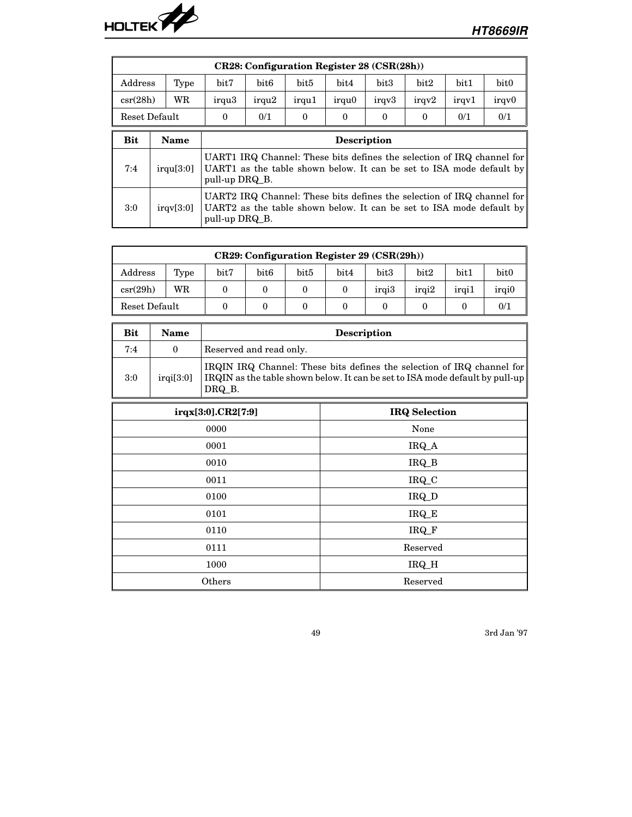

| <b>CR28: Configuration Register 28 (CSR(28h))</b> |               |                                                                                                                                                                  |                                                                                                                                                                  |          |          |          |          |       |                  |
|---------------------------------------------------|---------------|------------------------------------------------------------------------------------------------------------------------------------------------------------------|------------------------------------------------------------------------------------------------------------------------------------------------------------------|----------|----------|----------|----------|-------|------------------|
| Address                                           | Type          | bit <sub>6</sub><br>bit <sub>5</sub><br>bit3<br>bit2<br>bit1<br>bit7<br>bit4                                                                                     |                                                                                                                                                                  |          |          |          |          |       | bit <sub>0</sub> |
| $\csc(28h)$                                       | WR            | irqu <sub>3</sub>                                                                                                                                                | irqu <sub>2</sub>                                                                                                                                                | irqu1    | irqu0    | irgy3    | irqv2    | irqv1 | irqv0            |
|                                                   | Reset Default | $\theta$                                                                                                                                                         | 0/1                                                                                                                                                              | $\Omega$ | $\Omega$ | $\Omega$ | $\Omega$ | 0/1   | 0/1              |
| Bit                                               | <b>Name</b>   | <b>Description</b>                                                                                                                                               |                                                                                                                                                                  |          |          |          |          |       |                  |
| 7:4                                               | irqu[3:0]     |                                                                                                                                                                  | UART1 IRQ Channel: These bits defines the selection of IRQ channel for<br>UART1 as the table shown below. It can be set to ISA mode default by<br>pull-up DRQ B. |          |          |          |          |       |                  |
| 3:0                                               | irav[3:0]     | UART2 IRQ Channel: These bits defines the selection of IRQ channel for<br>UART2 as the table shown below. It can be set to ISA mode default by<br>pull-up DRQ B. |                                                                                                                                                                  |          |          |          |          |       |                  |

| $CR29:$ Configuration Register 29 (CSR(29h)) |      |      |               |      |      |                  |       |       |               |
|----------------------------------------------|------|------|---------------|------|------|------------------|-------|-------|---------------|
| $\rm{Address}$                               | Type | bit7 | $_{\rm bit6}$ | bit5 | bit4 | bit <sub>3</sub> | bit2  | bit1  | bit0          |
| $\csc(29h)$                                  | WR   |      |               |      |      | irai3            | irai2 | irgi1 | <i>irgi</i> 0 |
| 0/1<br>Reset Default                         |      |      |               |      |      |                  |       |       |               |

| <b>Bit</b> | Name    | <b>Description</b>                                                                                                                                               |
|------------|---------|------------------------------------------------------------------------------------------------------------------------------------------------------------------|
| 7:4        |         | Reserved and read only.                                                                                                                                          |
| 3:0        | irq13:0 | IRQIN IRQ Channel: These bits defines the selection of IRQ channel for<br>IRQIN as the table shown below. It can be set to ISA mode default by pull-up<br>DRQ B. |
|            |         |                                                                                                                                                                  |

| irqx[3:0].CR2[7:9] | <b>IRQ</b> Selection |
|--------------------|----------------------|
| 0000               | None                 |
| 0001               | IRQ_A                |
| 0010               | IRQ_B                |
| 0011               | IRQ_C                |
| 0100               | IRQ_D                |
| 0101               | IRQ_E                |
| 0110               | IRQ_F                |
| 0111               | Reserved             |
| 1000               | IRQ_H                |
| Others             | Reserved             |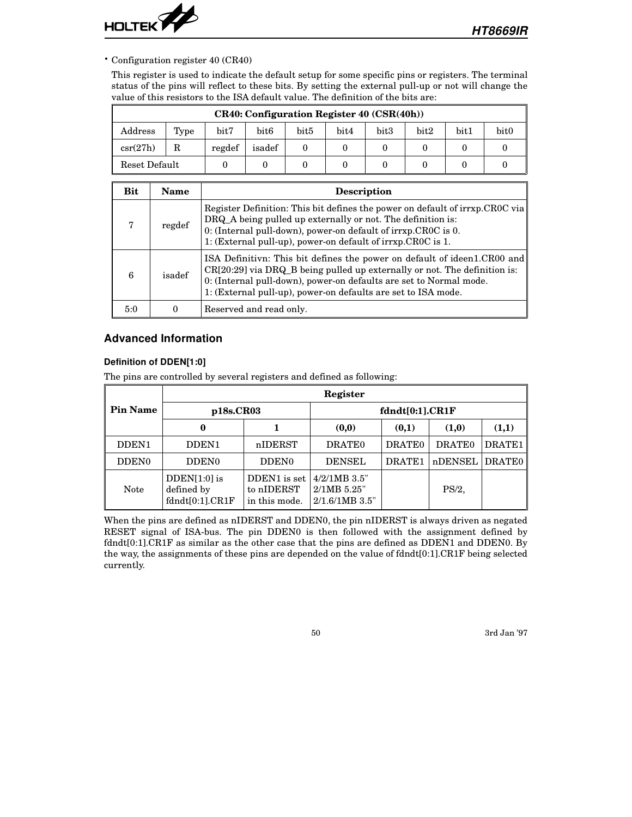

• Configuration register 40 (CR40)

This register is used to indicate the default setup for some specific pins or registers. The terminal status of the pins will reflect to these bits. By setting the external pull-up or not will change the value of this resistors to the ISA default value. The definition of the bits are:

| CR40: Configuration Register 40 (CSR(40h)) |      |        |        |                  |      |                  |      |               |                  |
|--------------------------------------------|------|--------|--------|------------------|------|------------------|------|---------------|------------------|
| Address                                    | Type | bit7   | bit6   | bit <sub>5</sub> | bit4 | bit <sub>3</sub> | bit2 | $_{\rm bit1}$ | bit <sub>0</sub> |
| $\csc(27h)$                                |      | regdef | isadef |                  |      |                  |      |               |                  |
| Reset Default                              |      |        |        |                  |      |                  |      |               |                  |

| Bit | Name   | <b>Description</b>                                                                                                                                                                                                                                                                           |
|-----|--------|----------------------------------------------------------------------------------------------------------------------------------------------------------------------------------------------------------------------------------------------------------------------------------------------|
|     | regdef | Register Definition: This bit defines the power on default of irrxp.CR0C via<br>DRQ_A being pulled up externally or not. The definition is:<br>0: (Internal pull-down), power-on default of irrxp.CROC is 0.<br>1: (External pull-up), power-on default of irrxp.CR0C is 1.                  |
| 6   | isadef | ISA Definitivn: This bit defines the power on default of ideen1.CR00 and<br>CR[20:29] via DRQ_B being pulled up externally or not. The definition is:<br>0: (Internal pull-down), power-on defaults are set to Normal mode.<br>1: (External pull-up), power-on defaults are set to ISA mode. |
| 5:0 |        | Reserved and read only.                                                                                                                                                                                                                                                                      |

## **Advanced Information**

#### **Definition of DDEN[1:0]**

The pins are controlled by several registers and defined as following:

|                   | Register                                            |                                             |                                                     |                    |                    |               |  |  |  |
|-------------------|-----------------------------------------------------|---------------------------------------------|-----------------------------------------------------|--------------------|--------------------|---------------|--|--|--|
| <b>Pin Name</b>   | p18s.CR03                                           |                                             | fdndt[0:1].CR1F                                     |                    |                    |               |  |  |  |
|                   | 0                                                   |                                             | (0,0)                                               | (0,1)              | (1,0)              | (1,1)         |  |  |  |
| DDEN1             | DDEN <sub>1</sub>                                   | nIDERST                                     | DRATE <sub>0</sub>                                  | DRATE <sub>0</sub> | DRATE <sub>0</sub> | DRATE1        |  |  |  |
| DDEN <sub>0</sub> | DDEN <sub>0</sub>                                   | DDEN <sub>0</sub>                           | <b>DENSEL</b>                                       | DRATE1             | nDENSEL            | <b>DRATE0</b> |  |  |  |
| <b>Note</b>       | $D$ DEN $[1:0]$ is<br>defined by<br>fdndt[0:1].CR1F | DDEN1 is set<br>to nIDERST<br>in this mode. | $4/2/1MB$ 3.5"<br>$2/1MB$ 5.25"<br>$2/1.6/1MB$ 3.5" |                    | $PS/2$ ,           |               |  |  |  |

When the pins are defined as nIDERST and DDEN0, the pin nIDERST is always driven as negated RESET signal of ISA-bus. The pin DDEN0 is then followed with the assignment defined by fdndt[0:1].CR1F as similar as the other case that the pins are defined as DDEN1 and DDEN0. By the way, the assignments of these pins are depended on the value of fdndt[0:1].CR1F being selected currently.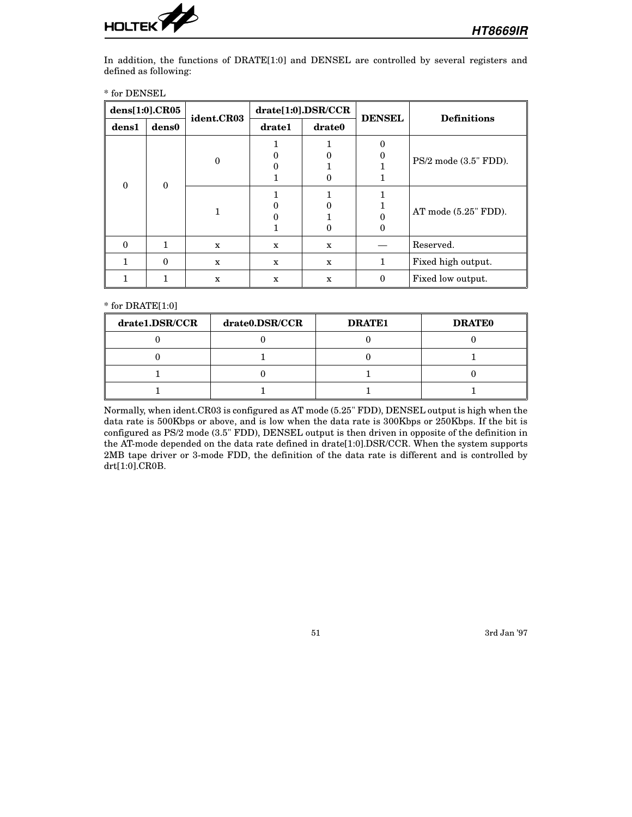

In addition, the functions of DRATE[1:0] and DENSEL are controlled by several registers and defined as following:

|  |  | * for DENSEL |
|--|--|--------------|
|--|--|--------------|

| dens[1:0].CR05 |          | ident.CR03   | drate[1:0].DSR/CCR |              | <b>DENSEL</b> | <b>Definitions</b>        |  |
|----------------|----------|--------------|--------------------|--------------|---------------|---------------------------|--|
| dens1          | dens0    |              | drate1<br>drate0   |              |               |                           |  |
|                |          |              |                    |              |               |                           |  |
|                |          |              |                    |              |               |                           |  |
|                |          | 0            |                    |              |               | $PS/2$ mode $(3.5"$ FDD). |  |
| 0              | $\Omega$ |              |                    |              |               |                           |  |
|                |          |              |                    |              |               |                           |  |
|                |          |              |                    |              |               |                           |  |
|                |          |              |                    |              |               | AT mode $(5.25" FDD)$ .   |  |
|                |          |              |                    |              |               |                           |  |
| 0              |          | $\mathbf{x}$ | $\mathbf{x}$       | $\mathbf{x}$ |               | Reserved.                 |  |
|                | 0        | X            | $\mathbf{x}$       | X            | 1             | Fixed high output.        |  |
|                |          | X            | X                  | $\mathbf{x}$ | 0             | Fixed low output.         |  |

\* for DRATE[1:0]

| drate1.DSR/CCR | drate0.DSR/CCR | <b>DRATE1</b> | <b>DRATEO</b> |
|----------------|----------------|---------------|---------------|
|                |                |               |               |
|                |                |               |               |
|                |                |               |               |
|                |                |               |               |

Normally, when ident.CR03 is configured as AT mode (5.25" FDD), DENSEL output is high when the data rate is 500Kbps or above, and is low when the data rate is 300Kbps or 250Kbps. If the bit is configured as PS/2 mode (3.5" FDD), DENSEL output is then driven in opposite of the definition in the AT-mode depended on the data rate defined in drate[1:0].DSR/CCR. When the system supports 2MB tape driver or 3-mode FDD, the definition of the data rate is different and is controlled by drt[1:0].CR0B.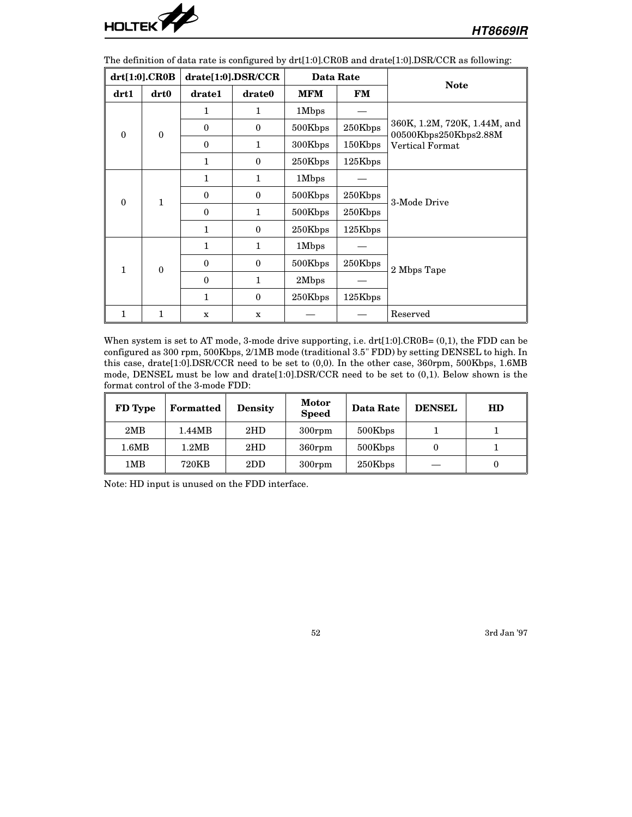

The definition of data rate is configured by drt[1:0].CR0B and drate[1:0].DSR/CCR as following:

|          | drt[1:0].CR0B    |              | drate[1:0].DSR/CCR |            | <b>Data Rate</b> | <b>Note</b>                                           |  |
|----------|------------------|--------------|--------------------|------------|------------------|-------------------------------------------------------|--|
| drt1     | drt0             | drate1       | drate0             | <b>MFM</b> | <b>FM</b>        |                                                       |  |
|          |                  | 1            | 1                  | 1Mbps      |                  |                                                       |  |
| $\theta$ | $\boldsymbol{0}$ | $\bf{0}$     | $\mathbf{0}$       | 500Kbps    | 250Kbps          | 360K, 1.2M, 720K, 1.44M, and<br>00500Kbps250Kbps2.88M |  |
|          |                  | $\Omega$     | 1                  | 300Kbps    | 150Kbps          | <b>Vertical Format</b>                                |  |
|          |                  | 1            | $\mathbf{0}$       | 250Kbps    | 125Kbps          |                                                       |  |
|          |                  | $\mathbf{1}$ | 1                  | 1Mbps      |                  |                                                       |  |
| $\theta$ | $\mathbf{1}$     | $\Omega$     | $\theta$           | 500Kbps    | 250Kbps          | 3-Mode Drive                                          |  |
|          |                  | $\Omega$     | 1                  | 500Kbps    | 250Kbps          |                                                       |  |
|          |                  | 1            | $\mathbf{0}$       | 250Kbps    | 125Kbps          |                                                       |  |
|          |                  | $\mathbf{1}$ | 1                  | 1Mbps      |                  |                                                       |  |
| 1        | $\mathbf{0}$     | $\Omega$     | $\theta$           | 500Kbps    | 250Kbps          | 2 Mbps Tape                                           |  |
|          |                  | $\Omega$     | 1                  | 2Mbps      |                  |                                                       |  |
|          |                  | $\mathbf{1}$ | $\mathbf{0}$       | 250Kbps    | 125Kbps          |                                                       |  |
| 1        | 1                | $\mathbf x$  | $\mathbf x$        |            |                  | Reserved                                              |  |

When system is set to AT mode, 3-mode drive supporting, i.e. drt[1:0].CR0B= (0,1), the FDD can be configured as 300 rpm, 500Kbps, 2/1MB mode (traditional 3.5" FDD) by setting DENSEL to high. In this case, drate[1:0].DSR/CCR need to be set to (0,0). In the other case, 360rpm, 500Kbps, 1.6MB mode, DENSEL must be low and drate[1:0].DSR/CCR need to be set to (0,1). Below shown is the format control of the 3-mode FDD:

| FD Type | <b>Formatted</b> | <b>Density</b> | <b>Motor</b><br><b>Speed</b> | Data Rate | <b>DENSEL</b> | HD |
|---------|------------------|----------------|------------------------------|-----------|---------------|----|
| 2MB     | 1.44MB           | 2HD            | $300$ rpm                    | 500Kbps   |               |    |
| 1.6MB   | 1.2MB            | 2HD            | $360$ rpm                    | 500Kbps   |               |    |
| 1MB     | 720KB            | 2DD            | $300$ rpm                    | 250Kbps   |               |    |

Note: HD input is unused on the FDD interface.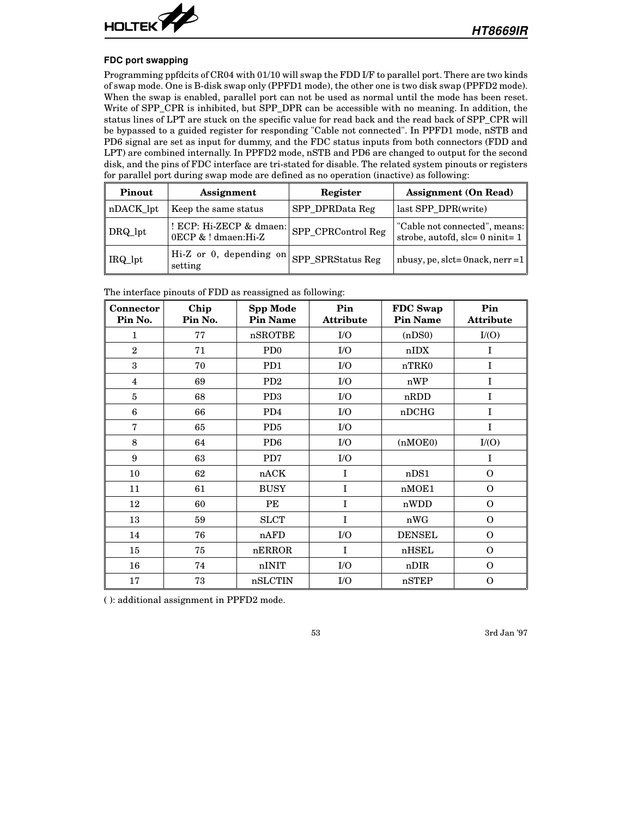

#### **FDC port swapping**

Programming ppfdcits of CR04 with 01/10 will swap the FDD I/F to parallel port. There are two kinds of swap mode. One is B-disk swap only (PPFD1 mode), the other one is two disk swap (PPFD2 mode). When the swap is enabled, parallel port can not be used as normal until the mode has been reset. Write of SPP\_CPR is inhibited, but SPP\_DPR can be accessible with no meaning. In addition, the status lines of LPT are stuck on the specific value for read back and the read back of SPP\_CPR will be bypassed to a guided register for responding "Cable not connected". In PPFD1 mode, nSTB and PD6 signal are set as input for dummy, and the FDC status inputs from both connectors (FDD and LPT) are combined internally. In PPFD2 mode, nSTB and PD6 are changed to output for the second disk, and the pins of FDC interface are tri-stated for disable. The related system pinouts or registers for parallel port during swap mode are defined as no operation (inactive) as following:

| Pinout    | Assignment                                     | Register           | <b>Assignment</b> (On Read)                                          |
|-----------|------------------------------------------------|--------------------|----------------------------------------------------------------------|
| nDACK_lpt | Keep the same status                           | SPP_DPRData Reg    | last SPP DPR(write)                                                  |
| DRQ_lpt   | ! ECP: Hi-ZECP & dmaen:<br>0ECP & ! dmaen:Hi-Z | SPP_CPRControl Reg | "Cable not connected", means:<br>strobe, autofd, slc= $0$ ninit= $1$ |
| IRQ_lpt   | Hi-Z or 0, depending on<br>setting             | SPP_SPRStatus Reg  | nbusy, pe, slct=0nack, nerr =1                                       |

The interface pinouts of FDD as reassigned as following:

| <b>Connector</b><br>Pin No. | Chip<br>Pin No. | Spp Mode<br><b>Pin Name</b> | Pin<br><b>Attribute</b> | FDC Swap<br><b>Pin Name</b> | Pin<br><b>Attribute</b> |
|-----------------------------|-----------------|-----------------------------|-------------------------|-----------------------------|-------------------------|
| $\mathbf{1}$                | 77              | nSROTBE                     | I/O                     | (nDS0)                      | I/(O)                   |
| $\overline{2}$              | 71              | P <sub>D</sub> <sub>0</sub> | I/O                     | nIDX                        | I                       |
| 3                           | 70              | PD <sub>1</sub>             | $\rm I/O$               | nTRK0                       | I                       |
| $\overline{\mathbf{4}}$     | 69              | PD2                         | I/O                     | nWP                         | I                       |
| 5                           | 68              | PD <sub>3</sub>             | $\rm I/O$               | nRDD                        | I                       |
| $6\phantom{1}6$             | 66              | PD4                         | ${\rm I/O}$             | nDCHG                       | I                       |
| $\mathbf 7$                 | 65              | PD <sub>5</sub>             | I/O                     |                             | I                       |
| 8                           | 64              | PD <sub>6</sub>             | I/O                     | (nMOE0)                     | I/(O)                   |
| 9                           | 63              | PD7                         | I/O                     |                             | $\mathbf I$             |
| 10                          | 62              | nACK                        | $\mathbf{I}$            | nDS1                        | $\Omega$                |
| 11                          | 61              | <b>BUSY</b>                 | $\mathbf I$             | nMOE1                       | $\Omega$                |
| 12                          | 60              | PE                          | $\mathbf I$             | nWDD                        | $\Omega$                |
| 13                          | 59              | <b>SLCT</b>                 | $\mathbf{I}$            | nWG                         | $\Omega$                |
| 14                          | 76              | nAFD                        | I/O                     | <b>DENSEL</b>               | $\Omega$                |
| 15                          | 75              | nERROR                      | $\mathbf{I}$            | nHSEL                       | $\Omega$                |
| 16                          | 74              | nINIT                       | I/O                     | nDIR                        | $\Omega$                |
| 17                          | 73              | nSLCTIN                     | I/O                     | nSTEP                       | $\mathbf{O}$            |

( ): additional assignment in PPFD2 mode.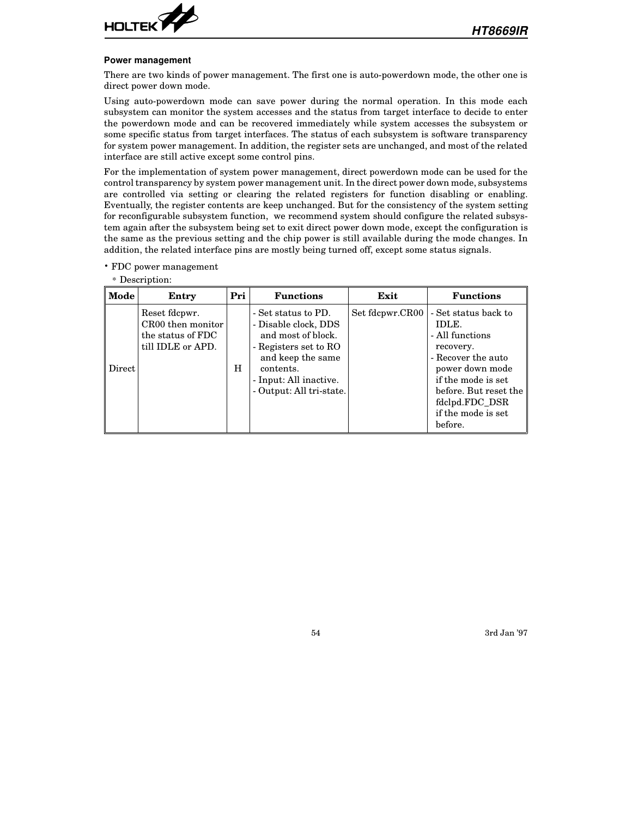

#### **Power management**

There are two kinds of power management. The first one is auto-powerdown mode, the other one is direct power down mode.

Using auto-powerdown mode can save power during the normal operation. In this mode each subsystem can monitor the system accesses and the status from target interface to decide to enter the powerdown mode and can be recovered immediately while system accesses the subsystem or some specific status from target interfaces. The status of each subsystem is software transparency for system power management. In addition, the register sets are unchanged, and most of the related interface are still active except some control pins.

For the implementation of system power management, direct powerdown mode can be used for the control transparency by system power management unit. In the direct power down mode, subsystems are controlled via setting or clearing the related registers for function disabling or enabling. Eventually, the register contents are keep unchanged. But for the consistency of the system setting for reconfigurable subsystem function, we recommend system should configure the related subsystem again after the subsystem being set to exit direct power down mode, except the configuration is the same as the previous setting and the chip power is still available during the mode changes. In addition, the related interface pins are mostly being turned off, except some status signals.

• FDC power management

| Mode   | Entry                                                                        | Pri | <b>Functions</b>                                                                                                                                                                   | Exit            | <b>Functions</b>                                                                                                                                                                                         |
|--------|------------------------------------------------------------------------------|-----|------------------------------------------------------------------------------------------------------------------------------------------------------------------------------------|-----------------|----------------------------------------------------------------------------------------------------------------------------------------------------------------------------------------------------------|
| Direct | Reset fdcpwr.<br>CR00 then monitor<br>the status of FDC<br>till IDLE or APD. | н   | - Set status to PD.<br>- Disable clock, DDS<br>and most of block.<br>- Registers set to RO<br>and keep the same<br>contents.<br>- Input: All inactive.<br>- Output: All tri-state. | Set fdcpwr.CR00 | - Set status back to<br>IDLE.<br>- All functions<br>recovery.<br>- Recover the auto<br>power down mode<br>if the mode is set<br>before. But reset the<br>fdclpd.FDC_DSR<br>if the mode is set<br>before. |

\* Description: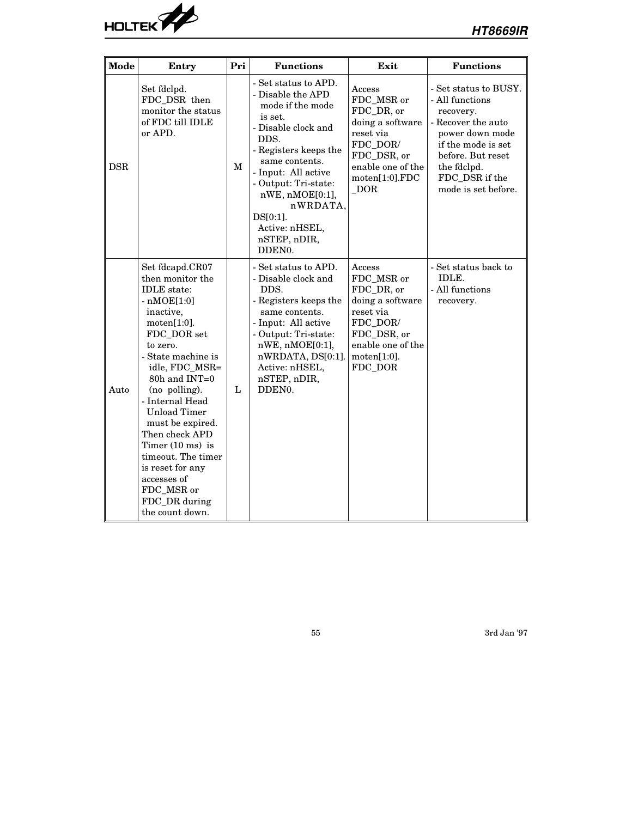

| Mode       | Entry                                                                                                                                                                                                                                                                                                                                                                                                                                | Pri | <b>Functions</b>                                                                                                                                                                                                                                                                                               | Exit                                                                                                                                           | <b>Functions</b>                                                                                                                                                                                  |
|------------|--------------------------------------------------------------------------------------------------------------------------------------------------------------------------------------------------------------------------------------------------------------------------------------------------------------------------------------------------------------------------------------------------------------------------------------|-----|----------------------------------------------------------------------------------------------------------------------------------------------------------------------------------------------------------------------------------------------------------------------------------------------------------------|------------------------------------------------------------------------------------------------------------------------------------------------|---------------------------------------------------------------------------------------------------------------------------------------------------------------------------------------------------|
| <b>DSR</b> | Set fdclpd.<br>FDC_DSR_then<br>monitor the status<br>of FDC till IDLE<br>or APD.                                                                                                                                                                                                                                                                                                                                                     | M   | - Set status to APD.<br>- Disable the APD<br>mode if the mode<br>is set.<br>- Disable clock and<br>DDS.<br>- Registers keeps the<br>same contents.<br>- Input: All active<br>- Output: Tri-state:<br>$nWE$ , $nMOE[0:1]$ ,<br>nWRDATA,<br>$DS[0:1]$ .<br>Active: nHSEL,<br>nSTEP, nDIR,<br>DDEN <sub>0</sub> . | Access<br>FDC_MSR or<br>FDC_DR, or<br>doing a software<br>reset via<br>FDC_DOR/<br>FDC_DSR, or<br>enable one of the<br>motion[1:0].FDC<br>DOR  | - Set status to BUSY.<br>- All functions<br>recovery.<br>- Recover the auto<br>power down mode<br>if the mode is set<br>before. But reset<br>the fdclpd.<br>FDC_DSR if the<br>mode is set before. |
| Auto       | Set fdcapd.CR07<br>then monitor the<br><b>IDLE</b> state:<br>$-nMOE[1:0]$<br>inactive,<br>motion[1:0].<br>FDC DOR set<br>to zero.<br>- State machine is<br>idle, FDC_MSR=<br>80h and INT=0<br>(no polling).<br>- Internal Head<br><b>Unload Timer</b><br>must be expired.<br>Then check APD<br>Timer $(10 \text{ ms})$ is<br>timeout. The timer<br>is reset for any<br>accesses of<br>FDC_MSR or<br>FDC_DR during<br>the count down. | L   | - Set status to APD.<br>- Disable clock and<br>DDS.<br>- Registers keeps the<br>same contents.<br>- Input: All active<br>- Output: Tri-state:<br>$nWE$ , $nMOE[0:1]$ ,<br>nWRDATA, DS[0:1].<br>Active: nHSEL,<br>nSTEP, nDIR,<br>DDEN0.                                                                        | Access<br>FDC_MSR or<br>FDC_DR, or<br>doing a software<br>reset via<br>FDC_DOR/<br>FDC_DSR, or<br>enable one of the<br>motion[1:0].<br>FDC_DOR | - Set status back to<br>IDLE.<br>- All functions<br>recovery.                                                                                                                                     |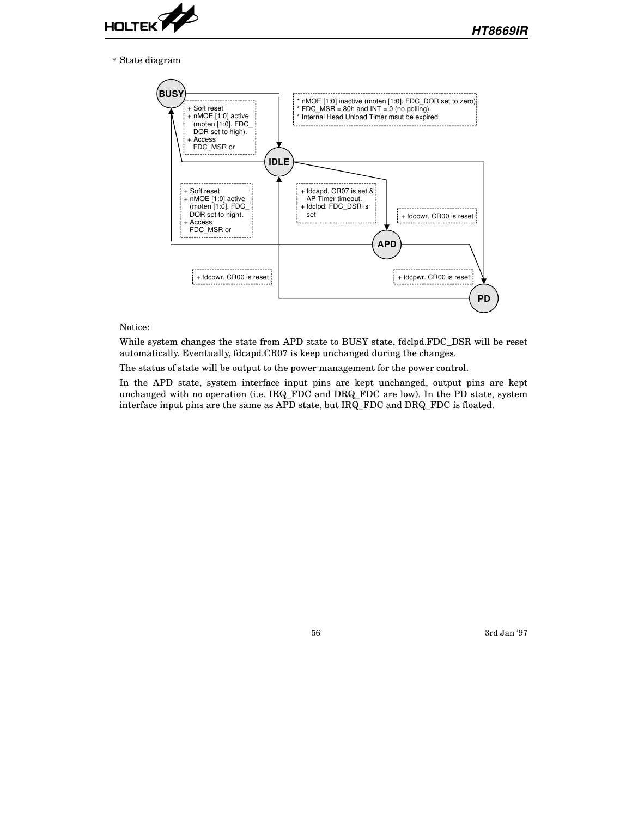

\* State diagram



#### Notice:

While system changes the state from APD state to BUSY state, fdclpd.FDC\_DSR will be reset automatically. Eventually, fdcapd.CR07 is keep unchanged during the changes.

The status of state will be output to the power management for the power control.

In the APD state, system interface input pins are kept unchanged, output pins are kept unchanged with no operation (i.e. IRQ\_FDC and DRQ\_FDC are low). In the PD state, system interface input pins are the same as APD state, but IRQ\_FDC and DRQ\_FDC is floated.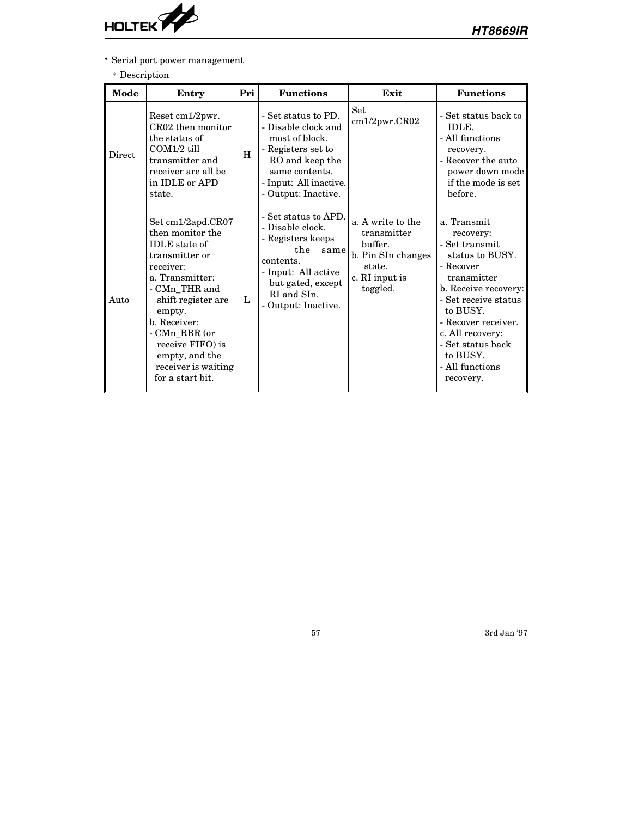

• Serial port power management

## $\ast$  Description

| Mode   | Entry                                                                                                                                                                                                                                                                              | Pri | <b>Functions</b>                                                                                                                                                            | Exit                                                                                                      | <b>Functions</b>                                                                                                                                                                                                                                                  |
|--------|------------------------------------------------------------------------------------------------------------------------------------------------------------------------------------------------------------------------------------------------------------------------------------|-----|-----------------------------------------------------------------------------------------------------------------------------------------------------------------------------|-----------------------------------------------------------------------------------------------------------|-------------------------------------------------------------------------------------------------------------------------------------------------------------------------------------------------------------------------------------------------------------------|
| Direct | Reset cm1/2pwr.<br>CR02 then monitor<br>the status of<br>$COM1/2$ till<br>transmitter and<br>receiver are all be<br>in IDLE or APD<br>state.                                                                                                                                       | H   | - Set status to PD.<br>- Disable clock and<br>most of block.<br>- Registers set to<br>RO and keep the<br>same contents.<br>- Input: All inactive.<br>- Output: Inactive.    | Set<br>cm1/2pwr.CR02                                                                                      | - Set status back to<br>IDLE.<br>- All functions<br>recovery.<br>- Recover the auto<br>power down mode<br>if the mode is set<br>before.                                                                                                                           |
| Auto   | Set cm1/2apd.CR07<br>then monitor the<br><b>IDLE</b> state of<br>transmitter or<br>receiver:<br>a. Transmitter:<br>- CMn_THR and<br>shift register are<br>empty.<br>b. Receiver:<br>- CMn RBR (or<br>receive FIFO) is<br>empty, and the<br>receiver is waiting<br>for a start bit. | L   | - Set status to APD.<br>- Disable clock.<br>- Registers keeps<br>the<br>same<br>contents.<br>- Input: All active<br>but gated, except<br>RI and SIn.<br>- Output: Inactive. | a. A write to the<br>transmitter<br>buffer.<br>b. Pin SIn changes<br>state.<br>c. RI input is<br>toggled. | a. Transmit<br>recovery:<br>- Set transmit<br>status to BUSY.<br>- Recover<br>transmitter<br>b. Receive recovery:<br>- Set receive status<br>to BUSY.<br>- Recover receiver.<br>c. All recovery:<br>- Set status back<br>to BUSY.<br>- All functions<br>recovery. |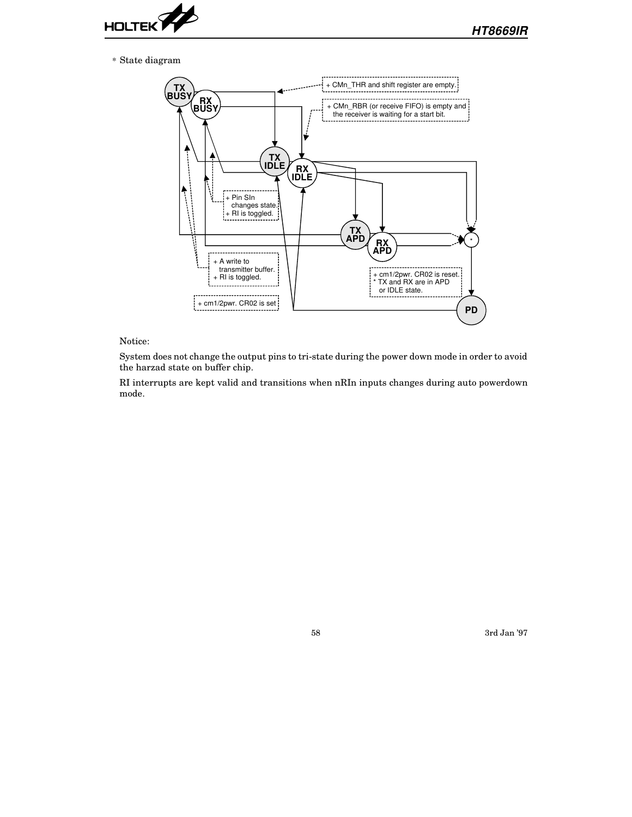

\* State diagram



#### Notice:

System does not change the output pins to tri-state during the power down mode in order to avoid the harzad state on buffer chip.

RI interrupts are kept valid and transitions when nRIn inputs changes during auto powerdown mode.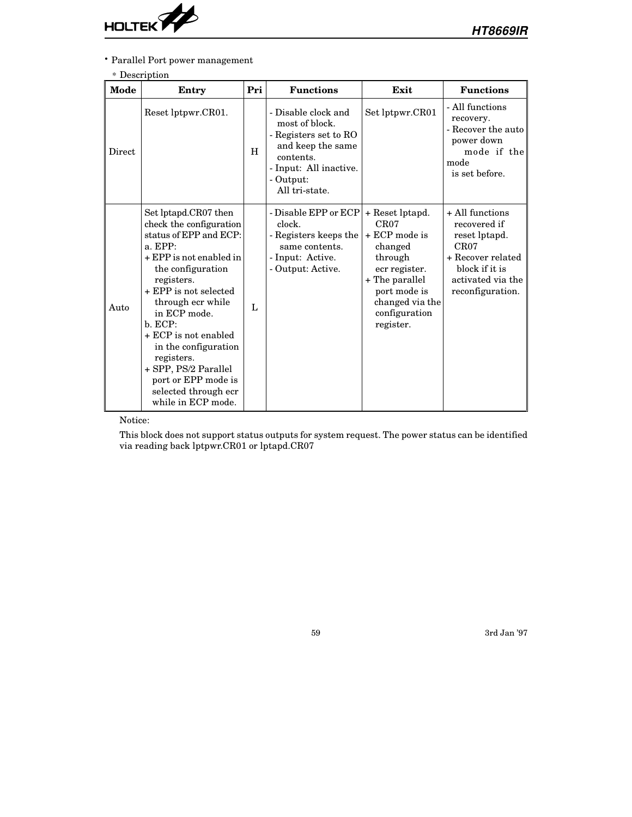

• Parallel Port power management

### \* Description

| Mode   | Entry                                                                                                                                                                                                                                                                                                                                                                                  | Pri          | <b>Functions</b>                                                                                                                                          | Exit                                                                                                                                                                 | <b>Functions</b>                                                                                                                         |
|--------|----------------------------------------------------------------------------------------------------------------------------------------------------------------------------------------------------------------------------------------------------------------------------------------------------------------------------------------------------------------------------------------|--------------|-----------------------------------------------------------------------------------------------------------------------------------------------------------|----------------------------------------------------------------------------------------------------------------------------------------------------------------------|------------------------------------------------------------------------------------------------------------------------------------------|
| Direct | Reset lptpwr.CR01.                                                                                                                                                                                                                                                                                                                                                                     | H            | - Disable clock and<br>most of block.<br>- Registers set to RO<br>and keep the same<br>contents.<br>- Input: All inactive.<br>- Output:<br>All tri-state. | Set lptpwr.CR01                                                                                                                                                      | - All functions<br>recovery.<br>- Recover the auto<br>power down<br>mode if the<br>mode<br>is set before.                                |
| Auto   | Set lptapd.CR07 then<br>check the configuration<br>status of EPP and ECP:<br>a. EPP:<br>+ EPP is not enabled in<br>the configuration<br>registers.<br>+ EPP is not selected<br>through ecr while<br>in ECP mode.<br>b. ECP:<br>+ ECP is not enabled<br>in the configuration<br>registers.<br>+ SPP, PS/2 Parallel<br>port or EPP mode is<br>selected through ecr<br>while in ECP mode. | $\mathbf{L}$ | - Disable EPP or ECP<br>clock.<br>- Registers keeps the<br>same contents.<br>- Input: Active.<br>- Output: Active.                                        | + Reset lptapd.<br>CR07<br>$+ ECP$ mode is<br>changed<br>through<br>ecr register.<br>+ The parallel<br>port mode is<br>changed via the<br>configuration<br>register. | + All functions<br>recovered if<br>reset lptapd.<br>CR07<br>+ Recover related<br>block if it is<br>activated via the<br>reconfiguration. |

Notice:

This block does not support status outputs for system request. The power status can be identified via reading back lptpwr.CR01 or lptapd.CR07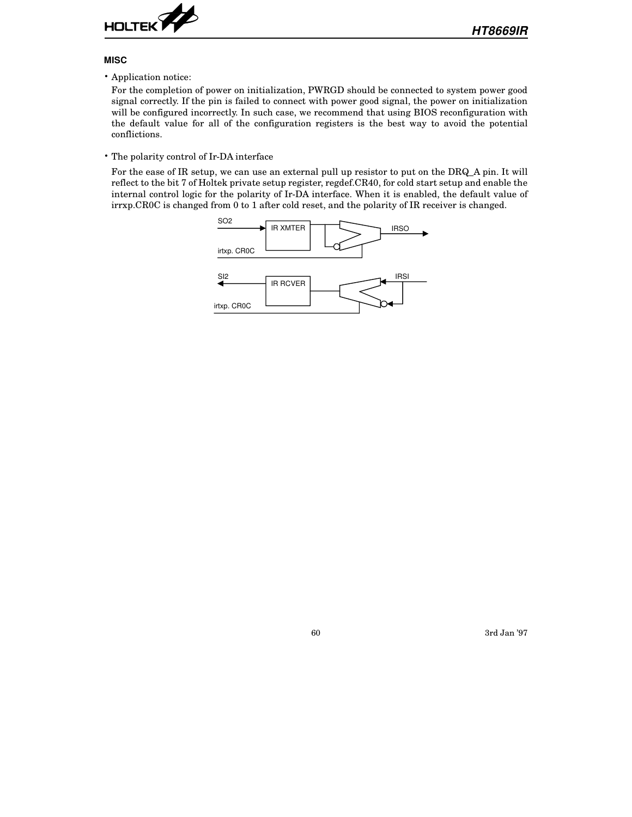

#### **MISC**

• Application notice:

For the completion of power on initialization, PWRGD should be connected to system power good signal correctly. If the pin is failed to connect with power good signal, the power on initialization will be configured incorrectly. In such case, we recommend that using BIOS reconfiguration with the default value for all of the configuration registers is the best way to avoid the potential conflictions.

• The polarity control of Ir-DA interface

For the ease of IR setup, we can use an external pull up resistor to put on the DRQ\_A pin. It will reflect to the bit 7 of Holtek private setup register, regdef.CR40, for cold start setup and enable the internal control logic for the polarity of Ir-DA interface. When it is enabled, the default value of irrxp.CR0C is changed from 0 to 1 after cold reset, and the polarity of IR receiver is changed.

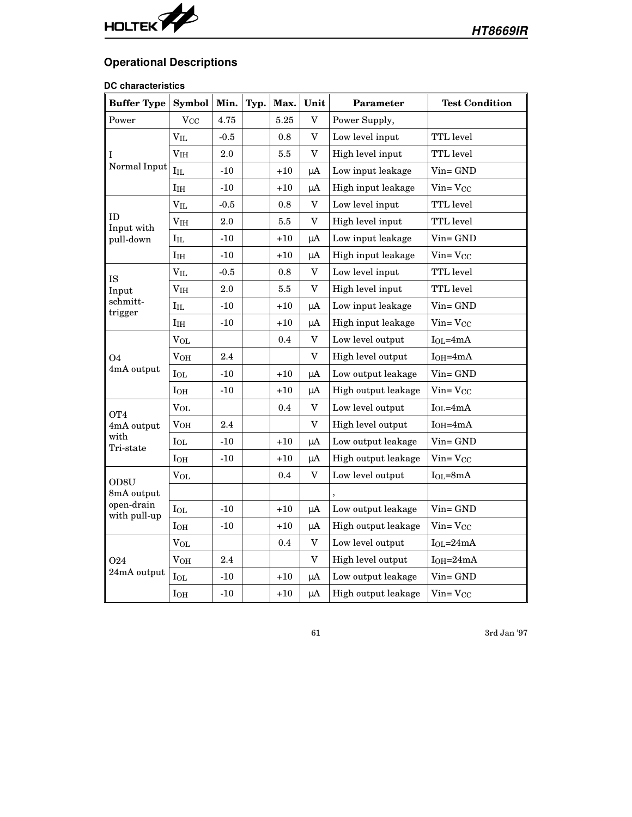

# **Operational Descriptions**

# **DC characteristics**

| <b>Buffer Type</b>         | <b>Symbol</b>         | Min.   | Typ. | Max.  | Unit                      | Parameter           | <b>Test Condition</b> |
|----------------------------|-----------------------|--------|------|-------|---------------------------|---------------------|-----------------------|
| Power                      | <b>V<sub>CC</sub></b> | 4.75   |      | 5.25  | V                         | Power Supply,       |                       |
|                            | $V_{IL}$              | $-0.5$ |      | 0.8   | V                         | Low level input     | TTL level             |
| Ι                          | V <sub>IH</sub>       | 2.0    |      | 5.5   | V                         | High level input    | <b>TTL</b> level      |
| Normal Input               | $\rm I_{IL}$          | $-10$  |      | $+10$ | μA                        | Low input leakage   | Vin= GND              |
|                            | I <sub>IH</sub>       | $-10$  |      | $+10$ | μA                        | High input leakage  | $V$ in= $V_{CC}$      |
|                            | $V_{IL}$              | $-0.5$ |      | 0.8   | $\boldsymbol{\mathrm{V}}$ | Low level input     | TTL level             |
| ID<br>Input with           | V <sub>IH</sub>       | 2.0    |      | 5.5   | V                         | High level input    | TTL level             |
| pull-down                  | $\rm I_{IL}$          | $-10$  |      | $+10$ | μA                        | Low input leakage   | Vin= GND              |
|                            | I <sub>IH</sub>       | $-10$  |      | $+10$ | $\mu A$                   | High input leakage  | $V$ in= $V_{CC}$      |
| IS                         | $V_{IL}$              | $-0.5$ |      | 0.8   | V                         | Low level input     | TTL level             |
| Input                      | V <sub>IH</sub>       | 2.0    |      | 5.5   | V                         | High level input    | TTL level             |
| schmitt-<br>trigger        | $I_{IL}$              | -10    |      | +10   | $\mu A$                   | Low input leakage   | Vin= GND              |
|                            | $I_{IH}$              | $-10$  |      | $+10$ | μA                        | High input leakage  | $V$ in= $V_{CC}$      |
|                            | <b>VOL</b>            |        |      | 0.4   | V                         | Low level output    | $I_{OL} = 4mA$        |
| O <sub>4</sub>             | V <sub>OH</sub>       | 2.4    |      |       | $\mathbf V$               | High level output   | $I$ OH=4mA            |
| 4mA output                 | $I_{OL}$              | $-10$  |      | $+10$ | μA                        | Low output leakage  | $V$ in= $GND$         |
|                            | I <sub>OH</sub>       | $-10$  |      | $+10$ | μA                        | High output leakage | $Vin=VCC$             |
| OT <sub>4</sub>            | <b>VOL</b>            |        |      | 0.4   | V                         | Low level output    | $I_{OL} = 4mA$        |
| 4mA output                 | V <sub>OH</sub>       | 2.4    |      |       | V                         | High level output   | $I_{OH} = 4mA$        |
| with<br>Tri-state          | $I_{OL}$              | $-10$  |      | $+10$ | $\mu A$                   | Low output leakage  | Vin=GND               |
|                            | I <sub>OH</sub>       | $-10$  |      | $+10$ | μA                        | High output leakage | $V$ in= $V_{CC}$      |
| OD8U                       | $V_{OL}$              |        |      | 0.4   | V                         | Low level output    | $I_{OL} = 8mA$        |
| 8mA output                 |                       |        |      |       |                           |                     |                       |
| open-drain<br>with pull-up | $I_{OL}$              | $-10$  |      | $+10$ | $\mu A$                   | Low output leakage  | $V$ in= $GND$         |
|                            | I <sub>OH</sub>       | $-10$  |      | $+10$ | μA                        | High output leakage | $V$ in= $V_{CC}$      |
|                            | $V_{OL}$              |        |      | 0.4   | $\mathbf V$               | Low level output    | $IoL = 24mA$          |
| 024                        | $\rm V_{OH}$          | 2.4    |      |       | V                         | High level output   | $I_{OH} = 24mA$       |
| 24mA output                | IoL                   | $-10$  |      | $+10$ | μA                        | Low output leakage  | Vin=GND               |
|                            | I <sub>OH</sub>       | $-10$  |      | $+10$ | $\mu A$                   | High output leakage | $V$ in= $V_{CC}$      |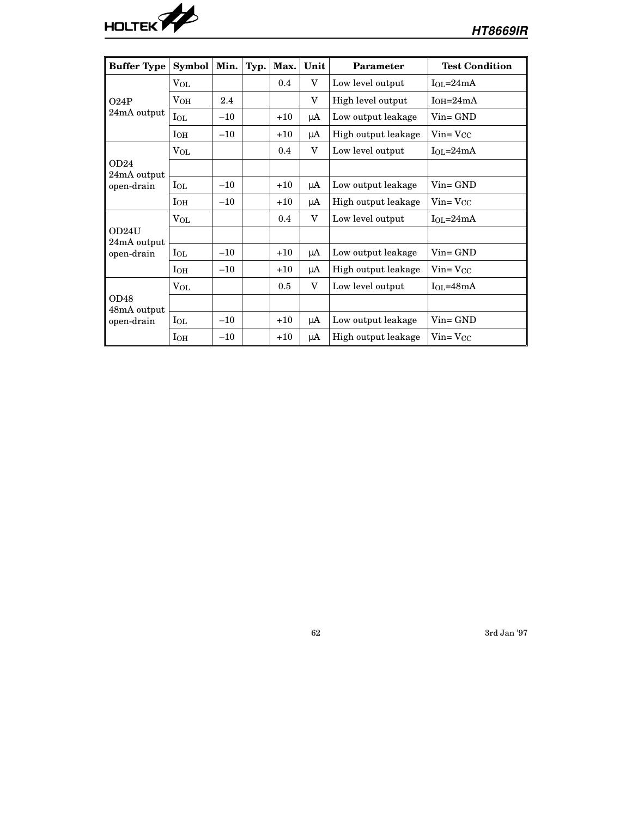

| <b>Buffer Type</b>   | Symbol       | Min.  | Typ. | Max.  | Unit    | <b>Parameter</b>    | <b>Test Condition</b> |
|----------------------|--------------|-------|------|-------|---------|---------------------|-----------------------|
|                      | $V_{OL}$     |       |      | 0.4   | V       | Low level output    | $I_{OL} = 24mA$       |
| O24P                 | VOH          | 2.4   |      |       | V       | High level output   | $I_{OH}=24mA$         |
| 24mA output          | $I_{OL}$     | $-10$ |      | $+10$ | $\mu A$ | Low output leakage  | $Vin = GND$           |
|                      | $I_{OH}$     | $-10$ |      | $+10$ | μA      | High output leakage | $V$ in= $V_{CC}$      |
|                      | $V_{OL}$     |       |      | 0.4   | V       | Low level output    | $IOI=24mA$            |
| OD24<br>24mA output  |              |       |      |       |         |                     |                       |
| open-drain           | $I_{OL}$     | $-10$ |      | $+10$ | μA      | Low output leakage  | $V$ in= $GND$         |
|                      | $I_{OH}$     | $-10$ |      | $+10$ | μA      | High output leakage | $V$ in= $V_{CC}$      |
|                      | $V_{OL}$     |       |      | 0.4   | V       | Low level output    | $I_{OL} = 24mA$       |
| OD24U<br>24mA output |              |       |      |       |         |                     |                       |
| open-drain           | $I_{OL}$     | $-10$ |      | $+10$ | μA      | Low output leakage  | $Vin = GND$           |
|                      | $I_{OH}$     | $-10$ |      | $+10$ | μA      | High output leakage | $V$ in= $V_{CC}$      |
|                      | $V_{OL}$     |       |      | 0.5   | V       | Low level output    | $I_{OL} = 48mA$       |
| OD48<br>48mA output  |              |       |      |       |         |                     |                       |
| open-drain           | $_{\rm IoL}$ | $-10$ |      | $+10$ | μA      | Low output leakage  | $Vin = GND$           |
|                      | $I_{OH}$     | $-10$ |      | $+10$ | μA      | High output leakage | $V$ in= $V_{CC}$      |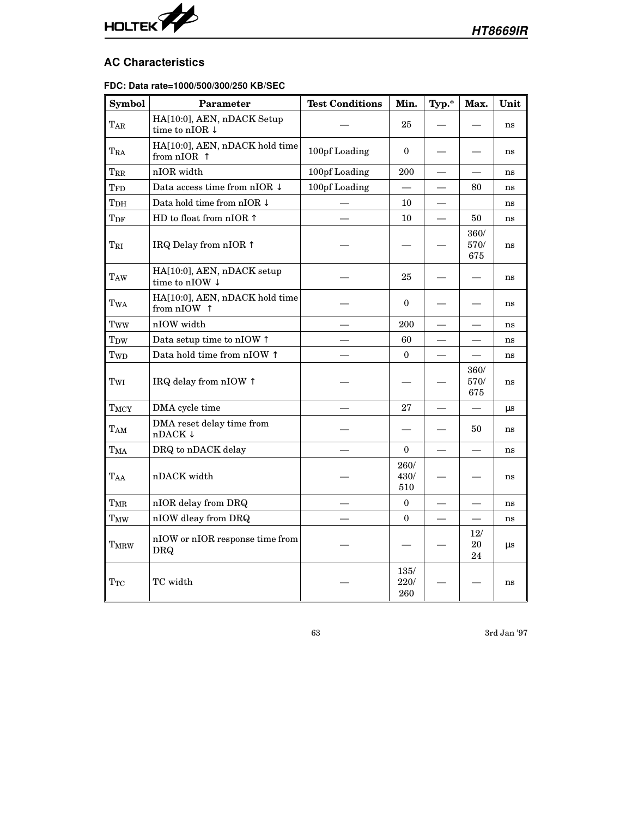

# **AC Characteristics**

### **FDC: Data rate=1000/500/300/250 KB/SEC**

| Symbol               | <b>Parameter</b>                                        | <b>Test Conditions</b> | Min.                | Typ.*                    | Max.                              | Unit    |
|----------------------|---------------------------------------------------------|------------------------|---------------------|--------------------------|-----------------------------------|---------|
| TAR                  | HA[10:0], AEN, nDACK Setup<br>time to nIOR $\downarrow$ |                        | 25                  |                          |                                   | ns      |
| TRA                  | HA[10:0], AEN, nDACK hold time<br>from $nIOR$           | $100$ pf Loading       | $\mathbf{0}$        |                          |                                   | ns      |
| $T_{\rm RR}$         | nIOR width                                              | 100pf Loading          | 200                 | $\overline{\phantom{0}}$ | $\overline{\phantom{0}}$          | ns      |
| TFD                  | Data access time from nIOR $\downarrow$                 | 100pf Loading          |                     |                          | 80                                | ns      |
| T <sub>DH</sub>      | Data hold time from nIOR $\downarrow$                   |                        | 10                  |                          |                                   | ns      |
| $T_{\rm DF}$         | HD to float from nIOR $\uparrow$                        |                        | 10                  |                          | 50                                | ns      |
| TRI                  | IRQ Delay from nIOR 1                                   |                        |                     |                          | 360/<br>570/<br>675               | ns      |
| TAW                  | HA[10:0], AEN, nDACK setup<br>time to nIOW $\downarrow$ |                        | 25                  |                          |                                   | ns      |
| TwA                  | HA[10:0], AEN, nDACK hold time<br>from nIOW ↑           |                        | $\mathbf{0}$        |                          |                                   | ns      |
| Tww                  | nIOW width                                              |                        | 200                 |                          |                                   | ns      |
| T <sub>DW</sub>      | Data setup time to nIOW 1                               |                        | 60                  |                          |                                   | ns      |
| Twp                  | Data hold time from nIOW $\uparrow$                     |                        | $\mathbf{0}$        |                          | $\overline{\phantom{0}}$          | ns      |
| $\rm T_{WI}$         | IRQ delay from nIOW 1                                   |                        |                     |                          | 360/<br>570/<br>675               | ns      |
| TMCY                 | DMA cycle time                                          |                        | 27                  |                          | $\overbrace{\phantom{123221111}}$ | $\mu s$ |
| TAM                  | DMA reset delay time from<br>$n$ DACK $\downarrow$      |                        |                     |                          | 50                                | ns      |
| T <sub>MA</sub>      | DRQ to nDACK delay                                      |                        | $\boldsymbol{0}$    |                          |                                   | ns      |
| TAA                  | nDACK width                                             |                        | 260/<br>430/<br>510 |                          |                                   | ns      |
| T <sub>MR</sub>      | nIOR delay from DRQ                                     |                        | $\mathbf{0}$        |                          |                                   | ns      |
| TMW                  | nIOW dleay from DRQ                                     |                        | $\theta$            |                          |                                   | ns      |
| T <sub>MRW</sub>     | nIOW or nIOR response time from<br>DRQ                  |                        |                     |                          | 12/<br>20<br>24                   | $\mu s$ |
| $\operatorname{Trc}$ | TC width                                                |                        | 135/<br>220/<br>260 |                          |                                   | ns      |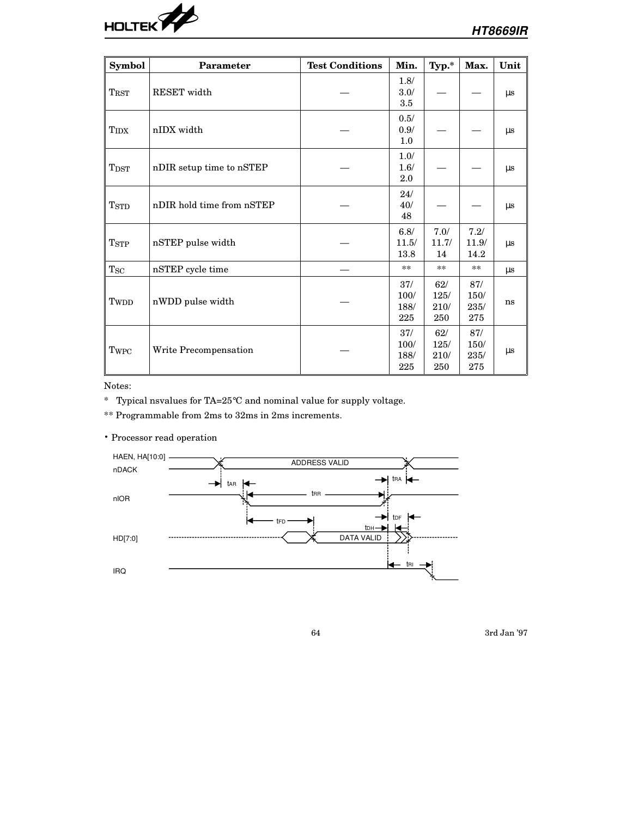

| Symbol                      | <b>Parameter</b>          | <b>Test Conditions</b> | Min.                       | $\mathbf{Typ.}^*$          | Max.                       | Unit    |
|-----------------------------|---------------------------|------------------------|----------------------------|----------------------------|----------------------------|---------|
| TRST                        | RESET width               |                        | 1.8/<br>3.0/<br>3.5        |                            |                            | $\mu s$ |
| TIDX                        | nIDX width                |                        | 0.5/<br>0.9/<br>1.0        |                            |                            | $\mu s$ |
| $_{\mathrm{T}\mathrm{DST}}$ | nDIR setup time to nSTEP  |                        | 1.0/<br>1.6/<br>2.0        |                            |                            | $\mu s$ |
| <b>TSTD</b>                 | nDIR hold time from nSTEP |                        | 24/<br>40/<br>48           |                            |                            | $\mu s$ |
| <b>TSTP</b>                 | nSTEP pulse width         |                        | 6.8/<br>11.5/<br>13.8      | 7.0/<br>11.7/<br>14        | 7.2/<br>11.9/<br>14.2      | $\mu s$ |
| $T_{SC}$                    | nSTEP cycle time          |                        | $\ast\ast$                 | $**$                       | $\ast\ast$                 | $\mu s$ |
| Tw <sub>DD</sub>            | nWDD pulse width          |                        | 37/<br>100/<br>188/<br>225 | 62/<br>125/<br>210/<br>250 | 87/<br>150/<br>235/<br>275 | ns      |
| Twpc                        | Write Precompensation     |                        | 37/<br>100/<br>188/<br>225 | 62/<br>125/<br>210/<br>250 | 87/<br>150/<br>235/<br>275 | $\mu s$ |

Notes:

\* Typical nsvalues for TA=25°C and nominal value for supply voltage.

\*\* Programmable from 2ms to 32ms in 2ms increments.

• Processor read operation

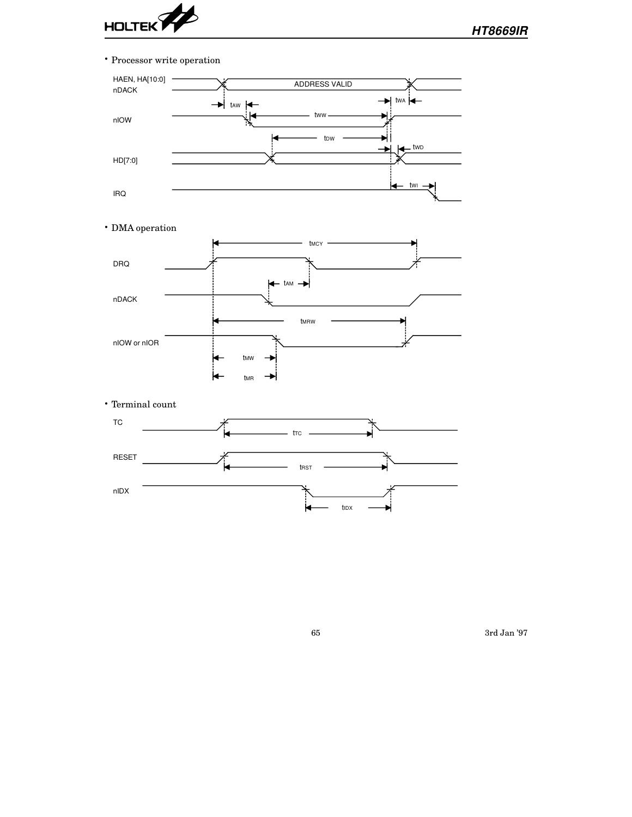

• Processor write operation



• DMA operation



• Terminal count

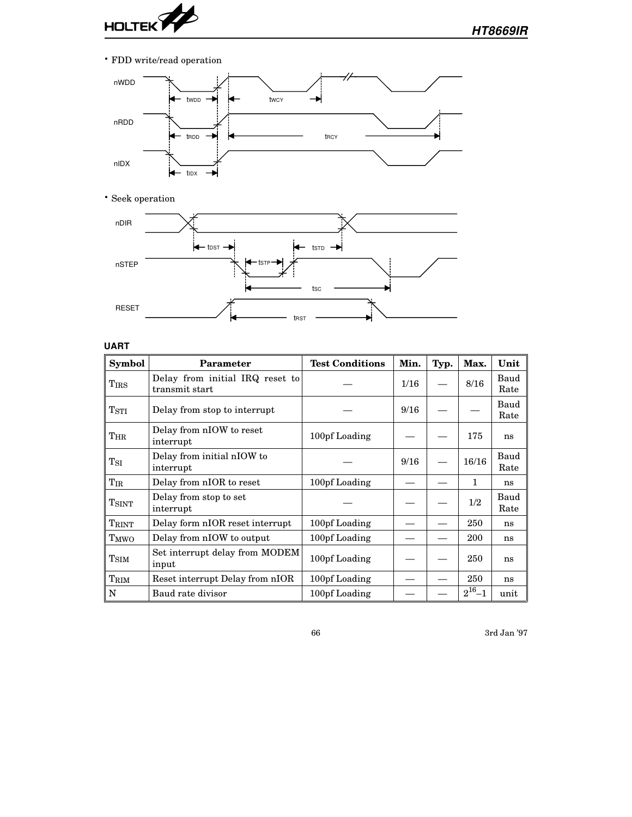

• FDD write/read operation



• Seek operation



# **UART**

| <b>Symbol</b>    | <b>Parameter</b>                                  | <b>Test Conditions</b> | Min. | Typ. | Max.         | Unit         |
|------------------|---------------------------------------------------|------------------------|------|------|--------------|--------------|
| <b>TIRS</b>      | Delay from initial IRQ reset to<br>transmit start |                        | 1/16 |      | 8/16         | Baud<br>Rate |
| T <sub>STI</sub> | Delay from stop to interrupt                      |                        | 9/16 |      |              | Baud<br>Rate |
| $T_{\rm HR}$     | Delay from nIOW to reset<br>interrupt             | 100pf Loading          |      |      | 175          | ns           |
| $T_{\rm SI}$     | Delay from initial nIOW to<br>interrupt           |                        | 9/16 |      | 16/16        | Baud<br>Rate |
| $T_{\rm IR}$     | Delay from nIOR to reset                          | 100pf Loading          |      |      | 1            | ns           |
| <b>TSINT</b>     | Delay from stop to set<br>interrupt               |                        |      |      | 1/2          | Baud<br>Rate |
| TRINT            | Delay form nIOR reset interrupt                   | 100pf Loading          |      |      | 250          | ns           |
| T <sub>MWO</sub> | Delay from nIOW to output                         | 100pf Loading          |      |      | 200          | ns           |
| T <sub>SIM</sub> | Set interrupt delay from MODEM<br>input           | 100pf Loading          |      |      | 250          | ns           |
| TRIM             | Reset interrupt Delay from nIOR                   | 100pf Loading          |      |      | 250          | ns           |
| N                | Baud rate divisor                                 | 100pf Loading          |      |      | $2^{16} - 1$ | unit         |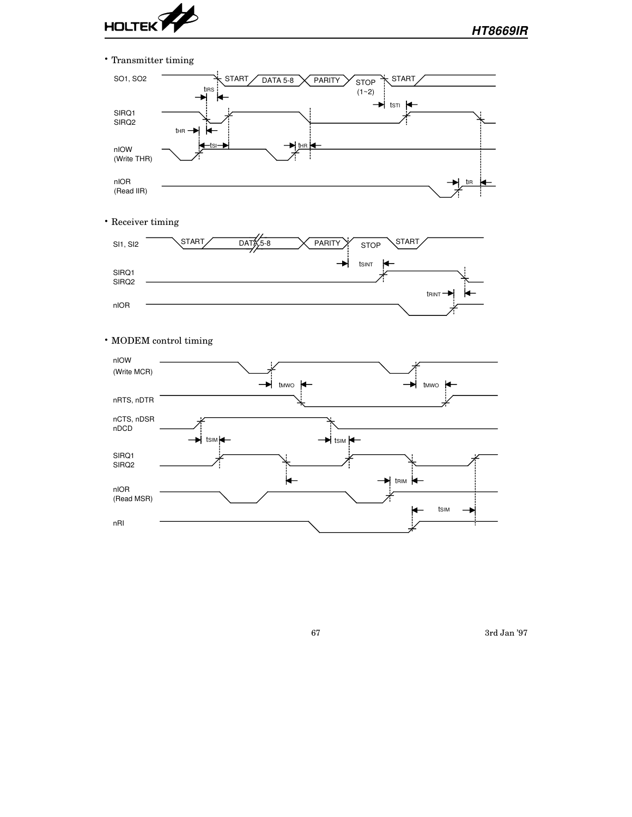

nIOR (Read MSR)

nRI

• Transmitter timing SO1, SO2  $\overline{\text{START}}$  DATA 5-8  $\overline{\text{STP}}$  STOP  $\overline{\text{STOP}}$  START tIRS  $(1~2)$  $\rightarrow$  tsti SIRQ1 SIRQ2  $tHR \rightarrow$ ⊭  $\begin{picture}(180,10) \put(0,0){\line(1,0){10}} \put(10,0){\line(1,0){10}} \put(10,0){\line(1,0){10}} \put(10,0){\line(1,0){10}} \put(10,0){\line(1,0){10}} \put(10,0){\line(1,0){10}} \put(10,0){\line(1,0){10}} \put(10,0){\line(1,0){10}} \put(10,0){\line(1,0){10}} \put(10,0){\line(1,0){10}} \put(10,0){\line(1,0){10}} \put(10,0){\line($ nIOW (Write THR) ÷ nIOR tIR (Read IIR) • Receiver timing **START**  $\begin{matrix} \text{SI1, SI2} \end{matrix}$   $\begin{matrix} \text{START} \end{matrix}$   $\begin{matrix} \text{DATA} \end{matrix}$   $\begin{matrix} \text{A} \end{matrix}$   $\begin{matrix} \text{A} \end{matrix}$   $\begin{matrix} \text{S} \end{matrix}$   $\begin{matrix} \text{S} \end{matrix}$   $\begin{matrix} \text{S} \end{matrix}$   $\begin{matrix} \text{S} \end{matrix}$   $\begin{matrix} \text{S} \end{matrix}$   $\begin{matrix} \text{S} \end{matrix}$   $\begin{matrix} \text{S} \end{matrix}$   $\rightarrow$ tSINT SIRQ1 SIRQ2 tRINT nIOR • MODEM control timing nIOW (Write MCR)  $\rightarrow$  tmwo  $\leftarrow$ nRTS, nDTR nCTS, nDSR nDCD  $\rightarrow$  tsim  $\leftarrow$ SIRQ1 SIRQ2 ⊭  $\rightarrow$  trim

67 3rd Jan '97

tSIM

Þ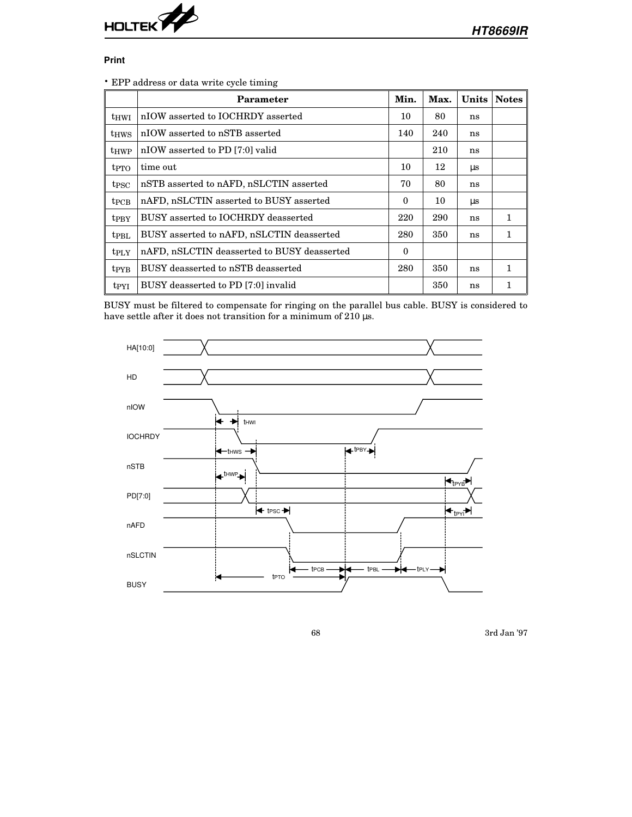

#### **Print**

• EPP address or data write cycle timing

|                         | Parameter                                   | Min.     | Max. | <b>Units</b> | <b>Notes</b> |
|-------------------------|---------------------------------------------|----------|------|--------------|--------------|
| thwi                    | nIOW asserted to IOCHRDY asserted           | 10       | 80   | ns           |              |
| <b>thws</b>             | nIOW asserted to nSTB asserted              | 140      | 240  | ns           |              |
| t <sub>HWP</sub>        | nIOW asserted to PD [7:0] valid             |          | 210  | ns           |              |
| t <sub>PTO</sub>        | time out                                    | 10       | 12   | $\mu$ s      |              |
| t <sub>PSC</sub>        | nSTB asserted to nAFD, nSLCTIN asserted     | 70       | 80   | ns           |              |
| $t_{PCB}$               | nAFD, nSLCTIN asserted to BUSY asserted     | $\theta$ | 10   | $\mu$ s      |              |
| tpBY                    | BUSY asserted to IOCHRDY deasserted         | 220      | 290  | ns           | 1            |
| t <sub>PBL</sub>        | BUSY asserted to nAFD, nSLCTIN deasserted   | 280      | 350  | ns           | 1            |
| t <sub>PLY</sub>        | nAFD, nSLCTIN deasserted to BUSY deasserted | $\theta$ |      |              |              |
| <b>t</b> <sub>PYB</sub> | BUSY deasserted to nSTB deasserted          | 280      | 350  | ns           | 1            |
| <b>t</b> <sub>PYI</sub> | BUSY deasserted to PD [7:0] invalid         |          | 350  | ns           |              |

BUSY must be filtered to compensate for ringing on the parallel bus cable. BUSY is considered to have settle after it does not transition for a minimum of 210  $\upmu\text{s}.$ 

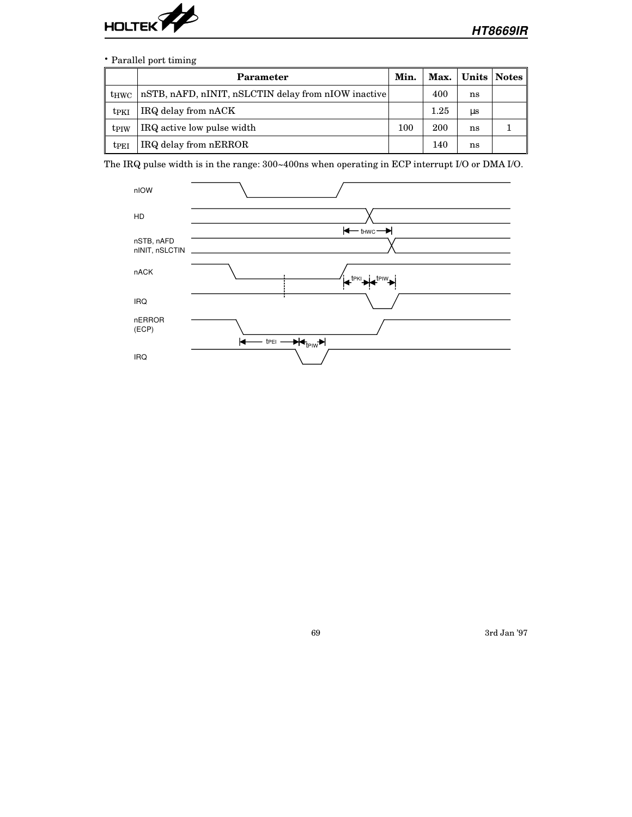

## • Parallel port timing

|                         | Parameter                                           | Min. |      |    | Max.   Units   Notes |
|-------------------------|-----------------------------------------------------|------|------|----|----------------------|
| thwc                    | nSTB, nAFD, nINIT, nSLCTIN delay from nIOW inactive |      | 400  | ns |                      |
| tpki                    | IRQ delay from nACK                                 |      | 1.25 | μs |                      |
| tpiw                    | IRQ active low pulse width                          | 100  | 200  | ns |                      |
| <b>t</b> <sub>PEI</sub> | IRQ delay from nERROR                               |      | 140  | ns |                      |

The IRQ pulse width is in the range: 300~400ns when operating in ECP interrupt I/O or DMA I/O.

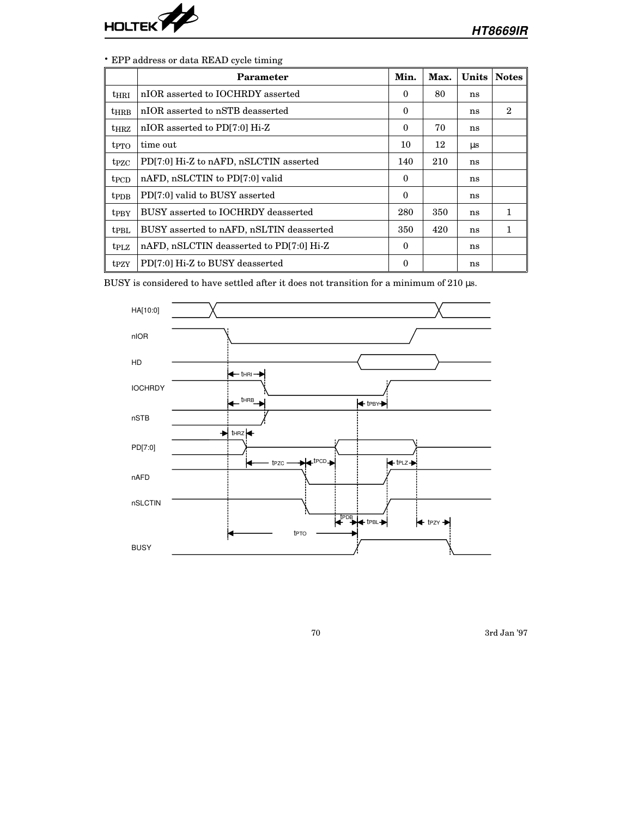

# • EPP address or data READ cycle timing

|                         | Parameter                                | Min.     | Max. | Units | <b>Notes</b>   |
|-------------------------|------------------------------------------|----------|------|-------|----------------|
| $t$ HRI                 | nIOR asserted to IOCHRDY asserted        | $\Omega$ | 80   | ns    |                |
| <b>thrb</b>             | nIOR asserted to nSTB deasserted         | $\theta$ |      | ns    | $\overline{2}$ |
| $t_{\rm H RZ}$          | nIOR asserted to PD[7:0] Hi-Z            | $\theta$ | 70   | ns    |                |
| t <sub>PTO</sub>        | time out                                 | 10       | 12   | us    |                |
| t <sub>PZC</sub>        | PD[7:0] Hi-Z to nAFD, nSLCTIN asserted   | 140      | 210  | ns    |                |
| t <sub>PCD</sub>        | nAFD, nSLCTIN to PD[7:0] valid           | $\Omega$ |      | ns    |                |
| <b>t</b> PDB            | PD[7:0] valid to BUSY asserted           | $\Omega$ |      | ns    |                |
| <b>t</b> <sub>PBY</sub> | BUSY asserted to IOCHRDY deasserted      | 280      | 350  | ns    | 1              |
| t <sub>PBL</sub>        | BUSY asserted to nAFD, nSLTIN deasserted | 350      | 420  | ns    | 1              |
| trz                     | nAFD, nSLCTIN deasserted to PD[7:0] Hi-Z | $\theta$ |      | ns    |                |
| t <sub>PZ</sub> Y       | PD[7:0] Hi-Z to BUSY deasserted          | 0        |      | ns    |                |

BUSY is considered to have settled after it does not transition for a minimum of 210  $\upmu\text{s}.$ 

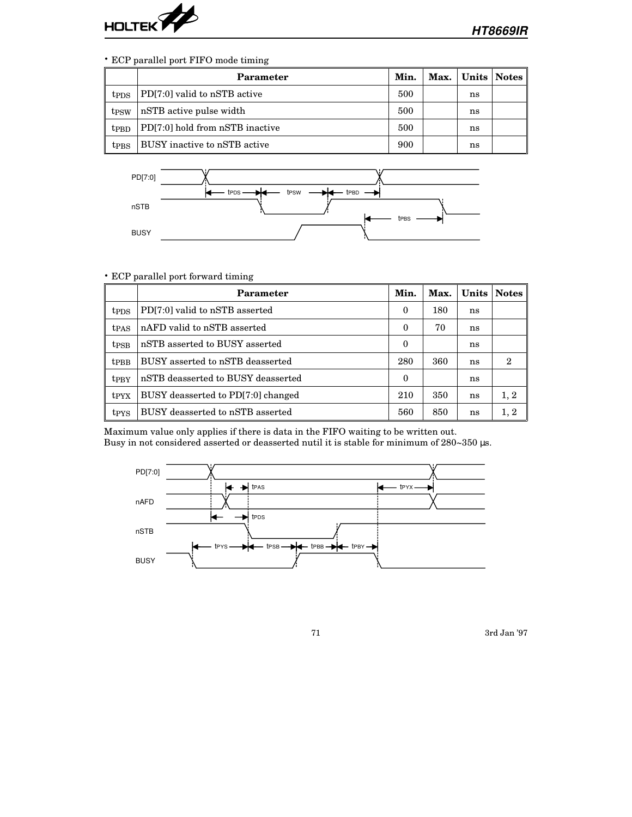

#### • ECP parallel port FIFO mode timing

|                         | Parameter                       | Min. |    | Max.   Units   Notes |
|-------------------------|---------------------------------|------|----|----------------------|
| t <sub>PDS</sub>        | PD[7:0] valid to nSTB active    | 500  | ns |                      |
| t <sub>PSW</sub>        | nSTB active pulse width         | 500  | ns |                      |
| t <sub>PBD</sub>        | PD[7:0] hold from nSTB inactive | 500  | ns |                      |
| <b>t</b> <sub>PBS</sub> | BUSY inactive to nSTB active    | 900  | ns |                      |



#### • ECP parallel port forward timing

|                         | Parameter                          | Min.     | Max. |    | Units   Notes |
|-------------------------|------------------------------------|----------|------|----|---------------|
| <b>t</b> <sub>PDS</sub> | PD[7:0] valid to nSTB asserted     | 0        | 180  | ns |               |
| t <sub>PAS</sub>        | nAFD valid to nSTB asserted        | 0        | 70   | ns |               |
| t <sub>PSB</sub>        | nSTB asserted to BUSY asserted     | $\theta$ |      | ns |               |
| <b>t</b> <sub>PBB</sub> | BUSY asserted to nSTB deasserted   | 280      | 360  | ns | 2             |
| t <sub>PRY</sub>        | nSTB deasserted to BUSY deasserted | 0        |      | ns |               |
| t <sub>PYX</sub>        | BUSY deasserted to PD[7:0] changed | 210      | 350  | ns | 1, 2          |
| t <sub>PYS</sub>        | BUSY deasserted to nSTB asserted   | 560      | 850  | ns | 1, 2          |

Maximum value only applies if there is data in the FIFO waiting to be written out. Busy in not considered asserted or deasserted nutil it is stable for minimum of 280~350 µs.

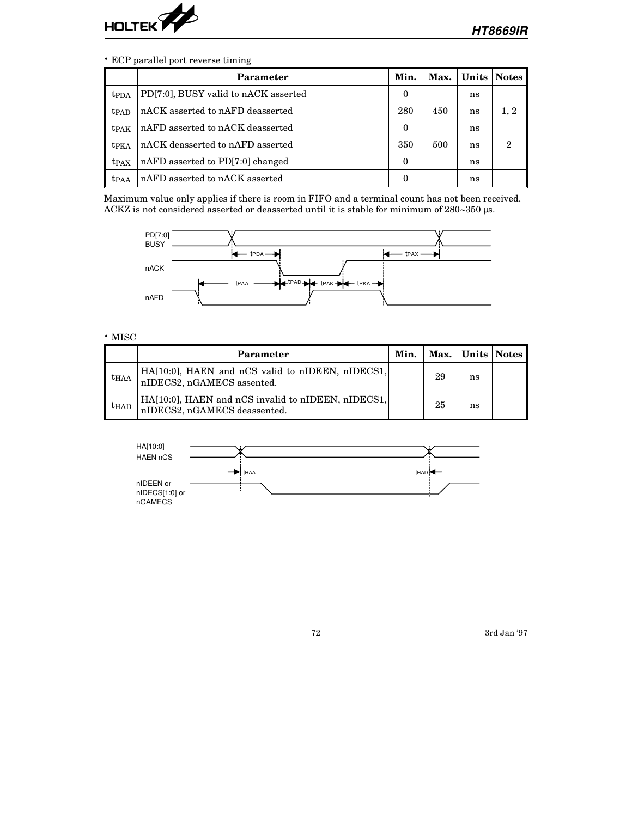

#### • ECP parallel port reverse timing

|                  | Parameter                            | Min.     | Max. |    | Units Notes |
|------------------|--------------------------------------|----------|------|----|-------------|
| t <sub>PDA</sub> | PD[7:0], BUSY valid to nACK asserted | 0        |      | ns |             |
| t <sub>PAD</sub> | nACK asserted to nAFD deasserted     | 280      | 450  | ns | 1, 2        |
| tpak             | nAFD asserted to nACK deasserted     | 0        |      | ns |             |
| t <sub>PKA</sub> | nACK deasserted to nAFD asserted     | 350      | 500  | ns | 2           |
| t <sub>PAX</sub> | nAFD asserted to PD[7:0] changed     | $\theta$ |      | ns |             |
| tpaa             | nAFD asserted to nACK asserted       | 0        |      | ns |             |

Maximum value only applies if there is room in FIFO and a terminal count has not been received. ACKZ is not considered asserted or deasserted until it is stable for minimum of 280~350 µs.



#### • MISC

|                  | Parameter                                                                          | Min. |    | Max.   Units   Notes |  |
|------------------|------------------------------------------------------------------------------------|------|----|----------------------|--|
| thaa             | $HA[10:0]$ , HAEN and nCS valid to nIDEEN, nIDECS1,<br>nIDECS2, nGAMECS assented.  |      | 29 | ns                   |  |
| t <sub>HAD</sub> | HA[10:0], HAEN and nCS invalid to nIDEEN, nIDECS1,<br>nIDECS2, nGAMECS deassented. |      | 25 | ns                   |  |

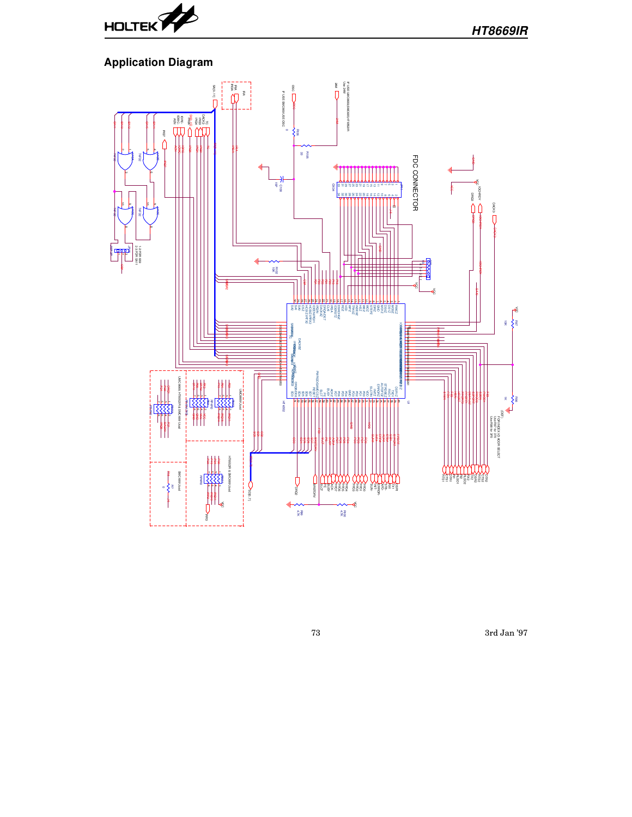

## **Application Diagram**



73 3rd Jan '97